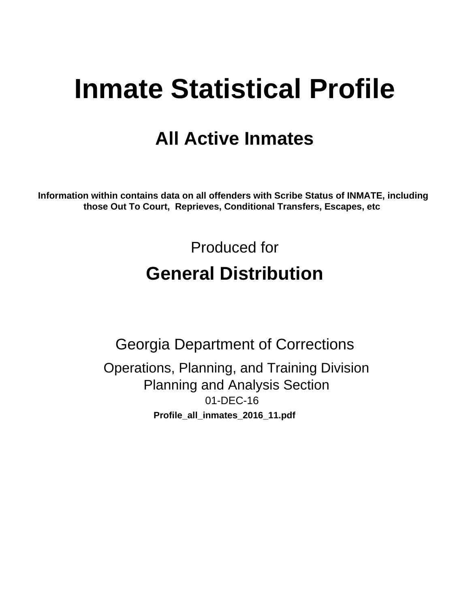# **Inmate Statistical Profile**

## **All Active Inmates**

Information within contains data on all offenders with Scribe Status of INMATE, including those Out To Court, Reprieves, Conditional Transfers, Escapes, etc

> Produced for **General Distribution**

**Georgia Department of Corrections** Operations, Planning, and Training Division **Planning and Analysis Section** 01-DEC-16 Profile\_all\_inmates\_2016\_11.pdf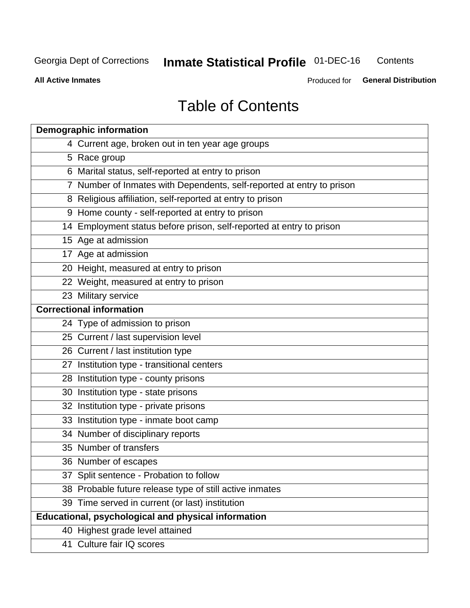#### **Inmate Statistical Profile 01-DEC-16** Contents

**All Active Inmates** 

Produced for General Distribution

### **Table of Contents**

| <b>Demographic information</b>                                        |
|-----------------------------------------------------------------------|
| 4 Current age, broken out in ten year age groups                      |
| 5 Race group                                                          |
| 6 Marital status, self-reported at entry to prison                    |
| 7 Number of Inmates with Dependents, self-reported at entry to prison |
| 8 Religious affiliation, self-reported at entry to prison             |
| 9 Home county - self-reported at entry to prison                      |
| 14 Employment status before prison, self-reported at entry to prison  |
| 15 Age at admission                                                   |
| 17 Age at admission                                                   |
| 20 Height, measured at entry to prison                                |
| 22 Weight, measured at entry to prison                                |
| 23 Military service                                                   |
| <b>Correctional information</b>                                       |
| 24 Type of admission to prison                                        |
| 25 Current / last supervision level                                   |
| 26 Current / last institution type                                    |
| 27 Institution type - transitional centers                            |
| 28 Institution type - county prisons                                  |
| 30 Institution type - state prisons                                   |
| 32 Institution type - private prisons                                 |
| 33 Institution type - inmate boot camp                                |
| 34 Number of disciplinary reports                                     |
| 35 Number of transfers                                                |
| 36 Number of escapes                                                  |
| 37 Split sentence - Probation to follow                               |
| 38 Probable future release type of still active inmates               |
| 39 Time served in current (or last) institution                       |
| Educational, psychological and physical information                   |
| 40 Highest grade level attained                                       |
| 41 Culture fair IQ scores                                             |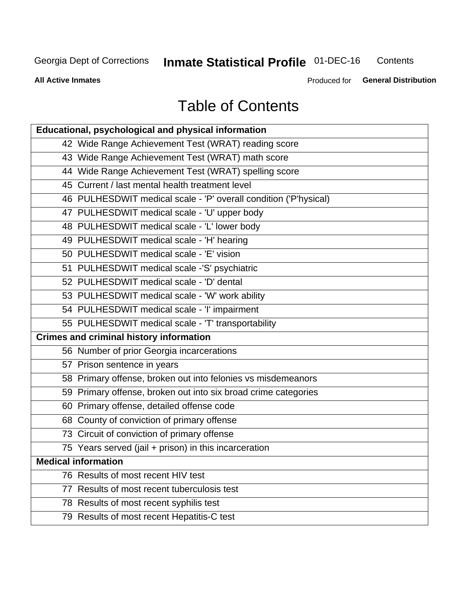#### **Inmate Statistical Profile 01-DEC-16** Contents

**All Active Inmates** 

Produced for General Distribution

### **Table of Contents**

| Educational, psychological and physical information              |
|------------------------------------------------------------------|
| 42 Wide Range Achievement Test (WRAT) reading score              |
| 43 Wide Range Achievement Test (WRAT) math score                 |
| 44 Wide Range Achievement Test (WRAT) spelling score             |
| 45 Current / last mental health treatment level                  |
| 46 PULHESDWIT medical scale - 'P' overall condition ('P'hysical) |
| 47 PULHESDWIT medical scale - 'U' upper body                     |
| 48 PULHESDWIT medical scale - 'L' lower body                     |
| 49 PULHESDWIT medical scale - 'H' hearing                        |
| 50 PULHESDWIT medical scale - 'E' vision                         |
| 51 PULHESDWIT medical scale -'S' psychiatric                     |
| 52 PULHESDWIT medical scale - 'D' dental                         |
| 53 PULHESDWIT medical scale - 'W' work ability                   |
| 54 PULHESDWIT medical scale - 'I' impairment                     |
| 55 PULHESDWIT medical scale - 'T' transportability               |
| <b>Crimes and criminal history information</b>                   |
| 56 Number of prior Georgia incarcerations                        |
| 57 Prison sentence in years                                      |
| 58 Primary offense, broken out into felonies vs misdemeanors     |
| 59 Primary offense, broken out into six broad crime categories   |
| 60 Primary offense, detailed offense code                        |
| 68 County of conviction of primary offense                       |
| 73 Circuit of conviction of primary offense                      |
| 75 Years served (jail + prison) in this incarceration            |
| <b>Medical information</b>                                       |
| 76 Results of most recent HIV test                               |
| 77 Results of most recent tuberculosis test                      |
| 78 Results of most recent syphilis test                          |
| 79 Results of most recent Hepatitis-C test                       |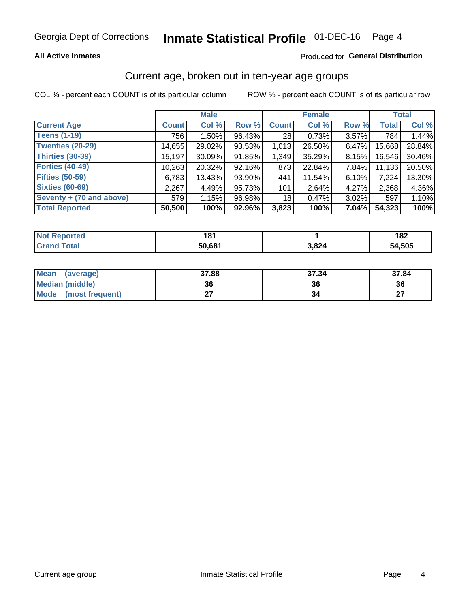### Inmate Statistical Profile 01-DEC-16 Page 4

### **All Active Inmates**

### Produced for General Distribution

### Current age, broken out in ten-year age groups

COL % - percent each COUNT is of its particular column

|                          |              | <b>Male</b> |        |              | <b>Female</b> | <b>Total</b> |              |        |
|--------------------------|--------------|-------------|--------|--------------|---------------|--------------|--------------|--------|
| <b>Current Age</b>       | <b>Count</b> | Col %       | Row %  | <b>Count</b> | Col %         | Row %        | <b>Total</b> | Col %  |
| <b>Teens (1-19)</b>      | 756          | $1.50\%$    | 96.43% | 28           | 0.73%         | 3.57%        | 784          | 1.44%  |
| <b>Twenties (20-29)</b>  | 14,655       | 29.02%      | 93.53% | 1,013        | 26.50%        | 6.47%        | 15,668       | 28.84% |
| <b>Thirties (30-39)</b>  | 15,197       | 30.09%      | 91.85% | 1,349        | 35.29%        | 8.15%        | 16.546       | 30.46% |
| <b>Forties (40-49)</b>   | 10,263       | 20.32%      | 92.16% | 873          | 22.84%        | 7.84%        | 11,136       | 20.50% |
| <b>Fifties (50-59)</b>   | 6,783        | 13.43%      | 93.90% | 441          | 11.54%        | 6.10%        | 7,224        | 13.30% |
| <b>Sixties (60-69)</b>   | 2,267        | 4.49%       | 95.73% | 101          | 2.64%         | 4.27%        | 2,368        | 4.36%  |
| Seventy + (70 and above) | 579          | 1.15%       | 96.98% | 18           | 0.47%         | 3.02%        | 597          | 1.10%  |
| <b>Total Reported</b>    | 50,500       | 100%        | 92.96% | 3,823        | 100%          | 7.04%        | 54,323       | 100%   |

| <b>Not Repo</b><br><b>Endrifed</b> | ۰α۰<br>וטו |       | 182    |
|------------------------------------|------------|-------|--------|
| Total                              | 50.681     | 3,824 | 54,505 |

| <b>Mean</b><br>(average)       | 37.88 | 37.34 | 37.84         |
|--------------------------------|-------|-------|---------------|
| Median (middle)                | 36    | 36    | 36            |
| <b>Mode</b><br>(most frequent) |       |       | $\sim$<br>. . |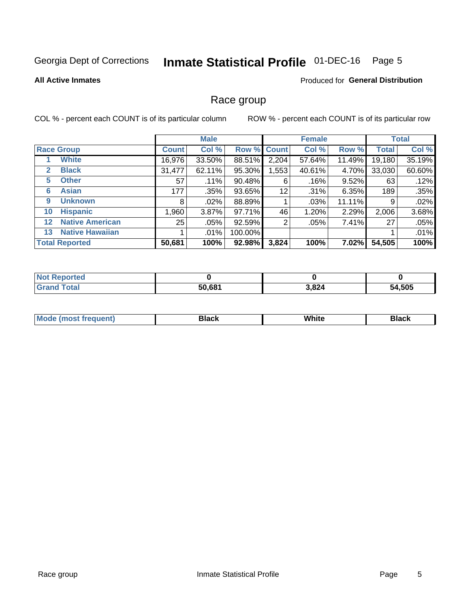#### **Inmate Statistical Profile 01-DEC-16** Page 5

### **All Active Inmates**

### Produced for General Distribution

### Race group

COL % - percent each COUNT is of its particular column

|                   |                        | <b>Male</b>  |          |         | <b>Female</b> |         |        | <b>Total</b> |        |
|-------------------|------------------------|--------------|----------|---------|---------------|---------|--------|--------------|--------|
|                   | <b>Race Group</b>      | <b>Count</b> | Col %    |         | Row % Count   | Col %   | Row %  | <b>Total</b> | Col %  |
|                   | <b>White</b>           | 16,976       | 33.50%   | 88.51%  | 2,204         | 57.64%  | 11.49% | 19,180       | 35.19% |
| 2                 | <b>Black</b>           | 31,477       | 62.11%   | 95.30%  | ,553          | 40.61%  | 4.70%  | 33,030       | 60.60% |
| 5                 | <b>Other</b>           | 57           | .11%     | 90.48%  | 6             | $.16\%$ | 9.52%  | 63           | .12%   |
| 6                 | <b>Asian</b>           | 177          | $.35\%$  | 93.65%  | 12            | .31%    | 6.35%  | 189          | .35%   |
| 9                 | <b>Unknown</b>         | 8            | $.02\%$  | 88.89%  |               | .03%    | 11.11% | 9            | .02%   |
| 10                | <b>Hispanic</b>        | .960         | $3.87\%$ | 97.71%  | 46            | 1.20%   | 2.29%  | 2,006        | 3.68%  |
| $12 \overline{ }$ | <b>Native American</b> | 25           | $.05\%$  | 92.59%  | 2             | .05%    | 7.41%  | 27           | .05%   |
| 13                | <b>Native Hawaiian</b> |              | $.01\%$  | 100.00% |               |         |        |              | .01%   |
|                   | <b>Total Reported</b>  | 50,681       | 100%     | 92.98%  | 3,824         | 100%    | 7.02%  | 54,505       | 100%   |

| <b>Not Reported</b> |        |       |        |
|---------------------|--------|-------|--------|
| <b>Grand Total</b>  | 50,681 | 3,824 | 54,505 |

| <b>Mode</b><br>---<br>most frequent) | Black | White | <b>Black</b> |
|--------------------------------------|-------|-------|--------------|
|                                      |       |       |              |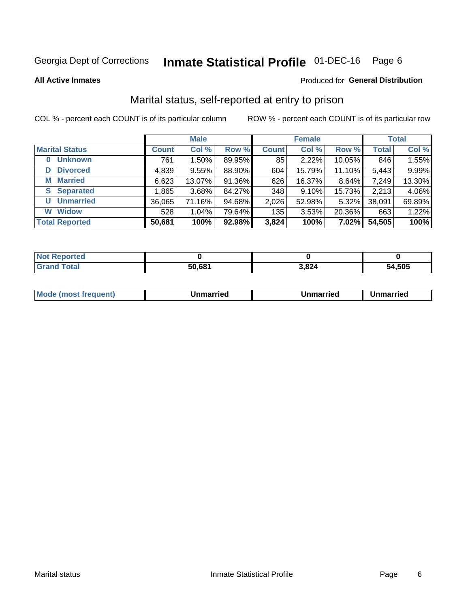#### **Inmate Statistical Profile 01-DEC-16** Page 6

**All Active Inmates** 

### Produced for General Distribution

### Marital status, self-reported at entry to prison

COL % - percent each COUNT is of its particular column

|                        | <b>Male</b>  |          |        |              | <b>Female</b> | <b>Total</b> |              |        |
|------------------------|--------------|----------|--------|--------------|---------------|--------------|--------------|--------|
| <b>Marital Status</b>  | <b>Count</b> | Col %    | Row %  | <b>Count</b> | Col %         | Row %        | <b>Total</b> | Col %  |
| <b>Unknown</b><br>0    | 761          | $1.50\%$ | 89.95% | 85           | 2.22%         | 10.05%       | 846          | 1.55%  |
| <b>Divorced</b><br>D   | 4,839        | 9.55%    | 88.90% | 604          | 15.79%        | 11.10%       | 5,443        | 9.99%  |
| <b>Married</b><br>M    | 6,623        | 13.07%   | 91.36% | 626          | 16.37%        | 8.64%        | 7,249        | 13.30% |
| <b>Separated</b><br>S. | 1,865        | 3.68%    | 84.27% | 348          | 9.10%         | 15.73%       | 2,213        | 4.06%  |
| <b>Unmarried</b><br>U  | 36,065       | 71.16%   | 94.68% | 2,026        | 52.98%        | 5.32%        | 38,091       | 69.89% |
| <b>Widow</b><br>W      | 528          | 1.04%    | 79.64% | 135          | 3.53%         | 20.36%       | 663          | 1.22%  |
| <b>Total Reported</b>  | 50,681       | 100%     | 92.98% | 3,824        | 100%          | 7.02%        | 54,505       | 100%   |

| N <sub>of</sub><br>morted ∴ |       |       |        |
|-----------------------------|-------|-------|--------|
| Гоtal                       | 1.68′ | 3,824 | 54.505 |

|--|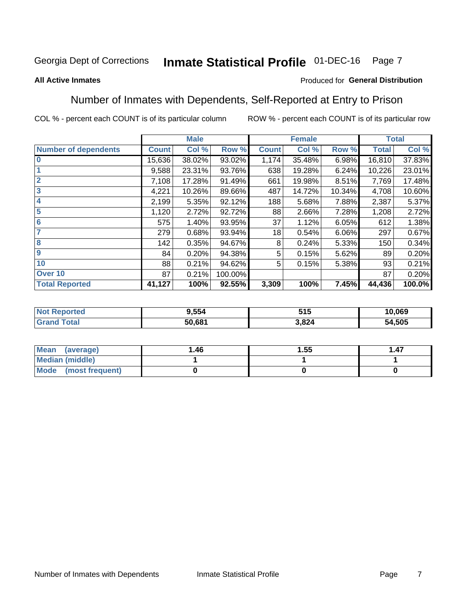#### **Inmate Statistical Profile 01-DEC-16** Page 7

#### **All Active Inmates**

### Produced for General Distribution

### Number of Inmates with Dependents, Self-Reported at Entry to Prison

COL % - percent each COUNT is of its particular column

|                             |              | <b>Male</b> |         |              | <b>Female</b> |        |              | <b>Total</b> |
|-----------------------------|--------------|-------------|---------|--------------|---------------|--------|--------------|--------------|
| <b>Number of dependents</b> | <b>Count</b> | Col %       | Row %   | <b>Count</b> | Col %         | Row %  | <b>Total</b> | Col %        |
| l 0                         | 15,636       | 38.02%      | 93.02%  | 1,174        | 35.48%        | 6.98%  | 16,810       | 37.83%       |
|                             | 9,588        | 23.31%      | 93.76%  | 638          | 19.28%        | 6.24%  | 10,226       | 23.01%       |
| $\overline{2}$              | 7,108        | 17.28%      | 91.49%  | 661          | 19.98%        | 8.51%  | 7,769        | 17.48%       |
| $\overline{\mathbf{3}}$     | 4,221        | 10.26%      | 89.66%  | 487          | 14.72%        | 10.34% | 4,708        | 10.60%       |
| 4                           | 2,199        | 5.35%       | 92.12%  | 188          | 5.68%         | 7.88%  | 2,387        | 5.37%        |
| 5                           | 1,120        | 2.72%       | 92.72%  | 88           | 2.66%         | 7.28%  | 1,208        | 2.72%        |
| 6                           | 575          | 1.40%       | 93.95%  | 37           | 1.12%         | 6.05%  | 612          | 1.38%        |
| 7                           | 279          | 0.68%       | 93.94%  | 18           | 0.54%         | 6.06%  | 297          | 0.67%        |
| $\overline{\mathbf{8}}$     | 142          | 0.35%       | 94.67%  | 8            | 0.24%         | 5.33%  | 150          | 0.34%        |
| 9                           | 84           | 0.20%       | 94.38%  | 5            | 0.15%         | 5.62%  | 89           | 0.20%        |
| 10                          | 88           | 0.21%       | 94.62%  | 5            | 0.15%         | 5.38%  | 93           | 0.21%        |
| Over 10                     | 87           | 0.21%       | 100.00% |              |               |        | 87           | 0.20%        |
| <b>Total Reported</b>       | 41,127       | 100%        | 92.55%  | 3,309        | 100%          | 7.45%  | 44,436       | 100.0%       |

| <b>rtea</b><br>NOI | 9.554  | 64 F<br>ວ ເ ວ | 10,069 |
|--------------------|--------|---------------|--------|
| $-$                | 50,681 | .824          | 54,505 |

| Mean (average)         | 1.46 | 1.55 | 1.47 |
|------------------------|------|------|------|
| <b>Median (middle)</b> |      |      |      |
| Mode (most frequent)   |      |      |      |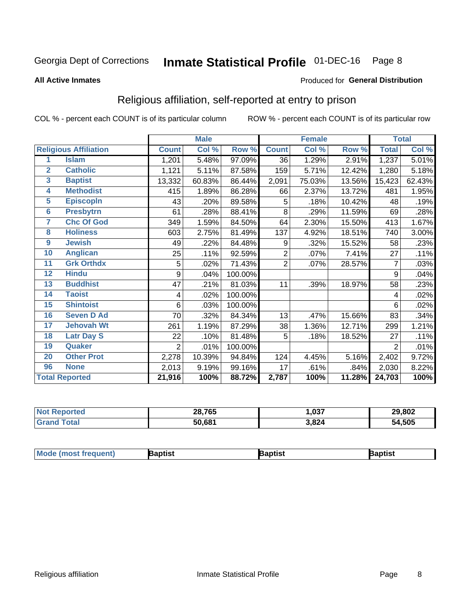#### **Inmate Statistical Profile 01-DEC-16** Page 8

#### **All Active Inmates**

#### Produced for General Distribution

### Religious affiliation, self-reported at entry to prison

COL % - percent each COUNT is of its particular column

|                  |                              |                | <b>Male</b> |         |                | <b>Female</b> |        |                | <b>Total</b> |
|------------------|------------------------------|----------------|-------------|---------|----------------|---------------|--------|----------------|--------------|
|                  | <b>Religious Affiliation</b> | <b>Count</b>   | Col %       | Row %   | <b>Count</b>   | Col %         | Row %  | <b>Total</b>   | Col %        |
| 1                | <b>Islam</b>                 | 1,201          | 5.48%       | 97.09%  | 36             | 1.29%         | 2.91%  | 1,237          | 5.01%        |
| $\overline{2}$   | <b>Catholic</b>              | 1,121          | 5.11%       | 87.58%  | 159            | 5.71%         | 12.42% | 1,280          | 5.18%        |
| 3                | <b>Baptist</b>               | 13,332         | 60.83%      | 86.44%  | 2,091          | 75.03%        | 13.56% | 15,423         | 62.43%       |
| 4                | <b>Methodist</b>             | 415            | 1.89%       | 86.28%  | 66             | 2.37%         | 13.72% | 481            | 1.95%        |
| $\overline{5}$   | <b>EpiscopIn</b>             | 43             | .20%        | 89.58%  | 5              | .18%          | 10.42% | 48             | .19%         |
| $6\phantom{1}6$  | <b>Presbytrn</b>             | 61             | .28%        | 88.41%  | 8              | .29%          | 11.59% | 69             | .28%         |
| 7                | <b>Chc Of God</b>            | 349            | 1.59%       | 84.50%  | 64             | 2.30%         | 15.50% | 413            | 1.67%        |
| 8                | <b>Holiness</b>              | 603            | 2.75%       | 81.49%  | 137            | 4.92%         | 18.51% | 740            | 3.00%        |
| $\boldsymbol{9}$ | <b>Jewish</b>                | 49             | .22%        | 84.48%  | 9              | .32%          | 15.52% | 58             | .23%         |
| 10               | <b>Anglican</b>              | 25             | .11%        | 92.59%  | $\overline{2}$ | .07%          | 7.41%  | 27             | .11%         |
| 11               | <b>Grk Orthdx</b>            | 5              | .02%        | 71.43%  | $\overline{2}$ | .07%          | 28.57% | 7              | .03%         |
| 12               | <b>Hindu</b>                 | 9              | .04%        | 100.00% |                |               |        | 9              | .04%         |
| 13               | <b>Buddhist</b>              | 47             | .21%        | 81.03%  | 11             | .39%          | 18.97% | 58             | .23%         |
| 14               | <b>Taoist</b>                | 4              | .02%        | 100.00% |                |               |        | 4              | .02%         |
| 15               | <b>Shintoist</b>             | 6              | .03%        | 100.00% |                |               |        | 6              | .02%         |
| 16               | <b>Seven D Ad</b>            | 70             | .32%        | 84.34%  | 13             | .47%          | 15.66% | 83             | .34%         |
| 17               | <b>Jehovah Wt</b>            | 261            | 1.19%       | 87.29%  | 38             | 1.36%         | 12.71% | 299            | 1.21%        |
| 18               | <b>Latr Day S</b>            | 22             | .10%        | 81.48%  | 5              | .18%          | 18.52% | 27             | .11%         |
| 19               | Quaker                       | $\overline{2}$ | .01%        | 100.00% |                |               |        | $\overline{2}$ | .01%         |
| 20               | <b>Other Prot</b>            | 2,278          | 10.39%      | 94.84%  | 124            | 4.45%         | 5.16%  | 2,402          | 9.72%        |
| 96               | <b>None</b>                  | 2,013          | 9.19%       | 99.16%  | 17             | .61%          | .84%   | 2,030          | 8.22%        |
|                  | <b>Total Reported</b>        | 21,916         | 100%        | 88.72%  | 2,787          | 100%          | 11.28% | 24,703         | 100%         |

| orted<br><b>NI</b> | 28,765 | ,037  | 29,802 |
|--------------------|--------|-------|--------|
| 'ota.              | 50,681 | 3,824 | 54,505 |

|  | <b>Mode (most frequent)</b> | ıntist<br>ິ | <b>'a</b> ptist | aptist |
|--|-----------------------------|-------------|-----------------|--------|
|--|-----------------------------|-------------|-----------------|--------|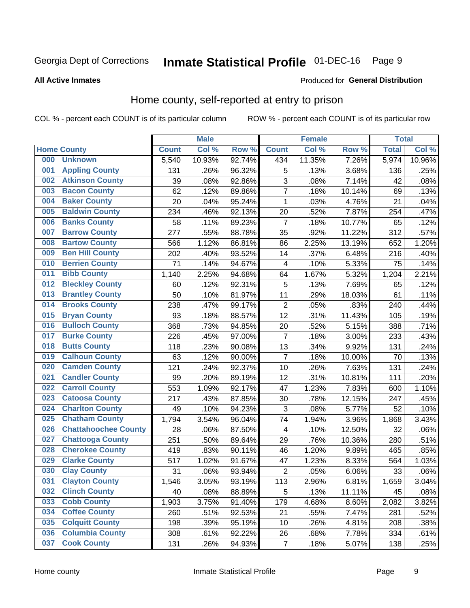#### **Inmate Statistical Profile 01-DEC-16** Page 9

#### **All Active Inmates**

### Produced for General Distribution

### Home county, self-reported at entry to prison

COL % - percent each COUNT is of its particular column

|     |                             |              | <b>Male</b> |        |                | <b>Female</b> |        | <b>Total</b> |        |
|-----|-----------------------------|--------------|-------------|--------|----------------|---------------|--------|--------------|--------|
|     | <b>Home County</b>          | <b>Count</b> | Col %       | Row %  | <b>Count</b>   | Col %         | Row %  | <b>Total</b> | Col %  |
| 000 | <b>Unknown</b>              | 5,540        | 10.93%      | 92.74% | 434            | 11.35%        | 7.26%  | 5,974        | 10.96% |
| 001 | <b>Appling County</b>       | 131          | .26%        | 96.32% | 5              | .13%          | 3.68%  | 136          | .25%   |
| 002 | <b>Atkinson County</b>      | 39           | .08%        | 92.86% | 3              | .08%          | 7.14%  | 42           | .08%   |
| 003 | <b>Bacon County</b>         | 62           | .12%        | 89.86% | $\overline{7}$ | .18%          | 10.14% | 69           | .13%   |
| 004 | <b>Baker County</b>         | 20           | .04%        | 95.24% | $\mathbf{1}$   | .03%          | 4.76%  | 21           | .04%   |
| 005 | <b>Baldwin County</b>       | 234          | .46%        | 92.13% | 20             | .52%          | 7.87%  | 254          | .47%   |
| 006 | <b>Banks County</b>         | 58           | .11%        | 89.23% | $\overline{7}$ | .18%          | 10.77% | 65           | .12%   |
| 007 | <b>Barrow County</b>        | 277          | .55%        | 88.78% | 35             | .92%          | 11.22% | 312          | .57%   |
| 008 | <b>Bartow County</b>        | 566          | 1.12%       | 86.81% | 86             | 2.25%         | 13.19% | 652          | 1.20%  |
| 009 | <b>Ben Hill County</b>      | 202          | .40%        | 93.52% | 14             | .37%          | 6.48%  | 216          | .40%   |
| 010 | <b>Berrien County</b>       | 71           | .14%        | 94.67% | 4              | .10%          | 5.33%  | 75           | .14%   |
| 011 | <b>Bibb County</b>          | 1,140        | 2.25%       | 94.68% | 64             | 1.67%         | 5.32%  | 1,204        | 2.21%  |
| 012 | <b>Bleckley County</b>      | 60           | .12%        | 92.31% | 5              | .13%          | 7.69%  | 65           | .12%   |
| 013 | <b>Brantley County</b>      | 50           | .10%        | 81.97% | 11             | .29%          | 18.03% | 61           | .11%   |
| 014 | <b>Brooks County</b>        | 238          | .47%        | 99.17% | $\overline{2}$ | .05%          | .83%   | 240          | .44%   |
| 015 | <b>Bryan County</b>         | 93           | .18%        | 88.57% | 12             | .31%          | 11.43% | 105          | .19%   |
| 016 | <b>Bulloch County</b>       | 368          | .73%        | 94.85% | 20             | .52%          | 5.15%  | 388          | .71%   |
| 017 | <b>Burke County</b>         | 226          | .45%        | 97.00% | 7              | .18%          | 3.00%  | 233          | .43%   |
| 018 | <b>Butts County</b>         | 118          | .23%        | 90.08% | 13             | .34%          | 9.92%  | 131          | .24%   |
| 019 | <b>Calhoun County</b>       | 63           | .12%        | 90.00% | $\overline{7}$ | .18%          | 10.00% | 70           | .13%   |
| 020 | <b>Camden County</b>        | 121          | .24%        | 92.37% | 10             | .26%          | 7.63%  | 131          | .24%   |
| 021 | <b>Candler County</b>       | 99           | .20%        | 89.19% | 12             | .31%          | 10.81% | 111          | .20%   |
| 022 | <b>Carroll County</b>       | 553          | 1.09%       | 92.17% | 47             | 1.23%         | 7.83%  | 600          | 1.10%  |
| 023 | <b>Catoosa County</b>       | 217          | .43%        | 87.85% | 30             | .78%          | 12.15% | 247          | .45%   |
| 024 | <b>Charlton County</b>      | 49           | .10%        | 94.23% | 3              | .08%          | 5.77%  | 52           | .10%   |
| 025 | <b>Chatham County</b>       | 1,794        | 3.54%       | 96.04% | 74             | 1.94%         | 3.96%  | 1,868        | 3.43%  |
| 026 | <b>Chattahoochee County</b> | 28           | .06%        | 87.50% | 4              | .10%          | 12.50% | 32           | .06%   |
| 027 | <b>Chattooga County</b>     | 251          | .50%        | 89.64% | 29             | .76%          | 10.36% | 280          | .51%   |
| 028 | <b>Cherokee County</b>      | 419          | .83%        | 90.11% | 46             | 1.20%         | 9.89%  | 465          | .85%   |
| 029 | <b>Clarke County</b>        | 517          | 1.02%       | 91.67% | 47             | 1.23%         | 8.33%  | 564          | 1.03%  |
| 030 | <b>Clay County</b>          | 31           | .06%        | 93.94% | $\overline{2}$ | .05%          | 6.06%  | 33           | .06%   |
| 031 | <b>Clayton County</b>       | 1,546        | 3.05%       | 93.19% | 113            | 2.96%         | 6.81%  | 1,659        | 3.04%  |
| 032 | <b>Clinch County</b>        | 40           | .08%        | 88.89% | 5              | .13%          | 11.11% | 45           | .08%   |
| 033 | <b>Cobb County</b>          | 1,903        | 3.75%       | 91.40% | 179            | 4.68%         | 8.60%  | 2,082        | 3.82%  |
| 034 | <b>Coffee County</b>        | 260          | .51%        | 92.53% | 21             | .55%          | 7.47%  | 281          | .52%   |
| 035 | <b>Colquitt County</b>      | 198          | .39%        | 95.19% | 10             | .26%          | 4.81%  | 208          | .38%   |
| 036 | <b>Columbia County</b>      | 308          | .61%        | 92.22% | 26             | .68%          | 7.78%  | 334          | .61%   |
| 037 | <b>Cook County</b>          | 131          | .26%        | 94.93% | $\overline{7}$ | .18%          | 5.07%  | 138          | .25%   |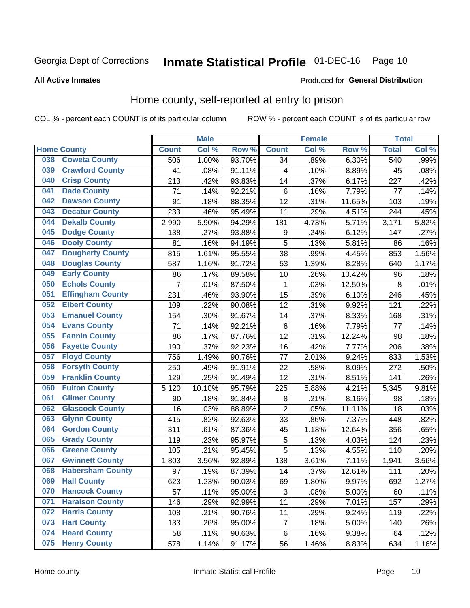### Inmate Statistical Profile 01-DEC-16 Page 10

### **All Active Inmates**

### Produced for General Distribution

### Home county, self-reported at entry to prison

COL % - percent each COUNT is of its particular column

|     |                         |                | <b>Male</b> |        |                  | <b>Female</b> |        | <b>Total</b> |       |
|-----|-------------------------|----------------|-------------|--------|------------------|---------------|--------|--------------|-------|
|     | <b>Home County</b>      | <b>Count</b>   | Col %       | Row %  | <b>Count</b>     | Col %         | Row %  | <b>Total</b> | Col % |
| 038 | <b>Coweta County</b>    | 506            | 1.00%       | 93.70% | 34               | .89%          | 6.30%  | 540          | .99%  |
| 039 | <b>Crawford County</b>  | 41             | .08%        | 91.11% | 4                | .10%          | 8.89%  | 45           | .08%  |
| 040 | <b>Crisp County</b>     | 213            | .42%        | 93.83% | 14               | .37%          | 6.17%  | 227          | .42%  |
| 041 | <b>Dade County</b>      | 71             | .14%        | 92.21% | $\,6$            | .16%          | 7.79%  | 77           | .14%  |
| 042 | <b>Dawson County</b>    | 91             | .18%        | 88.35% | 12               | .31%          | 11.65% | 103          | .19%  |
| 043 | <b>Decatur County</b>   | 233            | .46%        | 95.49% | 11               | .29%          | 4.51%  | 244          | .45%  |
| 044 | <b>Dekalb County</b>    | 2,990          | 5.90%       | 94.29% | 181              | 4.73%         | 5.71%  | 3,171        | 5.82% |
| 045 | <b>Dodge County</b>     | 138            | .27%        | 93.88% | $\boldsymbol{9}$ | .24%          | 6.12%  | 147          | .27%  |
| 046 | <b>Dooly County</b>     | 81             | .16%        | 94.19% | 5                | .13%          | 5.81%  | 86           | .16%  |
| 047 | <b>Dougherty County</b> | 815            | 1.61%       | 95.55% | 38               | .99%          | 4.45%  | 853          | 1.56% |
| 048 | <b>Douglas County</b>   | 587            | 1.16%       | 91.72% | 53               | 1.39%         | 8.28%  | 640          | 1.17% |
| 049 | <b>Early County</b>     | 86             | .17%        | 89.58% | 10               | .26%          | 10.42% | 96           | .18%  |
| 050 | <b>Echols County</b>    | $\overline{7}$ | .01%        | 87.50% | 1                | .03%          | 12.50% | 8            | .01%  |
| 051 | <b>Effingham County</b> | 231            | .46%        | 93.90% | 15               | .39%          | 6.10%  | 246          | .45%  |
| 052 | <b>Elbert County</b>    | 109            | .22%        | 90.08% | 12               | .31%          | 9.92%  | 121          | .22%  |
| 053 | <b>Emanuel County</b>   | 154            | .30%        | 91.67% | 14               | .37%          | 8.33%  | 168          | .31%  |
| 054 | <b>Evans County</b>     | 71             | .14%        | 92.21% | $\,6$            | .16%          | 7.79%  | 77           | .14%  |
| 055 | <b>Fannin County</b>    | 86             | .17%        | 87.76% | 12               | .31%          | 12.24% | 98           | .18%  |
| 056 | <b>Fayette County</b>   | 190            | .37%        | 92.23% | 16               | .42%          | 7.77%  | 206          | .38%  |
| 057 | <b>Floyd County</b>     | 756            | 1.49%       | 90.76% | 77               | 2.01%         | 9.24%  | 833          | 1.53% |
| 058 | <b>Forsyth County</b>   | 250            | .49%        | 91.91% | 22               | .58%          | 8.09%  | 272          | .50%  |
| 059 | <b>Franklin County</b>  | 129            | .25%        | 91.49% | 12               | .31%          | 8.51%  | 141          | .26%  |
| 060 | <b>Fulton County</b>    | 5,120          | 10.10%      | 95.79% | 225              | 5.88%         | 4.21%  | 5,345        | 9.81% |
| 061 | <b>Gilmer County</b>    | 90             | .18%        | 91.84% | 8                | .21%          | 8.16%  | 98           | .18%  |
| 062 | <b>Glascock County</b>  | 16             | .03%        | 88.89% | $\overline{2}$   | .05%          | 11.11% | 18           | .03%  |
| 063 | <b>Glynn County</b>     | 415            | .82%        | 92.63% | 33               | .86%          | 7.37%  | 448          | .82%  |
| 064 | <b>Gordon County</b>    | 311            | .61%        | 87.36% | 45               | 1.18%         | 12.64% | 356          | .65%  |
| 065 | <b>Grady County</b>     | 119            | .23%        | 95.97% | 5                | .13%          | 4.03%  | 124          | .23%  |
| 066 | <b>Greene County</b>    | 105            | .21%        | 95.45% | 5                | .13%          | 4.55%  | 110          | .20%  |
| 067 | <b>Gwinnett County</b>  | 1,803          | 3.56%       | 92.89% | 138              | 3.61%         | 7.11%  | 1,941        | 3.56% |
| 068 | <b>Habersham County</b> | 97             | .19%        | 87.39% | 14               | .37%          | 12.61% | 111          | .20%  |
| 069 | <b>Hall County</b>      | 623            | 1.23%       | 90.03% | 69               | 1.80%         | 9.97%  | 692          | 1.27% |
| 070 | <b>Hancock County</b>   | 57             | .11%        | 95.00% | 3                | .08%          | 5.00%  | 60           | .11%  |
| 071 | <b>Haralson County</b>  | 146            | .29%        | 92.99% | 11               | .29%          | 7.01%  | 157          | .29%  |
| 072 | <b>Harris County</b>    | 108            | .21%        | 90.76% | 11               | .29%          | 9.24%  | 119          | .22%  |
| 073 | <b>Hart County</b>      | 133            | .26%        | 95.00% | $\overline{7}$   | .18%          | 5.00%  | 140          | .26%  |
| 074 | <b>Heard County</b>     | 58             | .11%        | 90.63% | 6                | .16%          | 9.38%  | 64           | .12%  |
| 075 | <b>Henry County</b>     | 578            | 1.14%       | 91.17% | 56               | 1.46%         | 8.83%  | 634          | 1.16% |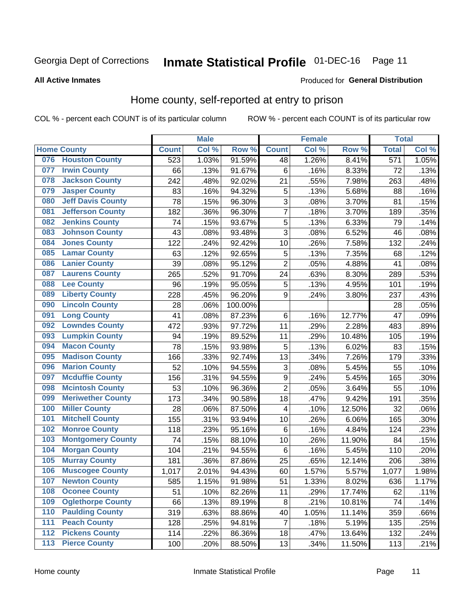### Inmate Statistical Profile 01-DEC-16 Page 11

**All Active Inmates** 

#### Produced for General Distribution

### Home county, self-reported at entry to prison

COL % - percent each COUNT is of its particular column

|                  |                          |              | <b>Male</b> |                  |                  | <b>Female</b> |        | <b>Total</b> |       |
|------------------|--------------------------|--------------|-------------|------------------|------------------|---------------|--------|--------------|-------|
|                  | <b>Home County</b>       | <b>Count</b> | Col %       | Row <sup>%</sup> | <b>Count</b>     | Col %         | Row %  | <b>Total</b> | Col % |
| 076              | <b>Houston County</b>    | 523          | 1.03%       | 91.59%           | 48               | 1.26%         | 8.41%  | 571          | 1.05% |
| 077              | <b>Irwin County</b>      | 66           | .13%        | 91.67%           | 6                | .16%          | 8.33%  | 72           | .13%  |
| 078              | <b>Jackson County</b>    | 242          | .48%        | 92.02%           | 21               | .55%          | 7.98%  | 263          | .48%  |
| 079              | <b>Jasper County</b>     | 83           | .16%        | 94.32%           | 5                | .13%          | 5.68%  | 88           | .16%  |
| 080              | <b>Jeff Davis County</b> | 78           | .15%        | 96.30%           | 3                | .08%          | 3.70%  | 81           | .15%  |
| 081              | <b>Jefferson County</b>  | 182          | .36%        | 96.30%           | 7                | .18%          | 3.70%  | 189          | .35%  |
| 082              | <b>Jenkins County</b>    | 74           | .15%        | 93.67%           | 5                | .13%          | 6.33%  | 79           | .14%  |
| 083              | <b>Johnson County</b>    | 43           | .08%        | 93.48%           | 3                | .08%          | 6.52%  | 46           | .08%  |
| 084              | <b>Jones County</b>      | 122          | .24%        | 92.42%           | 10               | .26%          | 7.58%  | 132          | .24%  |
| 085              | <b>Lamar County</b>      | 63           | .12%        | 92.65%           | 5                | .13%          | 7.35%  | 68           | .12%  |
| 086              | <b>Lanier County</b>     | 39           | .08%        | 95.12%           | $\overline{2}$   | .05%          | 4.88%  | 41           | .08%  |
| 087              | <b>Laurens County</b>    | 265          | .52%        | 91.70%           | 24               | .63%          | 8.30%  | 289          | .53%  |
| 088              | <b>Lee County</b>        | 96           | .19%        | 95.05%           | 5                | .13%          | 4.95%  | 101          | .19%  |
| 089              | <b>Liberty County</b>    | 228          | .45%        | 96.20%           | 9                | .24%          | 3.80%  | 237          | .43%  |
| 090              | <b>Lincoln County</b>    | 28           | .06%        | 100.00%          |                  |               |        | 28           | .05%  |
| 091              | <b>Long County</b>       | 41           | .08%        | 87.23%           | $\,6$            | .16%          | 12.77% | 47           | .09%  |
| 092              | <b>Lowndes County</b>    | 472          | .93%        | 97.72%           | 11               | .29%          | 2.28%  | 483          | .89%  |
| 093              | <b>Lumpkin County</b>    | 94           | .19%        | 89.52%           | 11               | .29%          | 10.48% | 105          | .19%  |
| 094              | <b>Macon County</b>      | 78           | .15%        | 93.98%           | 5                | .13%          | 6.02%  | 83           | .15%  |
| 095              | <b>Madison County</b>    | 166          | .33%        | 92.74%           | 13               | .34%          | 7.26%  | 179          | .33%  |
| 096              | <b>Marion County</b>     | 52           | .10%        | 94.55%           | 3                | .08%          | 5.45%  | 55           | .10%  |
| 097              | <b>Mcduffie County</b>   | 156          | .31%        | 94.55%           | $\boldsymbol{9}$ | .24%          | 5.45%  | 165          | .30%  |
| 098              | <b>Mcintosh County</b>   | 53           | .10%        | 96.36%           | $\overline{2}$   | .05%          | 3.64%  | 55           | .10%  |
| 099              | <b>Meriwether County</b> | 173          | .34%        | 90.58%           | 18               | .47%          | 9.42%  | 191          | .35%  |
| 100              | <b>Miller County</b>     | 28           | .06%        | 87.50%           | 4                | .10%          | 12.50% | 32           | .06%  |
| 101              | <b>Mitchell County</b>   | 155          | .31%        | 93.94%           | 10               | .26%          | 6.06%  | 165          | .30%  |
| 102              | <b>Monroe County</b>     | 118          | .23%        | 95.16%           | $\,6$            | .16%          | 4.84%  | 124          | .23%  |
| 103              | <b>Montgomery County</b> | 74           | .15%        | 88.10%           | 10               | .26%          | 11.90% | 84           | .15%  |
| 104              | <b>Morgan County</b>     | 104          | .21%        | 94.55%           | 6                | .16%          | 5.45%  | 110          | .20%  |
| 105              | <b>Murray County</b>     | 181          | .36%        | 87.86%           | 25               | .65%          | 12.14% | 206          | .38%  |
| 106              | <b>Muscogee County</b>   | 1,017        | 2.01%       | 94.43%           | 60               | 1.57%         | 5.57%  | 1,077        | 1.98% |
| 107              | <b>Newton County</b>     | 585          | 1.15%       | 91.98%           | 51               | 1.33%         | 8.02%  | 636          | 1.17% |
| 108              | <b>Oconee County</b>     | 51           | .10%        | 82.26%           | 11               | .29%          | 17.74% | 62           | .11%  |
| 109              | <b>Oglethorpe County</b> | 66           | .13%        | 89.19%           | 8                | .21%          | 10.81% | 74           | .14%  |
| 110              | <b>Paulding County</b>   | 319          | .63%        | 88.86%           | 40               | 1.05%         | 11.14% | 359          | .66%  |
| 111              | <b>Peach County</b>      | 128          | .25%        | 94.81%           | $\overline{7}$   | .18%          | 5.19%  | 135          | .25%  |
| $\overline{112}$ | <b>Pickens County</b>    | 114          | .22%        | 86.36%           | 18               | .47%          | 13.64% | 132          | .24%  |
| 113              | <b>Pierce County</b>     | 100          | .20%        | 88.50%           | 13               | .34%          | 11.50% | 113          | .21%  |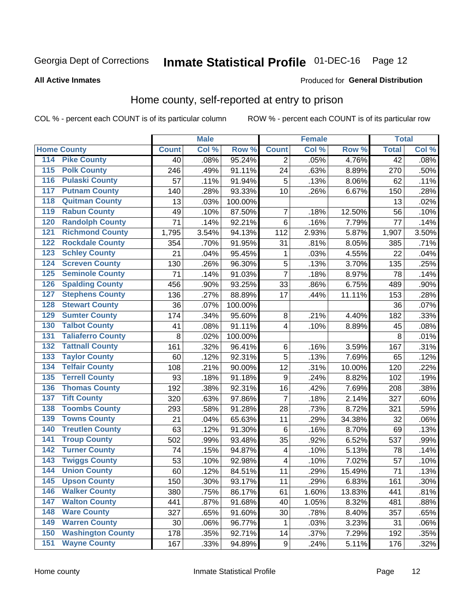### Inmate Statistical Profile 01-DEC-16 Page 12

### **All Active Inmates**

#### Produced for General Distribution

### Home county, self-reported at entry to prison

COL % - percent each COUNT is of its particular column

|                    |                          |              | <b>Male</b> |                  |                  | <b>Female</b> |        | <b>Total</b>    |       |
|--------------------|--------------------------|--------------|-------------|------------------|------------------|---------------|--------|-----------------|-------|
| <b>Home County</b> |                          | <b>Count</b> | Col %       | Row <sup>%</sup> | <b>Count</b>     | Col %         | Row %  | <b>Total</b>    | Col % |
| 114                | <b>Pike County</b>       | 40           | .08%        | 95.24%           | 2                | .05%          | 4.76%  | $\overline{42}$ | .08%  |
| 115                | <b>Polk County</b>       | 246          | .49%        | 91.11%           | 24               | .63%          | 8.89%  | 270             | .50%  |
| 116                | <b>Pulaski County</b>    | 57           | .11%        | 91.94%           | 5                | .13%          | 8.06%  | 62              | .11%  |
| 117                | <b>Putnam County</b>     | 140          | .28%        | 93.33%           | 10               | .26%          | 6.67%  | 150             | .28%  |
| 118                | <b>Quitman County</b>    | 13           | .03%        | 100.00%          |                  |               |        | 13              | .02%  |
| 119                | <b>Rabun County</b>      | 49           | .10%        | 87.50%           | $\overline{7}$   | .18%          | 12.50% | 56              | .10%  |
| 120                | <b>Randolph County</b>   | 71           | .14%        | 92.21%           | $6\phantom{1}6$  | .16%          | 7.79%  | 77              | .14%  |
| 121                | <b>Richmond County</b>   | 1,795        | 3.54%       | 94.13%           | 112              | 2.93%         | 5.87%  | 1,907           | 3.50% |
| 122                | <b>Rockdale County</b>   | 354          | .70%        | 91.95%           | 31               | .81%          | 8.05%  | 385             | .71%  |
| 123                | <b>Schley County</b>     | 21           | .04%        | 95.45%           | 1                | .03%          | 4.55%  | 22              | .04%  |
| 124                | <b>Screven County</b>    | 130          | .26%        | 96.30%           | $\overline{5}$   | .13%          | 3.70%  | 135             | .25%  |
| 125                | <b>Seminole County</b>   | 71           | .14%        | 91.03%           | $\overline{7}$   | .18%          | 8.97%  | 78              | .14%  |
| 126                | <b>Spalding County</b>   | 456          | .90%        | 93.25%           | 33               | .86%          | 6.75%  | 489             | .90%  |
| 127                | <b>Stephens County</b>   | 136          | .27%        | 88.89%           | 17               | .44%          | 11.11% | 153             | .28%  |
| 128                | <b>Stewart County</b>    | 36           | .07%        | 100.00%          |                  |               |        | 36              | .07%  |
| 129                | <b>Sumter County</b>     | 174          | .34%        | 95.60%           | 8                | .21%          | 4.40%  | 182             | .33%  |
| 130                | <b>Talbot County</b>     | 41           | .08%        | 91.11%           | 4                | .10%          | 8.89%  | 45              | .08%  |
| 131                | <b>Taliaferro County</b> | 8            | .02%        | 100.00%          |                  |               |        | 8               | .01%  |
| 132                | <b>Tattnall County</b>   | 161          | .32%        | 96.41%           | $\,6$            | .16%          | 3.59%  | 167             | .31%  |
| 133                | <b>Taylor County</b>     | 60           | .12%        | 92.31%           | 5                | .13%          | 7.69%  | 65              | .12%  |
| 134                | <b>Telfair County</b>    | 108          | .21%        | 90.00%           | 12               | .31%          | 10.00% | 120             | .22%  |
| 135                | <b>Terrell County</b>    | 93           | .18%        | 91.18%           | 9                | .24%          | 8.82%  | 102             | .19%  |
| 136                | <b>Thomas County</b>     | 192          | .38%        | 92.31%           | 16               | .42%          | 7.69%  | 208             | .38%  |
| 137                | <b>Tift County</b>       | 320          | .63%        | 97.86%           | $\overline{7}$   | .18%          | 2.14%  | 327             | .60%  |
| 138                | <b>Toombs County</b>     | 293          | .58%        | 91.28%           | 28               | .73%          | 8.72%  | 321             | .59%  |
| 139                | <b>Towns County</b>      | 21           | .04%        | 65.63%           | 11               | .29%          | 34.38% | 32              | .06%  |
| 140                | <b>Treutlen County</b>   | 63           | .12%        | 91.30%           | $\,6$            | .16%          | 8.70%  | 69              | .13%  |
| 141                | <b>Troup County</b>      | 502          | .99%        | 93.48%           | 35               | .92%          | 6.52%  | 537             | .99%  |
| $\overline{142}$   | <b>Turner County</b>     | 74           | .15%        | 94.87%           | 4                | .10%          | 5.13%  | 78              | .14%  |
| 143                | <b>Twiggs County</b>     | 53           | .10%        | 92.98%           | 4                | .10%          | 7.02%  | 57              | .10%  |
| 144                | <b>Union County</b>      | 60           | .12%        | 84.51%           | 11               | .29%          | 15.49% | 71              | .13%  |
| 145                | <b>Upson County</b>      | 150          | .30%        | 93.17%           | 11               | .29%          | 6.83%  | 161             | .30%  |
| 146                | <b>Walker County</b>     | 380          | .75%        | 86.17%           | 61               | 1.60%         | 13.83% | 441             | .81%  |
| 147                | <b>Walton County</b>     | 441          | .87%        | 91.68%           | 40               | 1.05%         | 8.32%  | 481             | .88%  |
| 148                | <b>Ware County</b>       | 327          | .65%        | 91.60%           | 30               | .78%          | 8.40%  | 357             | .65%  |
| 149                | <b>Warren County</b>     | 30           | .06%        | 96.77%           | 1                | .03%          | 3.23%  | 31              | .06%  |
| 150                | <b>Washington County</b> | 178          | .35%        | 92.71%           | 14               | .37%          | 7.29%  | 192             | .35%  |
| 151                | <b>Wayne County</b>      | 167          | .33%        | 94.89%           | $\boldsymbol{9}$ | .24%          | 5.11%  | 176             | .32%  |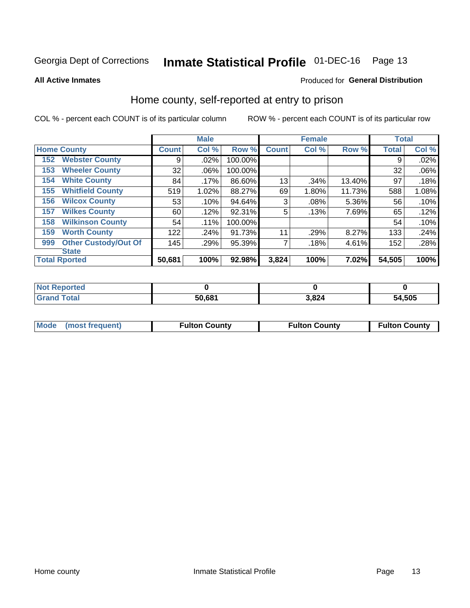### Inmate Statistical Profile 01-DEC-16 Page 13

**All Active Inmates** 

### Produced for General Distribution

### Home county, self-reported at entry to prison

COL % - percent each COUNT is of its particular column

|     |                             |              | <b>Male</b> |         |              | <b>Female</b> |        | <b>Total</b> |       |
|-----|-----------------------------|--------------|-------------|---------|--------------|---------------|--------|--------------|-------|
|     | <b>Home County</b>          | <b>Count</b> | Col %       | Row %   | <b>Count</b> | Col %         | Row %  | <b>Total</b> | Col % |
| 152 | <b>Webster County</b>       | 9            | .02%        | 100.00% |              |               |        | 9            | .02%  |
| 153 | <b>Wheeler County</b>       | 32           | .06%        | 100.00% |              |               |        | 32           | .06%  |
| 154 | <b>White County</b>         | 84           | .17%        | 86.60%  | 13           | .34%          | 13.40% | 97           | .18%  |
| 155 | <b>Whitfield County</b>     | 519          | 1.02%       | 88.27%  | 69           | 1.80%         | 11.73% | 588          | 1.08% |
| 156 | <b>Wilcox County</b>        | 53           | .10%        | 94.64%  | 3            | .08%          | 5.36%  | 56           | .10%  |
| 157 | <b>Wilkes County</b>        | 60           | .12%        | 92.31%  | 5            | .13%          | 7.69%  | 65           | .12%  |
| 158 | <b>Wilkinson County</b>     | 54           | .11%        | 100.00% |              |               |        | 54           | .10%  |
| 159 | <b>Worth County</b>         | 122          | .24%        | 91.73%  | 11           | .29%          | 8.27%  | 133          | .24%  |
| 999 | <b>Other Custody/Out Of</b> | 145          | .29%        | 95.39%  |              | .18%          | 4.61%  | 152          | .28%  |
|     | <b>State</b>                |              |             |         |              |               |        |              |       |
|     | <b>Total Rported</b>        | 50,681       | 100%        | 92.98%  | 3,824        | 100%          | 7.02%  | 54,505       | 100%  |

| <b>Not</b><br>Reported |        |       |        |
|------------------------|--------|-------|--------|
| <b>c</b> otal          | 50,681 | 3,824 | 54,505 |

| Mode (most frequent) | <b>Fulton County</b> | <b>Fulton County</b> | <b>Fulton County</b> |
|----------------------|----------------------|----------------------|----------------------|
|                      |                      |                      |                      |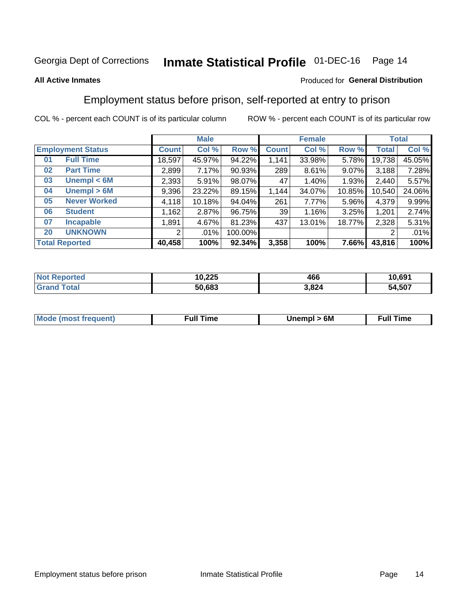#### **Inmate Statistical Profile 01-DEC-16** Page 14

### **All Active Inmates**

### Produced for General Distribution

### Employment status before prison, self-reported at entry to prison

COL % - percent each COUNT is of its particular column

|                           | <b>Male</b>  |        |         | <b>Female</b>   |        |        | <b>Total</b> |        |
|---------------------------|--------------|--------|---------|-----------------|--------|--------|--------------|--------|
| <b>Employment Status</b>  | <b>Count</b> | Col %  | Row %   | <b>Count</b>    | Col %  | Row %  | Total        | Col %  |
| <b>Full Time</b><br>01    | 18,597       | 45.97% | 94.22%  | 1,141           | 33.98% | 5.78%  | 19,738       | 45.05% |
| <b>Part Time</b><br>02    | 2,899        | 7.17%  | 90.93%  | 289             | 8.61%  | 9.07%  | 3,188        | 7.28%  |
| Unempl $<$ 6M<br>03       | 2,393        | 5.91%  | 98.07%  | 47              | 1.40%  | 1.93%  | 2.440        | 5.57%  |
| Unempl > 6M<br>04         | 9,396        | 23.22% | 89.15%  | 1,144           | 34.07% | 10.85% | 10,540       | 24.06% |
| <b>Never Worked</b><br>05 | 4,118        | 10.18% | 94.04%  | 261             | 7.77%  | 5.96%  | 4,379        | 9.99%  |
| <b>Student</b><br>06      | ,162         | 2.87%  | 96.75%  | 39 <sub>1</sub> | 1.16%  | 3.25%  | 1,201        | 2.74%  |
| 07<br><b>Incapable</b>    | .891         | 4.67%  | 81.23%  | 437             | 13.01% | 18.77% | 2,328        | 5.31%  |
| <b>UNKNOWN</b><br>20      | 2            | .01%   | 100.00% |                 |        |        | 2            | .01%   |
| <b>Total Reported</b>     | 40,458       | 100%   | 92.34%  | 3,358           | 100%   | 7.66%  | 43,816       | 100%   |

| <b>Not Reported</b> | 10,225 | 466   | 10,691 |
|---------------------|--------|-------|--------|
| <b>Grand Total</b>  | 50,683 | 3,824 | 54,507 |

| <b>Mode (most frequent)</b> | Unempl > 6M | <b>Full Time</b> |
|-----------------------------|-------------|------------------|
|                             |             |                  |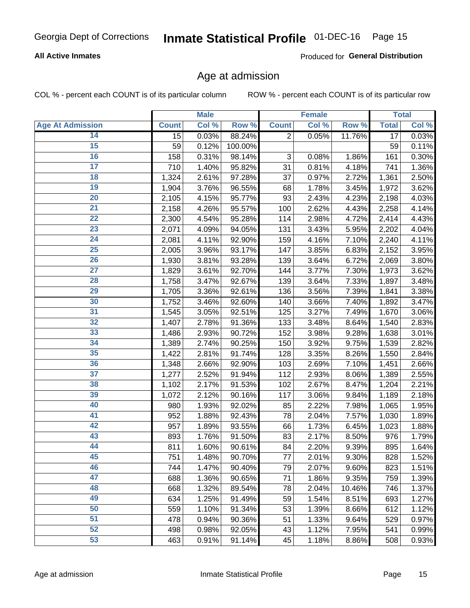### Inmate Statistical Profile 01-DEC-16 Page 15

### **All Active Inmates**

Produced for General Distribution

### Age at admission

COL % - percent each COUNT is of its particular column

|                         |                 | <b>Male</b> |         |                           | <b>Female</b> |        |                 | <b>Total</b> |
|-------------------------|-----------------|-------------|---------|---------------------------|---------------|--------|-----------------|--------------|
| <b>Age At Admission</b> | <b>Count</b>    | Col %       | Row %   | <b>Count</b>              | Col %         | Row %  | <b>Total</b>    | Col %        |
| 14                      | $\overline{15}$ | 0.03%       | 88.24%  | $\overline{2}$            | 0.05%         | 11.76% | $\overline{17}$ | 0.03%        |
| $\overline{15}$         | 59              | 0.12%       | 100.00% |                           |               |        | 59              | 0.11%        |
| 16                      | 158             | 0.31%       | 98.14%  | $\ensuremath{\mathsf{3}}$ | 0.08%         | 1.86%  | 161             | 0.30%        |
| $\overline{17}$         | 710             | 1.40%       | 95.82%  | 31                        | 0.81%         | 4.18%  | 741             | 1.36%        |
| $\overline{18}$         | 1,324           | 2.61%       | 97.28%  | 37                        | 0.97%         | 2.72%  | 1,361           | 2.50%        |
| 19                      | 1,904           | 3.76%       | 96.55%  | 68                        | 1.78%         | 3.45%  | 1,972           | 3.62%        |
| 20                      | 2,105           | 4.15%       | 95.77%  | 93                        | 2.43%         | 4.23%  | 2,198           | 4.03%        |
| $\overline{21}$         | 2,158           | 4.26%       | 95.57%  | 100                       | 2.62%         | 4.43%  | 2,258           | 4.14%        |
| $\overline{22}$         | 2,300           | 4.54%       | 95.28%  | 114                       | 2.98%         | 4.72%  | 2,414           | 4.43%        |
| $\overline{23}$         | 2,071           | 4.09%       | 94.05%  | 131                       | 3.43%         | 5.95%  | 2,202           | 4.04%        |
| 24                      | 2,081           | 4.11%       | 92.90%  | 159                       | 4.16%         | 7.10%  | 2,240           | 4.11%        |
| $\overline{25}$         | 2,005           | 3.96%       | 93.17%  | 147                       | 3.85%         | 6.83%  | 2,152           | 3.95%        |
| $\overline{26}$         | 1,930           | 3.81%       | 93.28%  | 139                       | 3.64%         | 6.72%  | 2,069           | 3.80%        |
| $\overline{27}$         | 1,829           | 3.61%       | 92.70%  | 144                       | 3.77%         | 7.30%  | 1,973           | 3.62%        |
| 28                      | 1,758           | 3.47%       | 92.67%  | 139                       | 3.64%         | 7.33%  | 1,897           | 3.48%        |
| 29                      | 1,705           | 3.36%       | 92.61%  | 136                       | 3.56%         | 7.39%  | 1,841           | 3.38%        |
| 30                      | 1,752           | 3.46%       | 92.60%  | 140                       | 3.66%         | 7.40%  | 1,892           | 3.47%        |
| 31                      | 1,545           | 3.05%       | 92.51%  | 125                       | 3.27%         | 7.49%  | 1,670           | 3.06%        |
| 32                      | 1,407           | 2.78%       | 91.36%  | 133                       | 3.48%         | 8.64%  | 1,540           | 2.83%        |
| 33                      | 1,486           | 2.93%       | 90.72%  | 152                       | 3.98%         | 9.28%  | 1,638           | 3.01%        |
| 34                      | 1,389           | 2.74%       | 90.25%  | 150                       | 3.92%         | 9.75%  | 1,539           | 2.82%        |
| 35                      | 1,422           | 2.81%       | 91.74%  | 128                       | 3.35%         | 8.26%  | 1,550           | 2.84%        |
| 36                      | 1,348           | 2.66%       | 92.90%  | 103                       | 2.69%         | 7.10%  | 1,451           | 2.66%        |
| 37                      | 1,277           | 2.52%       | 91.94%  | $112$                     | 2.93%         | 8.06%  | 1,389           | 2.55%        |
| 38                      | 1,102           | 2.17%       | 91.53%  | 102                       | 2.67%         | 8.47%  | 1,204           | 2.21%        |
| 39                      | 1,072           | 2.12%       | 90.16%  | 117                       | 3.06%         | 9.84%  | 1,189           | 2.18%        |
| 40                      | 980             | 1.93%       | 92.02%  | 85                        | 2.22%         | 7.98%  | 1,065           | 1.95%        |
| 41                      | 952             | 1.88%       | 92.43%  | 78                        | 2.04%         | 7.57%  | 1,030           | 1.89%        |
| 42                      | 957             | 1.89%       | 93.55%  | 66                        | 1.73%         | 6.45%  | 1,023           | 1.88%        |
| 43                      | 893             | 1.76%       | 91.50%  | 83                        | 2.17%         | 8.50%  | 976             | 1.79%        |
| 44                      | 811             | 1.60%       | 90.61%  | 84                        | 2.20%         | 9.39%  | 895             | 1.64%        |
| 45                      | 751             | 1.48%       | 90.70%  | 77                        | 2.01%         | 9.30%  | 828             | 1.52%        |
| 46                      | 744             | 1.47%       | 90.40%  | 79                        | 2.07%         | 9.60%  | 823             | 1.51%        |
| 47                      | 688             | 1.36%       | 90.65%  | 71                        | 1.86%         | 9.35%  | 759             | 1.39%        |
| 48                      | 668             | 1.32%       | 89.54%  | 78                        | 2.04%         | 10.46% | 746             | 1.37%        |
| 49                      | 634             | 1.25%       | 91.49%  | 59                        | 1.54%         | 8.51%  | 693             | 1.27%        |
| 50                      | 559             | 1.10%       | 91.34%  | 53                        | 1.39%         | 8.66%  | 612             | 1.12%        |
| 51                      | 478             | 0.94%       | 90.36%  | 51                        | 1.33%         | 9.64%  | 529             | 0.97%        |
| 52                      | 498             | 0.98%       | 92.05%  | 43                        | 1.12%         | 7.95%  | 541             | 0.99%        |
| 53                      | 463             | 0.91%       | 91.14%  | 45                        | 1.18%         | 8.86%  | 508             | 0.93%        |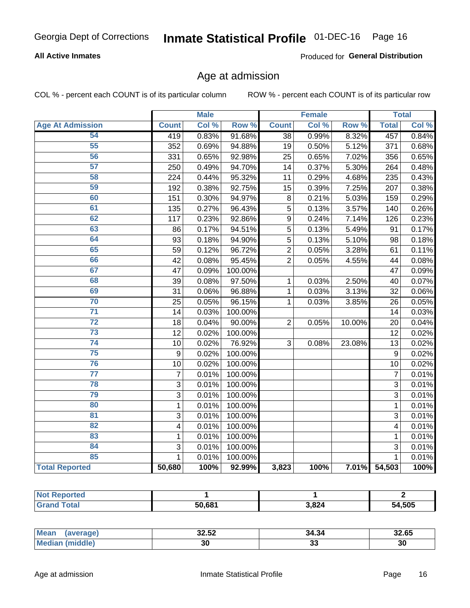### Inmate Statistical Profile 01-DEC-16 Page 16

### **All Active Inmates**

Produced for General Distribution

### Age at admission

COL % - percent each COUNT is of its particular column

|                         |                         | <b>Male</b> |         |                 | <b>Female</b> |        |                 | <b>Total</b> |
|-------------------------|-------------------------|-------------|---------|-----------------|---------------|--------|-----------------|--------------|
| <b>Age At Admission</b> | <b>Count</b>            | Col %       | Row %   | <b>Count</b>    | Col %         | Row %  | <b>Total</b>    | Col %        |
| 54                      | 419                     | 0.83%       | 91.68%  | $\overline{38}$ | 0.99%         | 8.32%  | 457             | 0.84%        |
| 55                      | 352                     | 0.69%       | 94.88%  | 19              | 0.50%         | 5.12%  | 371             | 0.68%        |
| 56                      | 331                     | 0.65%       | 92.98%  | 25              | 0.65%         | 7.02%  | 356             | 0.65%        |
| 57                      | 250                     | 0.49%       | 94.70%  | $\overline{14}$ | 0.37%         | 5.30%  | 264             | 0.48%        |
| 58                      | 224                     | 0.44%       | 95.32%  | 11              | 0.29%         | 4.68%  | 235             | 0.43%        |
| 59                      | 192                     | 0.38%       | 92.75%  | 15              | 0.39%         | 7.25%  | 207             | 0.38%        |
| 60                      | 151                     | 0.30%       | 94.97%  | 8               | 0.21%         | 5.03%  | 159             | 0.29%        |
| 61                      | 135                     | 0.27%       | 96.43%  | 5               | 0.13%         | 3.57%  | 140             | 0.26%        |
| 62                      | 117                     | 0.23%       | 92.86%  | 9               | 0.24%         | 7.14%  | 126             | 0.23%        |
| 63                      | 86                      | 0.17%       | 94.51%  | 5               | 0.13%         | 5.49%  | 91              | 0.17%        |
| 64                      | 93                      | 0.18%       | 94.90%  | 5               | 0.13%         | 5.10%  | 98              | 0.18%        |
| 65                      | 59                      | 0.12%       | 96.72%  | $\overline{2}$  | 0.05%         | 3.28%  | 61              | 0.11%        |
| 66                      | 42                      | 0.08%       | 95.45%  | $\overline{2}$  | 0.05%         | 4.55%  | 44              | 0.08%        |
| 67                      | 47                      | 0.09%       | 100.00% |                 |               |        | 47              | 0.09%        |
| 68                      | 39                      | 0.08%       | 97.50%  | 1               | 0.03%         | 2.50%  | 40              | 0.07%        |
| 69                      | 31                      | 0.06%       | 96.88%  | 1               | 0.03%         | 3.13%  | 32              | 0.06%        |
| 70                      | 25                      | 0.05%       | 96.15%  | 1               | 0.03%         | 3.85%  | 26              | 0.05%        |
| $\overline{71}$         | 14                      | 0.03%       | 100.00% |                 |               |        | 14              | 0.03%        |
| $\overline{72}$         | 18                      | 0.04%       | 90.00%  | $\overline{2}$  | 0.05%         | 10.00% | 20              | 0.04%        |
| $\overline{73}$         | 12                      | 0.02%       | 100.00% |                 |               |        | $\overline{12}$ | 0.02%        |
| $\overline{74}$         | 10                      | 0.02%       | 76.92%  | 3               | 0.08%         | 23.08% | 13              | 0.02%        |
| 75                      | 9                       | 0.02%       | 100.00% |                 |               |        | 9               | 0.02%        |
| 76                      | 10                      | 0.02%       | 100.00% |                 |               |        | 10              | 0.02%        |
| $\overline{77}$         | $\overline{7}$          | 0.01%       | 100.00% |                 |               |        | $\overline{7}$  | 0.01%        |
| 78                      | 3                       | 0.01%       | 100.00% |                 |               |        | 3               | 0.01%        |
| 79                      | $\mathbf{3}$            | 0.01%       | 100.00% |                 |               |        | 3               | 0.01%        |
| 80                      | $\mathbf{1}$            | 0.01%       | 100.00% |                 |               |        | $\mathbf{1}$    | 0.01%        |
| $\overline{81}$         | $\overline{3}$          | 0.01%       | 100.00% |                 |               |        | $\overline{3}$  | 0.01%        |
| $\overline{82}$         | $\overline{\mathbf{4}}$ | 0.01%       | 100.00% |                 |               |        | 4               | 0.01%        |
| 83                      | 1                       | 0.01%       | 100.00% |                 |               |        | 1               | 0.01%        |
| 84                      | 3                       | 0.01%       | 100.00% |                 |               |        | 3               | 0.01%        |
| 85                      | $\mathbf{1}$            | 0.01%       | 100.00% |                 |               |        | $\mathbf{1}$    | 0.01%        |
| <b>Total Reported</b>   | 50,680                  | 100%        | 92.99%  | 3,823           | 100%          | 7.01%  | 54,503          | 100%         |

| <b>Not Reported</b> |        |       |        |
|---------------------|--------|-------|--------|
| <b>Tota</b>         | 50.681 | 3,824 | 54,505 |

| <b>Mean</b><br>average) | oo po<br>32.JZ | 34.34 | 32.65 |
|-------------------------|----------------|-------|-------|
| iddle,                  | 3U             | ~     | . .   |
| ' Me.                   |                | . ၁၁  | აւ    |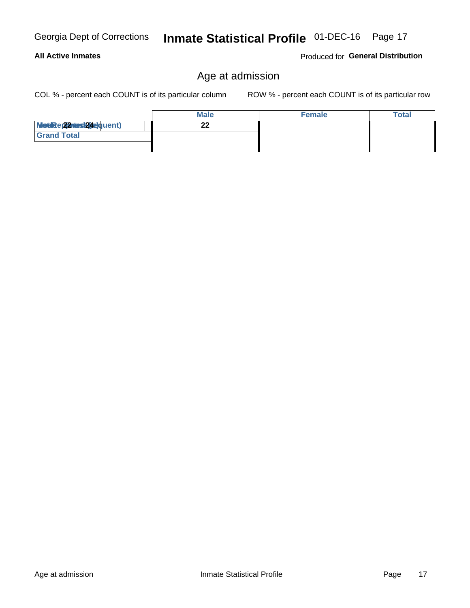### Inmate Statistical Profile 01-DEC-16 Page 17

### Age at admission

COL % - percent each COUNT is of its particular column

ROW % - percent each COUNT is of its particular row

Produced for General Distribution

|                          | <b>Male</b> | <b>Female</b> | <b>Total</b> |
|--------------------------|-------------|---------------|--------------|
| Modiae 22 Mast24e)quent) | ົ<br>- -    |               |              |
| <b>Grand Total</b>       |             |               |              |
|                          |             |               |              |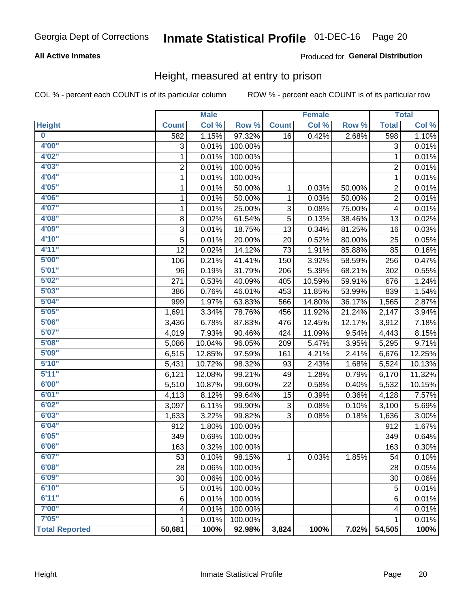### Inmate Statistical Profile 01-DEC-16 Page 20

### **All Active Inmates**

### Produced for General Distribution

### Height, measured at entry to prison

COL % - percent each COUNT is of its particular column

|                         |                | <b>Male</b> |         |              | <b>Female</b> |        |                           | <b>Total</b> |
|-------------------------|----------------|-------------|---------|--------------|---------------|--------|---------------------------|--------------|
| <b>Height</b>           | <b>Count</b>   | Col %       | Row %   | <b>Count</b> | Col %         | Row %  | <b>Total</b>              | Col %        |
| $\overline{\mathbf{0}}$ | 582            | 1.15%       | 97.32%  | 16           | 0.42%         | 2.68%  | 598                       | 1.10%        |
| 4'00''                  | 3              | 0.01%       | 100.00% |              |               |        | $\ensuremath{\mathsf{3}}$ | 0.01%        |
| 4'02"                   | 1              | 0.01%       | 100.00% |              |               |        | $\mathbf{1}$              | 0.01%        |
| 4'03''                  | $\overline{c}$ | 0.01%       | 100.00% |              |               |        | $\overline{c}$            | 0.01%        |
| 4'04"                   | 1              | 0.01%       | 100.00% |              |               |        | 1                         | 0.01%        |
| 4'05"                   | 1              | 0.01%       | 50.00%  | $\mathbf{1}$ | 0.03%         | 50.00% | $\overline{2}$            | 0.01%        |
| 4'06"                   | 1              | 0.01%       | 50.00%  | 1            | 0.03%         | 50.00% | $\overline{c}$            | 0.01%        |
| 4'07"                   | 1              | 0.01%       | 25.00%  | 3            | 0.08%         | 75.00% | 4                         | 0.01%        |
| 4'08"                   | 8              | 0.02%       | 61.54%  | 5            | 0.13%         | 38.46% | 13                        | 0.02%        |
| 4'09"                   | 3              | 0.01%       | 18.75%  | 13           | 0.34%         | 81.25% | 16                        | 0.03%        |
| 4'10''                  | 5              | 0.01%       | 20.00%  | 20           | 0.52%         | 80.00% | 25                        | 0.05%        |
| 4'11''                  | 12             | 0.02%       | 14.12%  | 73           | 1.91%         | 85.88% | 85                        | 0.16%        |
| 5'00''                  | 106            | 0.21%       | 41.41%  | 150          | 3.92%         | 58.59% | 256                       | 0.47%        |
| 5'01''                  | 96             | 0.19%       | 31.79%  | 206          | 5.39%         | 68.21% | 302                       | 0.55%        |
| 5'02"                   | 271            | 0.53%       | 40.09%  | 405          | 10.59%        | 59.91% | 676                       | 1.24%        |
| 5'03''                  | 386            | 0.76%       | 46.01%  | 453          | 11.85%        | 53.99% | 839                       | 1.54%        |
| 5'04"                   | 999            | 1.97%       | 63.83%  | 566          | 14.80%        | 36.17% | 1,565                     | 2.87%        |
| 5'05"                   | 1,691          | 3.34%       | 78.76%  | 456          | 11.92%        | 21.24% | 2,147                     | 3.94%        |
| 5'06''                  | 3,436          | 6.78%       | 87.83%  | 476          | 12.45%        | 12.17% | 3,912                     | 7.18%        |
| 5'07''                  | 4,019          | 7.93%       | 90.46%  | 424          | 11.09%        | 9.54%  | 4,443                     | 8.15%        |
| 5'08''                  | 5,086          | 10.04%      | 96.05%  | 209          | 5.47%         | 3.95%  | 5,295                     | 9.71%        |
| 5'09''                  | 6,515          | 12.85%      | 97.59%  | 161          | 4.21%         | 2.41%  | 6,676                     | 12.25%       |
| 5'10''                  | 5,431          | 10.72%      | 98.32%  | 93           | 2.43%         | 1.68%  | 5,524                     | 10.13%       |
| 5'11"                   | 6,121          | 12.08%      | 99.21%  | 49           | 1.28%         | 0.79%  | 6,170                     | 11.32%       |
| 6'00''                  | 5,510          | 10.87%      | 99.60%  | 22           | 0.58%         | 0.40%  | 5,532                     | 10.15%       |
| 6'01''                  | 4,113          | 8.12%       | 99.64%  | 15           | 0.39%         | 0.36%  | 4,128                     | 7.57%        |
| 6'02"                   | 3,097          | 6.11%       | 99.90%  | 3            | 0.08%         | 0.10%  | 3,100                     | 5.69%        |
| 6'03''                  | 1,633          | 3.22%       | 99.82%  | 3            | 0.08%         | 0.18%  | 1,636                     | 3.00%        |
| 6'04"                   | 912            | 1.80%       | 100.00% |              |               |        | 912                       | 1.67%        |
| 6'05"                   | 349            | 0.69%       | 100.00% |              |               |        | 349                       | 0.64%        |
| 6'06''                  | 163            | 0.32%       | 100.00% |              |               |        | 163                       | 0.30%        |
| 6'07"                   | 53             | $0.10\%$    | 98.15%  | 1            | 0.03%         | 1.85%  | 54                        | 0.10%        |
| 6'08"                   | 28             | 0.06%       | 100.00% |              |               |        | 28                        | 0.05%        |
| 6'09''                  | 30             | 0.06%       | 100.00% |              |               |        | 30                        | 0.06%        |
| 6'10''                  | 5              | 0.01%       | 100.00% |              |               |        | 5                         | 0.01%        |
| 6'11''                  | 6              | 0.01%       | 100.00% |              |               |        | 6                         | 0.01%        |
| 7'00"                   | 4              | 0.01%       | 100.00% |              |               |        | 4                         | 0.01%        |
| 7'05"                   | $\mathbf{1}$   | 0.01%       | 100.00% |              |               |        | 1                         | 0.01%        |
| <b>Total Reported</b>   | 50,681         | 100%        | 92.98%  | 3,824        | 100%          | 7.02%  | 54,505                    | 100%         |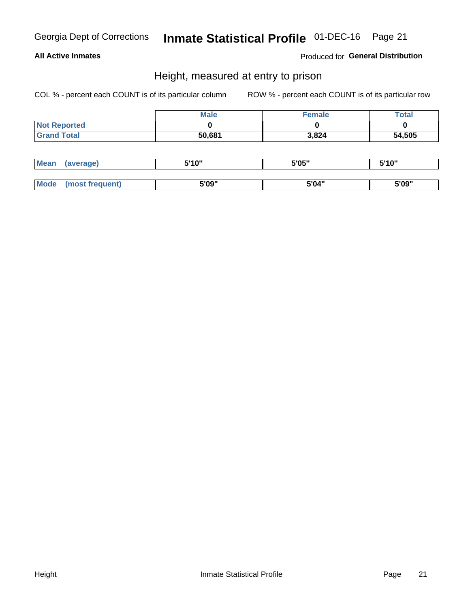### Inmate Statistical Profile 01-DEC-16 Page 21

### **All Active Inmates**

Produced for General Distribution

### Height, measured at entry to prison

COL % - percent each COUNT is of its particular column

|                     | <b>Male</b> | Female | Total  |
|---------------------|-------------|--------|--------|
| <b>Not Reported</b> |             |        |        |
| <b>Grand Total</b>  | 50,681      | 3,824  | 54,505 |

| <b>Mean</b> | erage) | 5'10" | 5'05" | <b>CIA AIL</b><br>. . |
|-------------|--------|-------|-------|-----------------------|
|             |        |       |       |                       |
| <b>Mode</b> |        | 5'09" | 5'04" | 5'09"                 |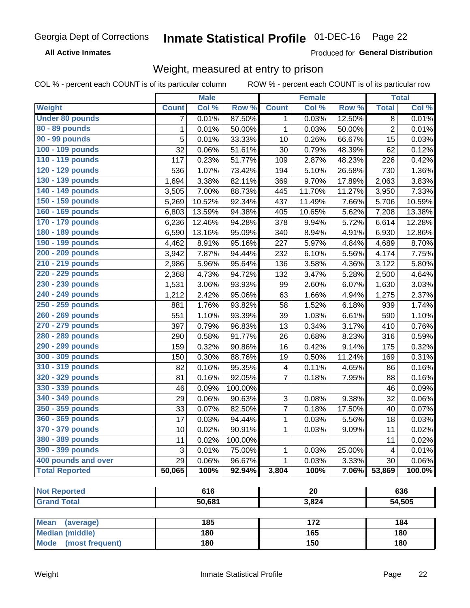#### Inmate Statistical Profile 01-DEC-16 Page 22

**All Active Inmates** 

Produced for General Distribution

### Weight, measured at entry to prison

COL % - percent each COUNT is of its particular column

|                          |              | <b>Male</b> |         |                | <b>Female</b>   |        |                | <b>Total</b> |
|--------------------------|--------------|-------------|---------|----------------|-----------------|--------|----------------|--------------|
| Weight                   | <b>Count</b> | Col %       | Row %   | <b>Count</b>   | Col %           | Row %  | <b>Total</b>   | Col %        |
| <b>Under 80 pounds</b>   | 7            | 0.01%       | 87.50%  | 1              | 0.03%           | 12.50% | 8              | 0.01%        |
| 80 - 89 pounds           | $\mathbf{1}$ | 0.01%       | 50.00%  | $\mathbf{1}$   | 0.03%           | 50.00% | $\overline{2}$ | 0.01%        |
| 90 - 99 pounds           | 5            | 0.01%       | 33.33%  | 10             | 0.26%           | 66.67% | 15             | 0.03%        |
| 100 - 109 pounds         | 32           | 0.06%       | 51.61%  | 30             | 0.79%           | 48.39% | 62             | 0.12%        |
| 110 - 119 pounds         | 117          | 0.23%       | 51.77%  | 109            | 2.87%           | 48.23% | 226            | 0.42%        |
| 120 - 129 pounds         | 536          | 1.07%       | 73.42%  | 194            | 5.10%           | 26.58% | 730            | 1.36%        |
| 130 - 139 pounds         | 1,694        | 3.38%       | 82.11%  | 369            | 9.70%           | 17.89% | 2,063          | 3.83%        |
| 140 - 149 pounds         | 3,505        | 7.00%       | 88.73%  | 445            | 11.70%          | 11.27% | 3,950          | 7.33%        |
| 150 - 159 pounds         | 5,269        | $10.52\%$   | 92.34%  | 437            | 11.49%          | 7.66%  | 5,706          | 10.59%       |
| 160 - 169 pounds         | 6,803        | 13.59%      | 94.38%  | 405            | 10.65%          | 5.62%  | 7,208          | 13.38%       |
| 170 - 179 pounds         | 6,236        | 12.46%      | 94.28%  | 378            | 9.94%           | 5.72%  | 6,614          | 12.28%       |
| 180 - 189 pounds         | 6,590        | 13.16%      | 95.09%  | 340            | 8.94%           | 4.91%  | 6,930          | 12.86%       |
| 190 - 199 pounds         | 4,462        | 8.91%       | 95.16%  | 227            | 5.97%           | 4.84%  | 4,689          | 8.70%        |
| 200 - 209 pounds         | 3,942        | 7.87%       | 94.44%  | 232            | 6.10%           | 5.56%  | 4,174          | 7.75%        |
| 210 - 219 pounds         | 2,986        | 5.96%       | 95.64%  | 136            | 3.58%           | 4.36%  | 3,122          | 5.80%        |
| 220 - 229 pounds         | 2,368        | 4.73%       | 94.72%  | 132            | 3.47%           | 5.28%  | 2,500          | 4.64%        |
| 230 - 239 pounds         | 1,531        | 3.06%       | 93.93%  | 99             | 2.60%           | 6.07%  | 1,630          | 3.03%        |
| 240 - 249 pounds         | 1,212        | 2.42%       | 95.06%  | 63             | 1.66%           | 4.94%  | 1,275          | 2.37%        |
| 250 - 259 pounds         | 881          | 1.76%       | 93.82%  | 58             | 1.52%           | 6.18%  | 939            | 1.74%        |
| 260 - 269 pounds         | 551          | 1.10%       | 93.39%  | 39             | 1.03%           | 6.61%  | 590            | 1.10%        |
| 270 - 279 pounds         | 397          | 0.79%       | 96.83%  | 13             | 0.34%           | 3.17%  | 410            | 0.76%        |
| 280 - 289 pounds         | 290          | 0.58%       | 91.77%  | 26             | 0.68%           | 8.23%  | 316            | 0.59%        |
| 290 - 299 pounds         | 159          | 0.32%       | 90.86%  | 16             | 0.42%           | 9.14%  | 175            | 0.32%        |
| 300 - 309 pounds         | 150          | 0.30%       | 88.76%  | 19             | 0.50%           | 11.24% | 169            | 0.31%        |
| 310 - 319 pounds         | 82           | 0.16%       | 95.35%  | 4              | 0.11%           | 4.65%  | 86             | 0.16%        |
| 320 - 329 pounds         | 81           | 0.16%       | 92.05%  | $\overline{7}$ | 0.18%           | 7.95%  | 88             | 0.16%        |
| 330 - 339 pounds         | 46           | 0.09%       | 100.00% |                |                 |        | 46             | 0.09%        |
| 340 - 349 pounds         | 29           | 0.06%       | 90.63%  | 3              | 0.08%           | 9.38%  | 32             | 0.06%        |
| 350 - 359 pounds         | 33           | 0.07%       | 82.50%  | 7              | 0.18%           | 17.50% | 40             | 0.07%        |
| 360 - 369 pounds         | 17           | 0.03%       | 94.44%  | $\mathbf{1}$   | 0.03%           | 5.56%  | 18             | 0.03%        |
| 370 - 379 pounds         | 10           | 0.02%       | 90.91%  | $\mathbf{1}$   | 0.03%           | 9.09%  | 11             | 0.02%        |
| 380 - 389 pounds         | 11           | 0.02%       | 100.00% |                |                 |        | 11             | 0.02%        |
| 390 - 399 pounds         | 3            | 0.01%       | 75.00%  | 1              | 0.03%           | 25.00% | 4              | 0.01%        |
| 400 pounds and over      | 29           | 0.06%       | 96.67%  | 1              | 0.03%           | 3.33%  | 30             | 0.06%        |
| <b>Total Reported</b>    | 50,065       | 100%        | 92.94%  | 3,804          | 100%            | 7.06%  | 53,869         | 100.0%       |
|                          |              |             |         |                |                 |        |                |              |
| <b>Not Reported</b>      |              | 616         |         |                | $\overline{20}$ |        | 636            |              |
| <b>Grand Total</b>       |              | 50,681      |         |                | 3,824           |        | 54,505         |              |
|                          |              |             |         |                |                 |        |                |              |
| <b>Mean</b><br>(average) |              | 185         |         |                | 172             |        |                | 184          |
| <b>Median (middle)</b>   |              | 180         |         |                | 165             |        |                | 180          |
| Mode (most frequent)     |              | 180         |         |                | 150             |        |                | 180          |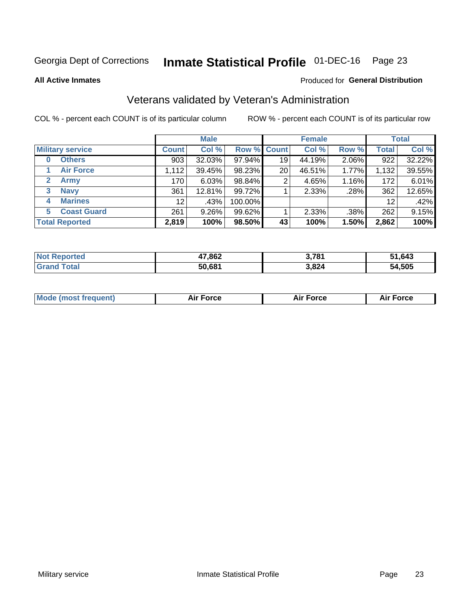### Inmate Statistical Profile 01-DEC-16 Page 23

**All Active Inmates** 

#### Produced for General Distribution

### Veterans validated by Veteran's Administration

COL % - percent each COUNT is of its particular column

|                          |                 | <b>Male</b> |         |                    | <b>Female</b> |       |              | <b>Total</b> |
|--------------------------|-----------------|-------------|---------|--------------------|---------------|-------|--------------|--------------|
| <b>Military service</b>  | <b>Count</b>    | Col %       |         | <b>Row % Count</b> | Col %         | Row % | <b>Total</b> | Col %        |
| <b>Others</b><br>0       | 903             | 32.03%      | 97.94%  | 19                 | 44.19%        | 2.06% | 922          | 32.22%       |
| <b>Air Force</b>         | 1,112           | 39.45%      | 98.23%  | 20                 | 46.51%        | 1.77% | 1,132        | 39.55%       |
| <b>Army</b><br>2         | 170             | 6.03%       | 98.84%  | 2                  | 4.65%         | 1.16% | 172          | 6.01%        |
| <b>Navy</b><br>3         | 361             | 12.81%      | 99.72%  |                    | 2.33%         | .28%  | 362          | 12.65%       |
| <b>Marines</b><br>4      | 12 <sup>2</sup> | .43%        | 100.00% |                    |               |       | 12           | .42%         |
| <b>Coast Guard</b><br>5. | 261             | 9.26%       | 99.62%  |                    | 2.33%         | .38%  | 262          | 9.15%        |
| <b>Total Reported</b>    | 2,819           | 100%        | 98.50%  | 43                 | 100%          | 1.50% | 2,862        | 100%         |

| <b>Not</b><br>. ಗeported | 47,862 | 3,781 | 51,643 |
|--------------------------|--------|-------|--------|
| ⊺otal                    | 50,681 | 3,824 | 54,505 |

| <b>Mode (most frequent)</b><br>Force<br><b>Force</b><br>orce<br>Aır |
|---------------------------------------------------------------------|
|---------------------------------------------------------------------|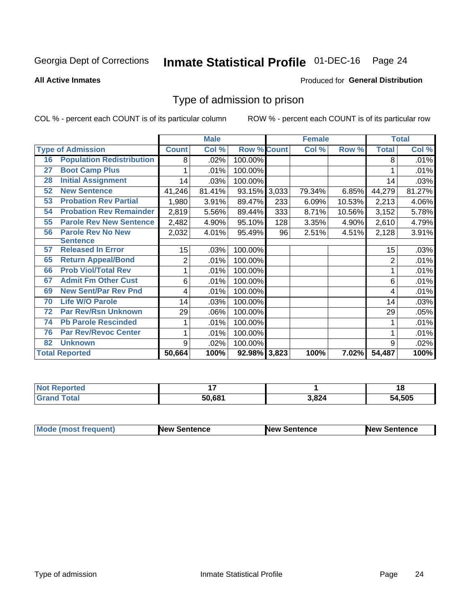### Inmate Statistical Profile 01-DEC-16 Page 24

#### **All Active Inmates**

#### Produced for General Distribution

### Type of admission to prison

COL % - percent each COUNT is of its particular column

|    |                                  |                | <b>Male</b> |                    |     | <b>Female</b> |          |                | <b>Total</b> |
|----|----------------------------------|----------------|-------------|--------------------|-----|---------------|----------|----------------|--------------|
|    | <b>Type of Admission</b>         | <b>Count</b>   | Col %       | <b>Row % Count</b> |     | Col %         | Row %    | <b>Total</b>   | Col %        |
| 16 | <b>Population Redistribution</b> | 8              | $.02\%$     | 100.00%            |     |               |          | 8              | .01%         |
| 27 | <b>Boot Camp Plus</b>            |                | .01%        | 100.00%            |     |               |          |                | .01%         |
| 28 | <b>Initial Assignment</b>        | 14             | .03%        | 100.00%            |     |               |          | 14             | .03%         |
| 52 | <b>New Sentence</b>              | 41,246         | 81.41%      | 93.15% 3,033       |     | 79.34%        | 6.85%    | 44,279         | 81.27%       |
| 53 | <b>Probation Rev Partial</b>     | 1,980          | 3.91%       | 89.47%             | 233 | 6.09%         | 10.53%   | 2,213          | 4.06%        |
| 54 | <b>Probation Rev Remainder</b>   | 2,819          | 5.56%       | 89.44%             | 333 | 8.71%         | 10.56%   | 3,152          | 5.78%        |
| 55 | <b>Parole Rev New Sentence</b>   | 2,482          | 4.90%       | 95.10%             | 128 | 3.35%         | 4.90%    | 2,610          | 4.79%        |
| 56 | <b>Parole Rev No New</b>         | 2,032          | 4.01%       | 95.49%             | 96  | 2.51%         | 4.51%    | 2,128          | 3.91%        |
|    | <b>Sentence</b>                  |                |             |                    |     |               |          |                |              |
| 57 | <b>Released In Error</b>         | 15             | .03%        | 100.00%            |     |               |          | 15             | .03%         |
| 65 | <b>Return Appeal/Bond</b>        | $\overline{2}$ | .01%        | 100.00%            |     |               |          | $\overline{2}$ | .01%         |
| 66 | <b>Prob Viol/Total Rev</b>       | 1              | .01%        | 100.00%            |     |               |          |                | .01%         |
| 67 | <b>Admit Fm Other Cust</b>       | 6              | .01%        | 100.00%            |     |               |          | 6              | .01%         |
| 69 | <b>New Sent/Par Rev Pnd</b>      | 4              | .01%        | 100.00%            |     |               |          | 4              | .01%         |
| 70 | <b>Life W/O Parole</b>           | 14             | .03%        | 100.00%            |     |               |          | 14             | .03%         |
| 72 | <b>Par Rev/Rsn Unknown</b>       | 29             | .06%        | 100.00%            |     |               |          | 29             | .05%         |
| 74 | <b>Pb Parole Rescinded</b>       | 1              | .01%        | 100.00%            |     |               |          |                | .01%         |
| 76 | <b>Par Rev/Revoc Center</b>      | 1              | .01%        | 100.00%            |     |               |          |                | .01%         |
| 82 | <b>Unknown</b>                   | 9              | .02%        | 100.00%            |     |               |          | 9              | .02%         |
|    | <b>Total Reported</b>            | 50,664         | 100%        | 92.98% 3,823       |     | 100%          | $7.02\%$ | 54,487         | 100%         |

| <b>orted</b><br>' NO) |        |               | . .<br>1 O |
|-----------------------|--------|---------------|------------|
| <b>Total</b>          | 50.681 | $^{\circ}824$ | ,505<br>٠л |

| Mode (most frequent) | <b>New Sentence</b> | <b>New Sentence</b> | <b>New Sentence</b> |
|----------------------|---------------------|---------------------|---------------------|
|                      |                     |                     |                     |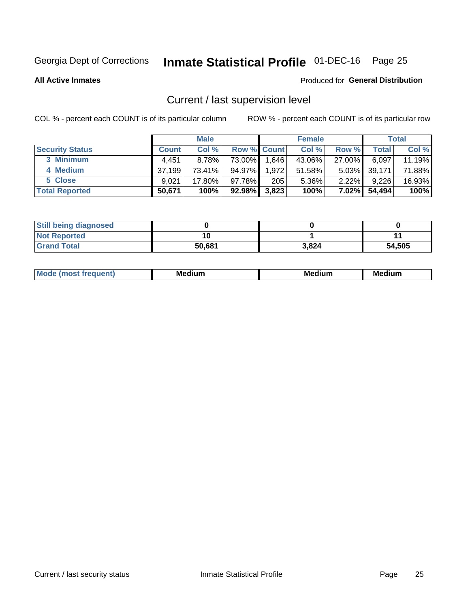### Inmate Statistical Profile 01-DEC-16 Page 25

**All Active Inmates** 

#### Produced for General Distribution

### Current / last supervision level

COL % - percent each COUNT is of its particular column

|                        |              | <b>Male</b> |                    |       | <b>Female</b> |          |        | <b>Total</b> |
|------------------------|--------------|-------------|--------------------|-------|---------------|----------|--------|--------------|
| <b>Security Status</b> | <b>Count</b> | Col %       | <b>Row % Count</b> |       | Col %         | Row %    | Total  | Col %        |
| 3 Minimum              | 4.451        | $8.78\%$    | 73.00%             | .646  | 43.06%        | 27.00%   | 6,097  | 11.19%       |
| 4 Medium               | 37,199       | 73.41%      | 94.97%             | 1,972 | 51.58%        | $5.03\%$ | 39,171 | 71.88%       |
| 5 Close                | 9.021        | 17.80%      | 97.78%             | 205   | 5.36%         | $2.22\%$ | 9,226  | 16.93%       |
| <b>Total Reported</b>  | 50,671       | 100%        | 92.98%             | 3,823 | 100%          | $7.02\%$ | 54,494 | 100%         |

| <b>Still being diagnosed</b> |        |       |        |
|------------------------------|--------|-------|--------|
| <b>Not Reported</b>          |        |       |        |
| <b>Grand Total</b>           | 50,681 | 3,824 | 54,505 |

| M | M | . . |
|---|---|-----|
|   |   |     |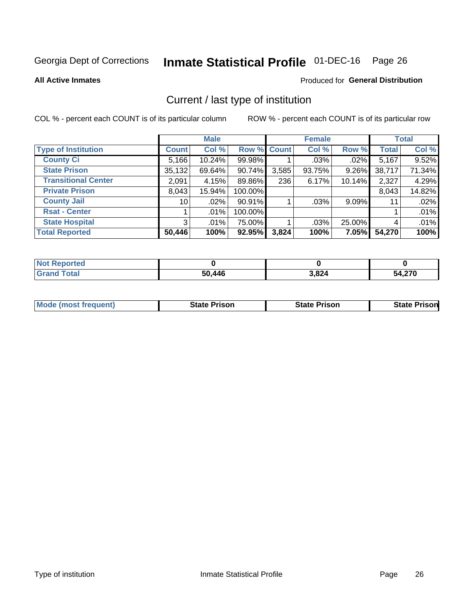### Inmate Statistical Profile 01-DEC-16 Page 26

**All Active Inmates** 

### Produced for General Distribution

### Current / last type of institution

COL % - percent each COUNT is of its particular column

|                            |                 | <b>Male</b> |             |       | <b>Female</b> |          |              | <b>Total</b> |
|----------------------------|-----------------|-------------|-------------|-------|---------------|----------|--------------|--------------|
| <b>Type of Institution</b> | <b>Count</b>    | Col %       | Row % Count |       | Col %         | Row %    | <b>Total</b> | Col %        |
| <b>County Ci</b>           | 5,166           | 10.24%      | 99.98%      |       | $.03\%$       | .02%     | 5,167        | 9.52%        |
| <b>State Prison</b>        | 35,132          | 69.64%      | 90.74%      | 3,585 | 93.75%        | 9.26%    | 38,717       | 71.34%       |
| <b>Transitional Center</b> | 2,091           | 4.15%       | 89.86%      | 236   | 6.17%         | 10.14%   | 2,327        | 4.29%        |
| <b>Private Prison</b>      | 8,043           | 15.94%      | 100.00%     |       |               |          | 8,043        | 14.82%       |
| <b>County Jail</b>         | 10 <sup>1</sup> | .02%        | 90.91%      |       | .03%          | $9.09\%$ | 11           | .02%         |
| <b>Rsat - Center</b>       |                 | $.01\%$     | 100.00%     |       |               |          |              | .01%         |
| <b>State Hospital</b>      | 3 <sup>1</sup>  | $.01\%$     | 75.00%      |       | .03%          | 25.00%   | 4            | .01%         |
| <b>Total Reported</b>      | 50,446          | 100%        | 92.95%      | 3,824 | 100%          | 7.05%    | 54,270       | 100%         |

| ported<br><b>NOT</b> |        |       |                 |
|----------------------|--------|-------|-----------------|
| 'otal                | 50,446 | 3,824 | 1.270<br>54,270 |

| <b>Mode (most frequent)</b> | <b>State Prison</b> | <b>State Prison</b> | <b>State Prison</b> |
|-----------------------------|---------------------|---------------------|---------------------|
|                             |                     |                     |                     |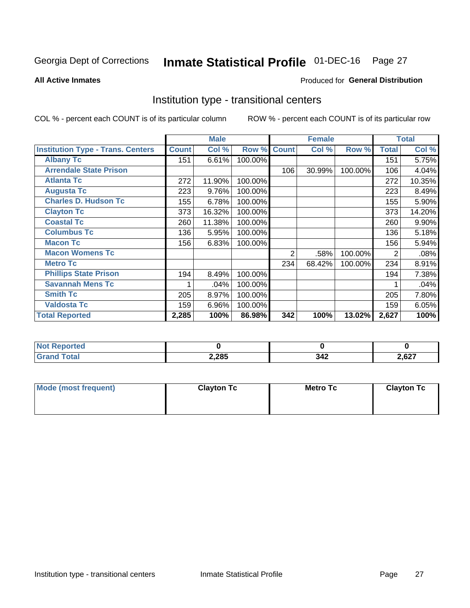### Inmate Statistical Profile 01-DEC-16 Page 27

#### **All Active Inmates**

### Produced for General Distribution

### Institution type - transitional centers

COL % - percent each COUNT is of its particular column

|                                          |              | <b>Male</b> |         |              | <b>Female</b> |         |              | <b>Total</b> |
|------------------------------------------|--------------|-------------|---------|--------------|---------------|---------|--------------|--------------|
| <b>Institution Type - Trans. Centers</b> | <b>Count</b> | Col %       | Row %   | <b>Count</b> | Col %         | Row %   | <b>Total</b> | Col %        |
| <b>Albany Tc</b>                         | 151          | 6.61%       | 100.00% |              |               |         | 151          | 5.75%        |
| <b>Arrendale State Prison</b>            |              |             |         | 106          | 30.99%        | 100.00% | 106          | 4.04%        |
| <b>Atlanta Tc</b>                        | 272          | 11.90%      | 100.00% |              |               |         | 272          | 10.35%       |
| <b>Augusta Tc</b>                        | 223          | 9.76%       | 100.00% |              |               |         | 223          | 8.49%        |
| <b>Charles D. Hudson Tc</b>              | 155          | 6.78%       | 100.00% |              |               |         | 155          | 5.90%        |
| <b>Clayton Tc</b>                        | 373          | 16.32%      | 100.00% |              |               |         | 373          | 14.20%       |
| <b>Coastal Tc</b>                        | 260          | 11.38%      | 100.00% |              |               |         | 260          | $9.90\%$     |
| <b>Columbus Tc</b>                       | 136          | 5.95%       | 100.00% |              |               |         | 136          | 5.18%        |
| <b>Macon Tc</b>                          | 156          | 6.83%       | 100.00% |              |               |         | 156          | 5.94%        |
| <b>Macon Womens Tc</b>                   |              |             |         | 2            | .58%          | 100.00% | 2            | .08%         |
| <b>Metro Tc</b>                          |              |             |         | 234          | 68.42%        | 100.00% | 234          | 8.91%        |
| <b>Phillips State Prison</b>             | 194          | 8.49%       | 100.00% |              |               |         | 194          | 7.38%        |
| <b>Savannah Mens Tc</b>                  |              | .04%        | 100.00% |              |               |         |              | .04%         |
| <b>Smith Tc</b>                          | 205          | 8.97%       | 100.00% |              |               |         | 205          | 7.80%        |
| <b>Valdosta Tc</b>                       | 159          | 6.96%       | 100.00% |              |               |         | 159          | 6.05%        |
| <b>Total Reported</b>                    | 2,285        | 100%        | 86.98%  | 342          | 100%          | 13.02%  | 2,627        | 100%         |

| NO<br>τeα |       |                              |               |
|-----------|-------|------------------------------|---------------|
|           | 2,285 | <b>3.46</b><br>◡┭▵<br>$\sim$ | 0.27<br>2,627 |

| Mode (most frequent) | <b>Clayton Tc</b> | <b>Metro Tc</b> | <b>Clayton Tc</b> |
|----------------------|-------------------|-----------------|-------------------|
|                      |                   |                 |                   |
|                      |                   |                 |                   |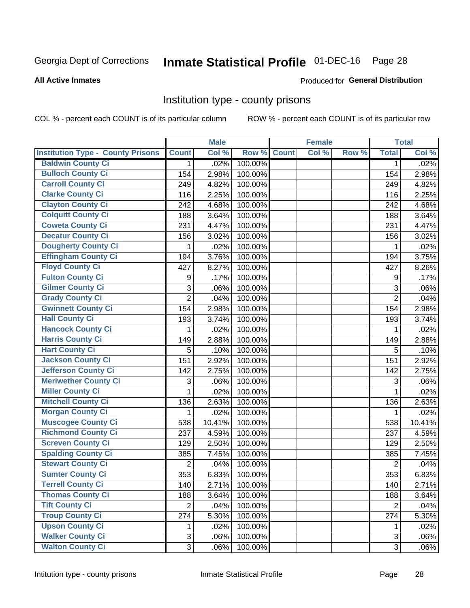### Inmate Statistical Profile 01-DEC-16 Page 28

#### **All Active Inmates**

#### Produced for General Distribution

### Institution type - county prisons

COL % - percent each COUNT is of its particular column

|                                          |                | <b>Male</b> |         |              | <b>Female</b> |       |                | <b>Total</b> |
|------------------------------------------|----------------|-------------|---------|--------------|---------------|-------|----------------|--------------|
| <b>Institution Type - County Prisons</b> | <b>Count</b>   | Col %       | Row %   | <b>Count</b> | Col %         | Row % | <b>Total</b>   | Col %        |
| <b>Baldwin County Ci</b>                 | $\mathbf{1}$   | .02%        | 100.00% |              |               |       | $\mathbf 1$    | .02%         |
| <b>Bulloch County Ci</b>                 | 154            | 2.98%       | 100.00% |              |               |       | 154            | 2.98%        |
| <b>Carroll County Ci</b>                 | 249            | 4.82%       | 100.00% |              |               |       | 249            | 4.82%        |
| <b>Clarke County Ci</b>                  | 116            | 2.25%       | 100.00% |              |               |       | 116            | 2.25%        |
| <b>Clayton County Ci</b>                 | 242            | 4.68%       | 100.00% |              |               |       | 242            | 4.68%        |
| <b>Colquitt County Ci</b>                | 188            | 3.64%       | 100.00% |              |               |       | 188            | 3.64%        |
| <b>Coweta County Ci</b>                  | 231            | 4.47%       | 100.00% |              |               |       | 231            | 4.47%        |
| <b>Decatur County Ci</b>                 | 156            | 3.02%       | 100.00% |              |               |       | 156            | 3.02%        |
| <b>Dougherty County Ci</b>               | 1              | .02%        | 100.00% |              |               |       | 1              | .02%         |
| <b>Effingham County Ci</b>               | 194            | 3.76%       | 100.00% |              |               |       | 194            | 3.75%        |
| <b>Floyd County Ci</b>                   | 427            | 8.27%       | 100.00% |              |               |       | 427            | 8.26%        |
| <b>Fulton County Ci</b>                  | 9              | .17%        | 100.00% |              |               |       | 9              | .17%         |
| <b>Gilmer County Ci</b>                  | $\mathbf{3}$   | .06%        | 100.00% |              |               |       | 3              | .06%         |
| <b>Grady County Ci</b>                   | $\overline{2}$ | .04%        | 100.00% |              |               |       | $\overline{2}$ | .04%         |
| <b>Gwinnett County Ci</b>                | 154            | 2.98%       | 100.00% |              |               |       | 154            | 2.98%        |
| <b>Hall County Ci</b>                    | 193            | 3.74%       | 100.00% |              |               |       | 193            | 3.74%        |
| <b>Hancock County Ci</b>                 | 1              | .02%        | 100.00% |              |               |       | 1              | .02%         |
| <b>Harris County Ci</b>                  | 149            | 2.88%       | 100.00% |              |               |       | 149            | 2.88%        |
| <b>Hart County Ci</b>                    | 5              | .10%        | 100.00% |              |               |       | 5              | .10%         |
| <b>Jackson County Ci</b>                 | 151            | 2.92%       | 100.00% |              |               |       | 151            | 2.92%        |
| <b>Jefferson County Ci</b>               | 142            | 2.75%       | 100.00% |              |               |       | 142            | 2.75%        |
| <b>Meriwether County Ci</b>              | 3              | .06%        | 100.00% |              |               |       | 3              | .06%         |
| <b>Miller County Ci</b>                  | 1              | .02%        | 100.00% |              |               |       | 1              | .02%         |
| <b>Mitchell County Ci</b>                | 136            | 2.63%       | 100.00% |              |               |       | 136            | 2.63%        |
| <b>Morgan County Ci</b>                  | 1              | .02%        | 100.00% |              |               |       | 1              | .02%         |
| <b>Muscogee County Ci</b>                | 538            | 10.41%      | 100.00% |              |               |       | 538            | 10.41%       |
| <b>Richmond County Ci</b>                | 237            | 4.59%       | 100.00% |              |               |       | 237            | 4.59%        |
| <b>Screven County Ci</b>                 | 129            | 2.50%       | 100.00% |              |               |       | 129            | 2.50%        |
| <b>Spalding County Ci</b>                | 385            | 7.45%       | 100.00% |              |               |       | 385            | 7.45%        |
| <b>Stewart County Ci</b>                 | $\overline{2}$ | .04%        | 100.00% |              |               |       | $\overline{2}$ | .04%         |
| <b>Sumter County Ci</b>                  | 353            | 6.83%       | 100.00% |              |               |       | 353            | 6.83%        |
| <b>Terrell County Ci</b>                 | 140            | 2.71%       | 100.00% |              |               |       | 140            | 2.71%        |
| <b>Thomas County Ci</b>                  | 188            | 3.64%       | 100.00% |              |               |       | 188            | 3.64%        |
| <b>Tift County Ci</b>                    | $\overline{2}$ | .04%        | 100.00% |              |               |       | $\overline{2}$ | .04%         |
| <b>Troup County Ci</b>                   | 274            | 5.30%       | 100.00% |              |               |       | 274            | 5.30%        |
| <b>Upson County Ci</b>                   | 1              | .02%        | 100.00% |              |               |       | 1              | .02%         |
| <b>Walker County Ci</b>                  | 3              | .06%        | 100.00% |              |               |       | 3              | .06%         |
| <b>Walton County Ci</b>                  | 3              | .06%        | 100.00% |              |               |       | 3              | .06%         |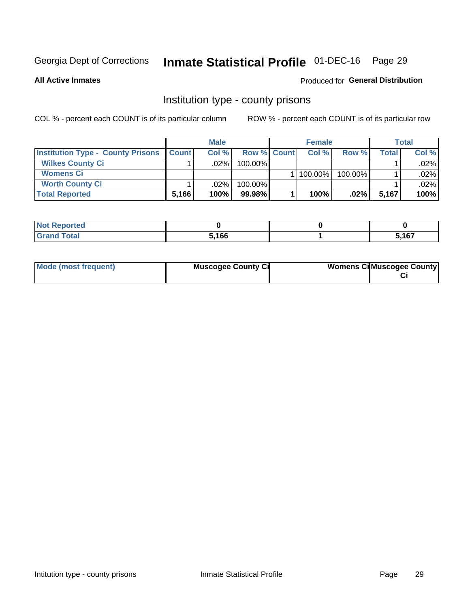### Inmate Statistical Profile 01-DEC-16 Page 29

**All Active Inmates** 

### **Produced for General Distribution**

### Institution type - county prisons

COL % - percent each COUNT is of its particular column

|                                          |              | <b>Male</b> |                    | <b>Female</b> |         |       | <b>Total</b> |
|------------------------------------------|--------------|-------------|--------------------|---------------|---------|-------|--------------|
| <b>Institution Type - County Prisons</b> | <b>Count</b> | Col%        | <b>Row % Count</b> | Col%          | Row %   | Total | Col %        |
| <b>Wilkes County Ci</b>                  |              | .02%        | 100.00%            |               |         |       | $.02\%$      |
| <b>Womens Ci</b>                         |              |             |                    | 100.00%       | 100.00% |       | .02%         |
| <b>Worth County Ci</b>                   |              | $.02\%$     | 100.00%            |               |         |       | $.02\%$      |
| <b>Total Reported</b>                    | 5,166        | 100%        | $99.98\%$          | 100%          | $.02\%$ | 5.167 | 100%         |

| τeα   |       |               |
|-------|-------|---------------|
| _____ | 5,166 | E 407<br>י שי |

| Mode (most frequent) | <b>Muscogee County Ci</b> | <b>Womens Ci</b> Muscogee County |
|----------------------|---------------------------|----------------------------------|
|----------------------|---------------------------|----------------------------------|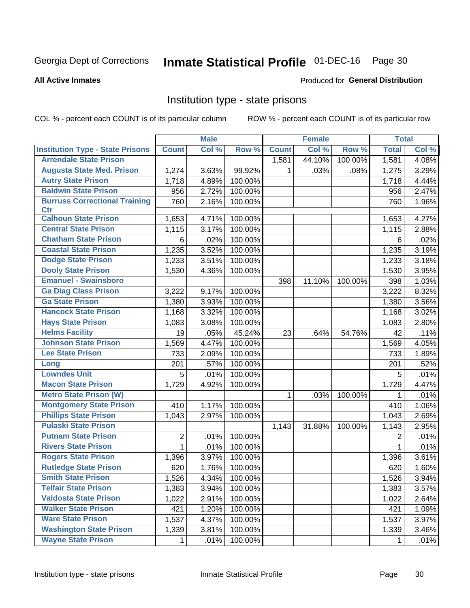### Inmate Statistical Profile 01-DEC-16 Page 30

#### **All Active Inmates**

#### Produced for General Distribution

### Institution type - state prisons

COL % - percent each COUNT is of its particular column

|                                         |              | <b>Male</b> |         |              | <b>Female</b> |         | <b>Total</b> |       |
|-----------------------------------------|--------------|-------------|---------|--------------|---------------|---------|--------------|-------|
| <b>Institution Type - State Prisons</b> | <b>Count</b> | Col %       | Row %   | <b>Count</b> | Col %         | Row %   | <b>Total</b> | Col % |
| <b>Arrendale State Prison</b>           |              |             |         | 1,581        | 44.10%        | 100.00% | 1,581        | 4.08% |
| <b>Augusta State Med. Prison</b>        | 1,274        | 3.63%       | 99.92%  | 1.           | .03%          | .08%    | 1,275        | 3.29% |
| <b>Autry State Prison</b>               | 1,718        | 4.89%       | 100.00% |              |               |         | 1,718        | 4.44% |
| <b>Baldwin State Prison</b>             | 956          | 2.72%       | 100.00% |              |               |         | 956          | 2.47% |
| <b>Burruss Correctional Training</b>    | 760          | 2.16%       | 100.00% |              |               |         | 760          | 1.96% |
| <b>Ctr</b>                              |              |             |         |              |               |         |              |       |
| <b>Calhoun State Prison</b>             | 1,653        | 4.71%       | 100.00% |              |               |         | 1,653        | 4.27% |
| <b>Central State Prison</b>             | 1,115        | 3.17%       | 100.00% |              |               |         | 1,115        | 2.88% |
| <b>Chatham State Prison</b>             | 6            | .02%        | 100.00% |              |               |         | 6            | .02%  |
| <b>Coastal State Prison</b>             | 1,235        | 3.52%       | 100.00% |              |               |         | 1,235        | 3.19% |
| <b>Dodge State Prison</b>               | 1,233        | 3.51%       | 100.00% |              |               |         | 1,233        | 3.18% |
| <b>Dooly State Prison</b>               | 1,530        | 4.36%       | 100.00% |              |               |         | 1,530        | 3.95% |
| <b>Emanuel - Swainsboro</b>             |              |             |         | 398          | 11.10%        | 100.00% | 398          | 1.03% |
| <b>Ga Diag Class Prison</b>             | 3,222        | 9.17%       | 100.00% |              |               |         | 3,222        | 8.32% |
| <b>Ga State Prison</b>                  | 1,380        | 3.93%       | 100.00% |              |               |         | 1,380        | 3.56% |
| <b>Hancock State Prison</b>             | 1,168        | 3.32%       | 100.00% |              |               |         | 1,168        | 3.02% |
| <b>Hays State Prison</b>                | 1,083        | 3.08%       | 100.00% |              |               |         | 1,083        | 2.80% |
| <b>Helms Facility</b>                   | 19           | .05%        | 45.24%  | 23           | .64%          | 54.76%  | 42           | .11%  |
| <b>Johnson State Prison</b>             | 1,569        | 4.47%       | 100.00% |              |               |         | 1,569        | 4.05% |
| <b>Lee State Prison</b>                 | 733          | 2.09%       | 100.00% |              |               |         | 733          | 1.89% |
| Long                                    | 201          | .57%        | 100.00% |              |               |         | 201          | .52%  |
| <b>Lowndes Unit</b>                     | 5            | .01%        | 100.00% |              |               |         | 5            | .01%  |
| <b>Macon State Prison</b>               | 1,729        | 4.92%       | 100.00% |              |               |         | 1,729        | 4.47% |
| <b>Metro State Prison (W)</b>           |              |             |         | 1            | .03%          | 100.00% | 1            | .01%  |
| <b>Montgomery State Prison</b>          | 410          | 1.17%       | 100.00% |              |               |         | 410          | 1.06% |
| <b>Phillips State Prison</b>            | 1,043        | 2.97%       | 100.00% |              |               |         | 1,043        | 2.69% |
| <b>Pulaski State Prison</b>             |              |             |         | 1,143        | 31.88%        | 100.00% | 1,143        | 2.95% |
| <b>Putnam State Prison</b>              | 2            | .01%        | 100.00% |              |               |         | 2            | .01%  |
| <b>Rivers State Prison</b>              | 1            | .01%        | 100.00% |              |               |         | 1            | .01%  |
| <b>Rogers State Prison</b>              | 1,396        | 3.97%       | 100.00% |              |               |         | 1,396        | 3.61% |
| <b>Rutledge State Prison</b>            | 620          | 1.76%       | 100.00% |              |               |         | 620          | 1.60% |
| <b>Smith State Prison</b>               | 1,526        | 4.34%       | 100.00% |              |               |         | 1,526        | 3.94% |
| <b>Telfair State Prison</b>             | 1,383        | 3.94%       | 100.00% |              |               |         | 1,383        | 3.57% |
| <b>Valdosta State Prison</b>            | 1,022        | 2.91%       | 100.00% |              |               |         | 1,022        | 2.64% |
| <b>Walker State Prison</b>              | 421          | 1.20%       | 100.00% |              |               |         | 421          | 1.09% |
| <b>Ware State Prison</b>                | 1,537        | 4.37%       | 100.00% |              |               |         | 1,537        | 3.97% |
| <b>Washington State Prison</b>          | 1,339        | 3.81%       | 100.00% |              |               |         | 1,339        | 3.46% |
| <b>Wayne State Prison</b>               | 1            | .01%        | 100.00% |              |               |         | 1            | .01%  |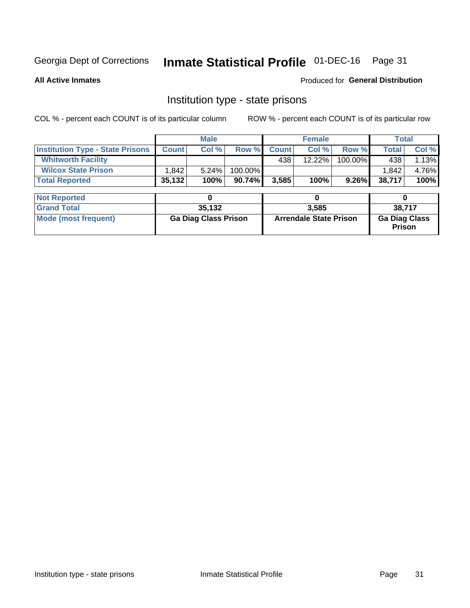### Inmate Statistical Profile 01-DEC-16 Page 31

**All Active Inmates** 

Produced for General Distribution

### Institution type - state prisons

COL % - percent each COUNT is of its particular column

|                                         |              | <b>Male</b>                 |         | <b>Female</b> |                               |         | <b>Total</b>                   |        |
|-----------------------------------------|--------------|-----------------------------|---------|---------------|-------------------------------|---------|--------------------------------|--------|
| <b>Institution Type - State Prisons</b> | <b>Count</b> | Col %                       | Row %   | <b>Count</b>  | Col %                         | Row %   | <b>Total</b>                   | Col %  |
| <b>Whitworth Facility</b>               |              |                             |         | 438           | $12.22\%$                     | 100.00% | 438                            | 1.13%  |
| <b>Wilcox State Prison</b>              | 1,842        | 5.24%                       | 100.00% |               |                               |         | 1,842                          | 4.76%  |
| <b>Total Reported</b>                   | 35,132       | 100%                        | 90.74%  | 3,585         | 100%                          | 9.26%   | 38,717                         | 100%   |
|                                         |              |                             |         |               |                               |         |                                |        |
| <b>Not Reported</b>                     |              | 0                           |         |               | 0                             |         | 0                              |        |
| <b>Grand Total</b>                      |              | 35,132                      |         |               | 3,585                         |         |                                | 38,717 |
| <b>Mode (most frequent)</b>             |              | <b>Ga Diag Class Prison</b> |         |               | <b>Arrendale State Prison</b> |         | <b>Ga Diag Class</b><br>Prison |        |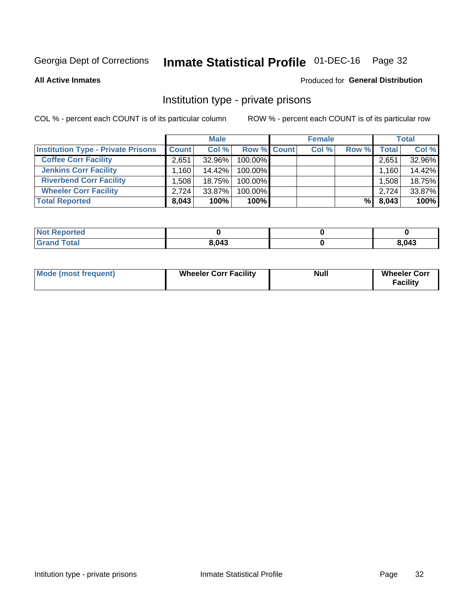### Inmate Statistical Profile 01-DEC-16 Page 32

**All Active Inmates** 

### Produced for General Distribution

### Institution type - private prisons

COL % - percent each COUNT is of its particular column

|                                           |              | <b>Male</b> |                    | <b>Female</b> |       |       | <b>Total</b> |
|-------------------------------------------|--------------|-------------|--------------------|---------------|-------|-------|--------------|
| <b>Institution Type - Private Prisons</b> | <b>Count</b> | Col %       | <b>Row % Count</b> | Col %         | Row % | Total | Col %        |
| <b>Coffee Corr Facility</b>               | 2.651        | $32.96\%$   | 100.00%            |               |       | 2,651 | 32.96%       |
| <b>Jenkins Corr Facility</b>              | ⊺160.،       | 14.42%      | $100.00\%$         |               |       | 1,160 | 14.42%       |
| <b>Riverbend Corr Facility</b>            | .508         | 18.75%      | 100.00%            |               |       | 1,508 | 18.75%       |
| <b>Wheeler Corr Facility</b>              | 2,724        | 33.87%      | 100.00%            |               |       | 2,724 | 33.87%       |
| <b>Total Reported</b>                     | 8,043        | 100%        | 100%               |               | %I    | 8,043 | 100%         |

| <b>Not Reported</b> |       |       |
|---------------------|-------|-------|
| <b>Total</b>        | 8,043 | 8,043 |

| <b>Mode (most frequent)</b> | <b>Wheeler Corr Facility</b> | <b>Null</b> | <b>Wheeler Corr</b><br><b>Facility</b> |
|-----------------------------|------------------------------|-------------|----------------------------------------|
|-----------------------------|------------------------------|-------------|----------------------------------------|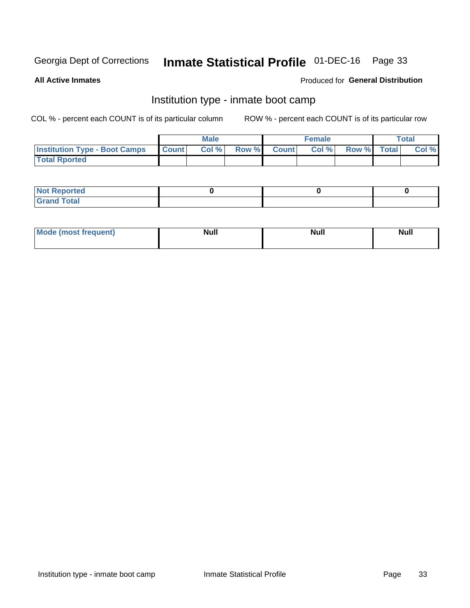### Inmate Statistical Profile 01-DEC-16 Page 33

**All Active Inmates** 

### Produced for General Distribution

### Institution type - inmate boot camp

COL % - percent each COUNT is of its particular column

|                                            | <b>Male</b> |                    | <b>Female</b> |             | <b>Total</b> |
|--------------------------------------------|-------------|--------------------|---------------|-------------|--------------|
| <b>Institution Type - Boot Camps Count</b> | Col%        | <b>Row % Count</b> | Col%          | Row % Total | Col %        |
| <b>Total Rported</b>                       |             |                    |               |             |              |

| <b>Not Reported</b>            |  |  |
|--------------------------------|--|--|
| <b>Total</b><br>C <sub>r</sub> |  |  |

| Mod<br>uamo | Nul.<br>$- - - - - -$ | <b>Null</b> | . .<br>uu.<br>------ |
|-------------|-----------------------|-------------|----------------------|
|             |                       |             |                      |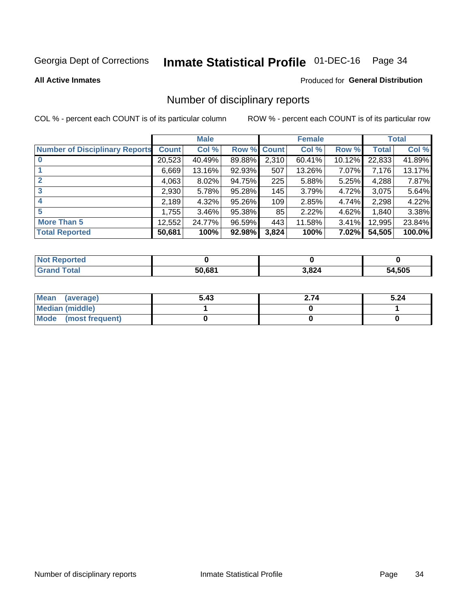### Inmate Statistical Profile 01-DEC-16 Page 34

#### **All Active Inmates**

### Produced for General Distribution

### Number of disciplinary reports

COL % - percent each COUNT is of its particular column

|                                       |              | <b>Male</b> |        |       | <b>Female</b> |           |              | <b>Total</b> |
|---------------------------------------|--------------|-------------|--------|-------|---------------|-----------|--------------|--------------|
| <b>Number of Disciplinary Reports</b> | <b>Count</b> | Col %       | Row %  | Count | Col %         | Row %     | <b>Total</b> | Col %        |
|                                       | 20,523       | 40.49%      | 89.88% | 2,310 | 60.41%        | $10.12\%$ | 22,833       | 41.89%       |
|                                       | 6,669        | 13.16%      | 92.93% | 507   | 13.26%        | $7.07\%$  | 7.176        | 13.17%       |
|                                       | 4,063        | $8.02\%$    | 94.75% | 225   | 5.88%         | $5.25\%$  | 4,288        | 7.87%        |
| 3                                     | 2,930        | 5.78%       | 95.28% | 145   | 3.79%         | 4.72%     | 3,075        | 5.64%        |
| 4                                     | 2,189        | 4.32%       | 95.26% | 109   | 2.85%         | 4.74%     | 2,298        | 4.22%        |
| 5                                     | 1,755        | $3.46\%$    | 95.38% | 85    | 2.22%         | 4.62%     | 1,840        | 3.38%        |
| <b>More Than 5</b>                    | 12,552       | 24.77%      | 96.59% | 443   | 11.58%        | 3.41%     | 12,995       | 23.84%       |
| <b>Total Reported</b>                 | 50,681       | 100%        | 92.98% | 3,824 | 100%          | 7.02%     | 54,505       | 100.0%       |

| วrted<br>NOI |        |       |        |
|--------------|--------|-------|--------|
| <b>Total</b> | 50.681 | 3,824 | 54,505 |

| Mean (average)       | 5.43 | 2.74 | 5.24 |
|----------------------|------|------|------|
| Median (middle)      |      |      |      |
| Mode (most frequent) |      |      |      |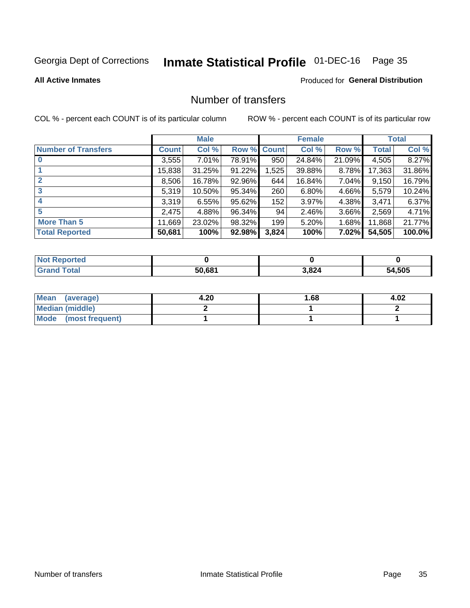### Inmate Statistical Profile 01-DEC-16 Page 35

### **All Active Inmates**

### **Produced for General Distribution**

### Number of transfers

COL % - percent each COUNT is of its particular column

|                            |         | <b>Male</b> |        |              | <b>Female</b> |          |              | <b>Total</b> |
|----------------------------|---------|-------------|--------|--------------|---------------|----------|--------------|--------------|
| <b>Number of Transfers</b> | Count l | Col %       | Row %  | <b>Count</b> | Col %         | Row %    | <b>Total</b> | Col %        |
|                            | 3,555   | $7.01\%$    | 78.91% | 950          | 24.84%        | 21.09%   | 4,505        | 8.27%        |
|                            | 15,838  | 31.25%      | 91.22% | 1,525        | 39.88%        | 8.78%    | 17,363       | 31.86%       |
| $\mathbf{2}$               | 8,506   | 16.78%      | 92.96% | 644          | 16.84%        | 7.04%    | 9,150        | 16.79%       |
| 3                          | 5,319   | 10.50%      | 95.34% | 260          | 6.80%         | 4.66%    | 5,579        | 10.24%       |
| 4                          | 3,319   | 6.55%       | 95.62% | 152          | 3.97%         | 4.38%    | 3.471        | 6.37%        |
| 5                          | 2,475   | 4.88%       | 96.34% | 94           | 2.46%         | $3.66\%$ | 2,569        | 4.71%        |
| <b>More Than 5</b>         | 11,669  | 23.02%      | 98.32% | 199          | 5.20%         | 1.68%    | 11,868       | 21.77%       |
| <b>Total Reported</b>      | 50,681  | 100%        | 92.98% | 3,824        | 100%          | 7.02%    | 54,505       | 100.0%       |

| วrted<br>NOI |        |       |        |
|--------------|--------|-------|--------|
| <b>Total</b> | 50.681 | 3,824 | 54,505 |

| Mean (average)         | 4.20 | l.68 | 4.02 |
|------------------------|------|------|------|
| <b>Median (middle)</b> |      |      |      |
| Mode (most frequent)   |      |      |      |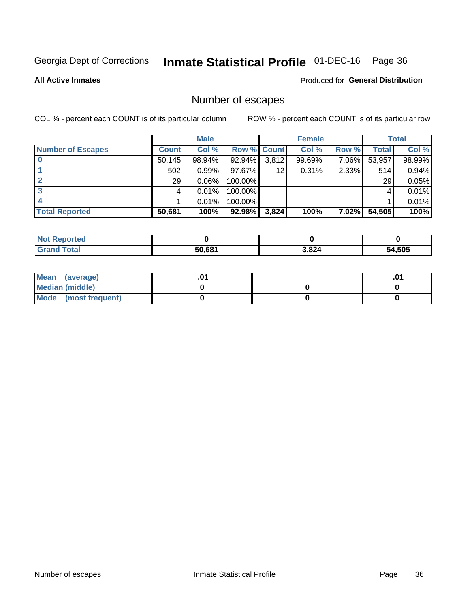### Inmate Statistical Profile 01-DEC-16 Page 36

Produced for General Distribution

**All Active Inmates** 

### Number of escapes

COL % - percent each COUNT is of its particular column

|                          |              | <b>Male</b> |                    |       | <b>Female</b> |          |        | <b>Total</b> |
|--------------------------|--------------|-------------|--------------------|-------|---------------|----------|--------|--------------|
| <b>Number of Escapes</b> | <b>Count</b> | Col %       | <b>Row % Count</b> |       | Col %         | Row %    | Total  | Col %        |
|                          | 50,145       | 98.94%      | 92.94%             | 3,812 | 99.69%        | 7.06%    | 53,957 | 98.99%       |
|                          | 502          | $0.99\%$    | 97.67%             | 12    | 0.31%         | 2.33%    | 514    | 0.94%        |
|                          | 29           | 0.06%       | 100.00%            |       |               |          | 29     | 0.05%        |
|                          |              | 0.01%       | $100.00\%$         |       |               |          |        | 0.01%        |
|                          |              | 0.01%       | 100.00%            |       |               |          |        | 0.01%        |
| <b>Total Reported</b>    | 50,681       | 100%        | $92.98\%$          | 3,824 | 100%          | $7.02\%$ | 54,505 | 100%         |

| <b>Not Reported</b> |        |       |             |
|---------------------|--------|-------|-------------|
| Total               | 50,681 | 3,824 | .505<br>- ה |

| Mean (average)         |  | .0 <sup>4</sup> |
|------------------------|--|-----------------|
| <b>Median (middle)</b> |  |                 |
| Mode (most frequent)   |  |                 |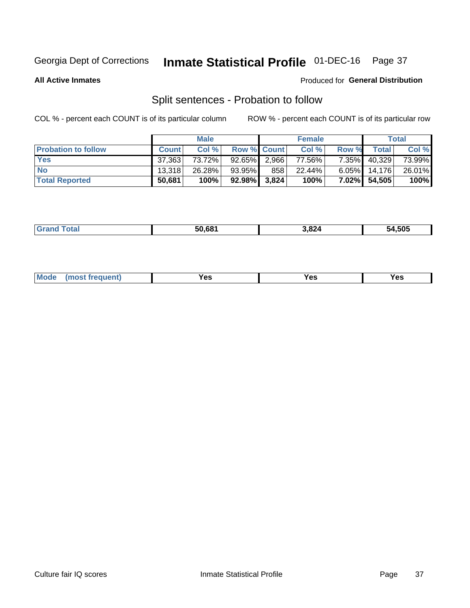### Inmate Statistical Profile 01-DEC-16 Page 37

**All Active Inmates** 

### Produced for General Distribution

### Split sentences - Probation to follow

COL % - percent each COUNT is of its particular column

|                            |              | <b>Male</b> |                    |     | <b>Female</b> |          |                 | <b>Total</b> |
|----------------------------|--------------|-------------|--------------------|-----|---------------|----------|-----------------|--------------|
| <b>Probation to follow</b> | <b>Count</b> | Col%        | <b>Row % Count</b> |     | Col %         | Row %    | Total           | Col %        |
| <b>Yes</b>                 | 37,363       | 73.72%      | $92.65\%$   2,966  |     | 77.56%        | $7.35\%$ | 40,329          | 73.99%       |
| <b>No</b>                  | 13.318       | 26.28%      | 93.95%             | 858 | 22.44%        |          | $6.05\%$ 14,176 | 26.01%       |
| <b>Total Reported</b>      | 50,681       | 100%        | 92.98% 3,824       |     | 100%          | 7.02%    | 54,505          | 100%         |

|  | ______ | 50.681 | .824<br>__ | 54.505 |
|--|--------|--------|------------|--------|
|--|--------|--------|------------|--------|

| <b>Mode</b><br>reauent)<br>Yes<br>v^c<br>0٥<br>.<br>. .<br>$\sim$ |
|-------------------------------------------------------------------|
|-------------------------------------------------------------------|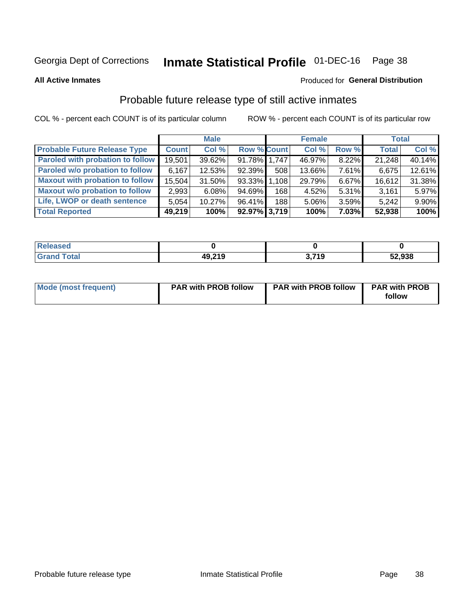### Inmate Statistical Profile 01-DEC-16 Page 38

**All Active Inmates** 

### Produced for General Distribution

### Probable future release type of still active inmates

COL % - percent each COUNT is of its particular column

|                                         |              | <b>Male</b> |                    |     | <b>Female</b> |          | <b>Total</b> |        |
|-----------------------------------------|--------------|-------------|--------------------|-----|---------------|----------|--------------|--------|
| <b>Probable Future Release Type</b>     | <b>Count</b> | Col %       | <b>Row % Count</b> |     | Col %         | Row %    | <b>Total</b> | Col %  |
| <b>Paroled with probation to follow</b> | 19,501       | 39.62%      | 91.78% 1,747       |     | 46.97%        | 8.22%    | 21,248       | 40.14% |
| Paroled w/o probation to follow         | 6,167        | 12.53%      | 92.39%             | 508 | 13.66%        | 7.61%    | 6,675        | 12.61% |
| <b>Maxout with probation to follow</b>  | 15,504       | 31.50%      | 93.33% 1.108       |     | 29.79%        | 6.67%    | 16,612       | 31.38% |
| <b>Maxout w/o probation to follow</b>   | 2,993        | 6.08%       | 94.69%             | 168 | 4.52%         | 5.31%    | 3,161        | 5.97%  |
| Life, LWOP or death sentence            | 5,054        | 10.27%      | 96.41%             | 188 | 5.06%         | 3.59%    | 5,242        | 9.90%  |
| <b>Total Reported</b>                   | 49,219       | 100%        | 92.97% 3,719       |     | 100%          | $7.03\%$ | 52,938       | 100%   |

| eleased      |        |                          |        |
|--------------|--------|--------------------------|--------|
| <b>cotal</b> | 49 210 | <b>710</b><br>- -<br>. . | 52,938 |

| <b>Mode (most frequent)</b> | <b>PAR with PROB follow</b> | <b>PAR with PROB follow</b> | <b>PAR with PROB</b> |
|-----------------------------|-----------------------------|-----------------------------|----------------------|
|                             |                             |                             | follow               |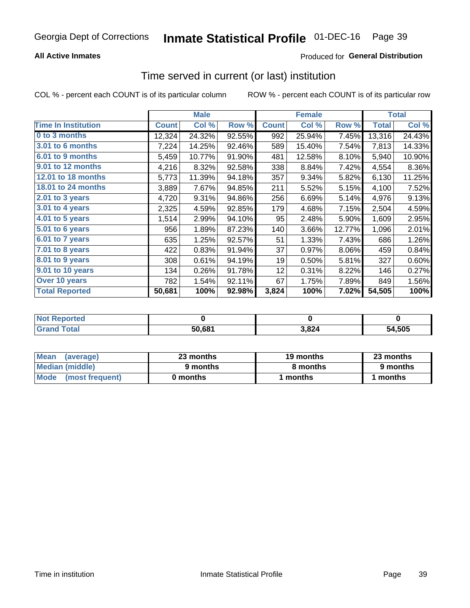### **All Active Inmates**

### **Produced for General Distribution**

# Time served in current (or last) institution

COL % - percent each COUNT is of its particular column

|                            |              | <b>Male</b> |        |              | <b>Female</b> |        |              | <b>Total</b> |
|----------------------------|--------------|-------------|--------|--------------|---------------|--------|--------------|--------------|
| <b>Time In Institution</b> | <b>Count</b> | Col %       | Row %  | <b>Count</b> | Col %         | Row %  | <b>Total</b> | Col %        |
| 0 to 3 months              | 12,324       | 24.32%      | 92.55% | 992          | 25.94%        | 7.45%  | 13,316       | 24.43%       |
| 3.01 to 6 months           | 7,224        | 14.25%      | 92.46% | 589          | 15.40%        | 7.54%  | 7,813        | 14.33%       |
| 6.01 to 9 months           | 5,459        | 10.77%      | 91.90% | 481          | 12.58%        | 8.10%  | 5,940        | 10.90%       |
| 9.01 to 12 months          | 4,216        | 8.32%       | 92.58% | 338          | 8.84%         | 7.42%  | 4,554        | 8.36%        |
| <b>12.01 to 18 months</b>  | 5,773        | 11.39%      | 94.18% | 357          | 9.34%         | 5.82%  | 6,130        | 11.25%       |
| 18.01 to 24 months         | 3,889        | 7.67%       | 94.85% | 211          | 5.52%         | 5.15%  | 4,100        | 7.52%        |
| $2.01$ to 3 years          | 4,720        | 9.31%       | 94.86% | 256          | 6.69%         | 5.14%  | 4,976        | 9.13%        |
| 3.01 to 4 years            | 2,325        | 4.59%       | 92.85% | 179          | 4.68%         | 7.15%  | 2,504        | 4.59%        |
| 4.01 to 5 years            | 1,514        | 2.99%       | 94.10% | 95           | 2.48%         | 5.90%  | 1,609        | 2.95%        |
| 5.01 to 6 years            | 956          | 1.89%       | 87.23% | 140          | 3.66%         | 12.77% | 1,096        | 2.01%        |
| 6.01 to 7 years            | 635          | 1.25%       | 92.57% | 51           | 1.33%         | 7.43%  | 686          | 1.26%        |
| 7.01 to 8 years            | 422          | 0.83%       | 91.94% | 37           | 0.97%         | 8.06%  | 459          | 0.84%        |
| $8.01$ to 9 years          | 308          | 0.61%       | 94.19% | 19           | 0.50%         | 5.81%  | 327          | 0.60%        |
| 9.01 to 10 years           | 134          | 0.26%       | 91.78% | 12           | 0.31%         | 8.22%  | 146          | 0.27%        |
| Over 10 years              | 782          | 1.54%       | 92.11% | 67           | 1.75%         | 7.89%  | 849          | 1.56%        |
| <b>Total Reported</b>      | 50,681       | 100%        | 92.98% | 3,824        | 100%          | 7.02%  | 54,505       | 100%         |

| <b>Not</b><br>Renorted |        |     |        |
|------------------------|--------|-----|--------|
| Total                  | 50.68' | 824 | 54,505 |

| <b>Mean</b><br>(average) | 23 months | 19 months | 23 months |
|--------------------------|-----------|-----------|-----------|
| Median (middle)          | 9 months  | 8 months  | 9 months  |
| Mode (most frequent)     | 0 months  | months    | 1 months  |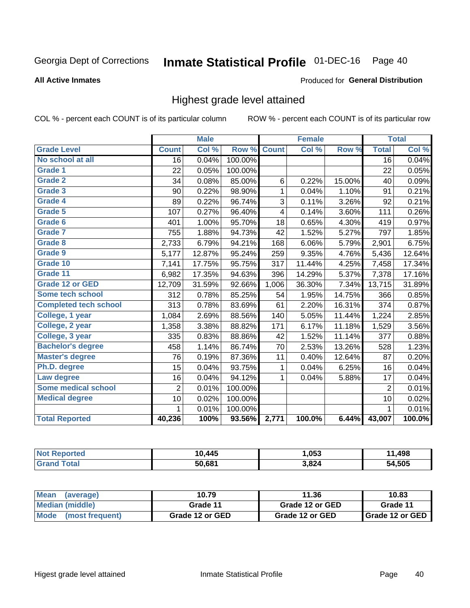#### Inmate Statistical Profile 01-DEC-16 Page 40

#### **All Active Inmates**

#### Produced for General Distribution

## Highest grade level attained

COL % - percent each COUNT is of its particular column

|                              |                 | <b>Male</b> |         |              | <b>Female</b> |        |                 | <b>Total</b> |
|------------------------------|-----------------|-------------|---------|--------------|---------------|--------|-----------------|--------------|
| <b>Grade Level</b>           | <b>Count</b>    | Col %       | Row %   | <b>Count</b> | Col %         | Row %  | <b>Total</b>    | Col %        |
| No school at all             | $\overline{16}$ | 0.04%       | 100.00% |              |               |        | $\overline{16}$ | 0.04%        |
| <b>Grade 1</b>               | 22              | 0.05%       | 100.00% |              |               |        | 22              | 0.05%        |
| <b>Grade 2</b>               | 34              | 0.08%       | 85.00%  | 6            | 0.22%         | 15.00% | 40              | 0.09%        |
| Grade 3                      | 90              | 0.22%       | 98.90%  | $\mathbf{1}$ | 0.04%         | 1.10%  | 91              | 0.21%        |
| <b>Grade 4</b>               | 89              | 0.22%       | 96.74%  | 3            | 0.11%         | 3.26%  | 92              | 0.21%        |
| Grade 5                      | 107             | 0.27%       | 96.40%  | 4            | 0.14%         | 3.60%  | 111             | 0.26%        |
| Grade 6                      | 401             | 1.00%       | 95.70%  | 18           | 0.65%         | 4.30%  | 419             | 0.97%        |
| <b>Grade 7</b>               | 755             | 1.88%       | 94.73%  | 42           | 1.52%         | 5.27%  | 797             | 1.85%        |
| Grade 8                      | 2,733           | 6.79%       | 94.21%  | 168          | 6.06%         | 5.79%  | 2,901           | 6.75%        |
| Grade 9                      | 5,177           | 12.87%      | 95.24%  | 259          | 9.35%         | 4.76%  | 5,436           | 12.64%       |
| Grade 10                     | 7,141           | 17.75%      | 95.75%  | 317          | 11.44%        | 4.25%  | 7,458           | 17.34%       |
| Grade 11                     | 6,982           | 17.35%      | 94.63%  | 396          | 14.29%        | 5.37%  | 7,378           | 17.16%       |
| <b>Grade 12 or GED</b>       | 12,709          | 31.59%      | 92.66%  | 1,006        | 36.30%        | 7.34%  | 13,715          | 31.89%       |
| <b>Some tech school</b>      | 312             | 0.78%       | 85.25%  | 54           | 1.95%         | 14.75% | 366             | 0.85%        |
| <b>Completed tech school</b> | 313             | 0.78%       | 83.69%  | 61           | 2.20%         | 16.31% | 374             | 0.87%        |
| College, 1 year              | 1,084           | 2.69%       | 88.56%  | 140          | 5.05%         | 11.44% | 1,224           | 2.85%        |
| College, 2 year              | 1,358           | 3.38%       | 88.82%  | 171          | 6.17%         | 11.18% | 1,529           | 3.56%        |
| College, 3 year              | 335             | 0.83%       | 88.86%  | 42           | 1.52%         | 11.14% | 377             | 0.88%        |
| <b>Bachelor's degree</b>     | 458             | 1.14%       | 86.74%  | 70           | 2.53%         | 13.26% | 528             | 1.23%        |
| <b>Master's degree</b>       | 76              | 0.19%       | 87.36%  | 11           | 0.40%         | 12.64% | 87              | 0.20%        |
| Ph.D. degree                 | 15              | 0.04%       | 93.75%  | $\mathbf{1}$ | 0.04%         | 6.25%  | 16              | 0.04%        |
| Law degree                   | 16              | 0.04%       | 94.12%  | $\mathbf{1}$ | 0.04%         | 5.88%  | 17              | 0.04%        |
| <b>Some medical school</b>   | $\overline{2}$  | 0.01%       | 100.00% |              |               |        | $\overline{2}$  | 0.01%        |
| <b>Medical degree</b>        | 10              | 0.02%       | 100.00% |              |               |        | 10              | 0.02%        |
|                              | $\mathbf 1$     | 0.01%       | 100.00% |              |               |        | 1               | 0.01%        |
| <b>Total Reported</b>        | 40,236          | 100%        | 93.56%  | 2,771        | 100.0%        | 6.44%  | 43,007          | 100.0%       |

| .445   | .053   | ,498<br>. . |
|--------|--------|-------------|
| 50.681 | 2 R 21 | .505<br>מי  |

| <b>Mean</b><br>(average) | 10.79           | 11.36           | 10.83           |
|--------------------------|-----------------|-----------------|-----------------|
| Median (middle)          | Grade 11        | Grade 12 or GED | Grade 11        |
| Mode<br>(most frequent)  | Grade 12 or GED | Grade 12 or GED | Grade 12 or GED |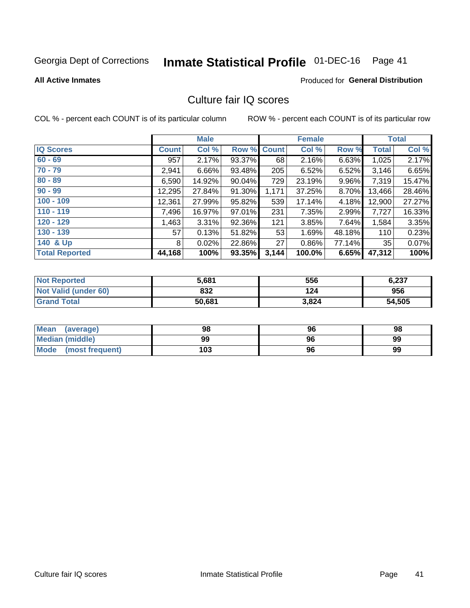# Inmate Statistical Profile 01-DEC-16 Page 41

#### **All Active Inmates**

### **Produced for General Distribution**

## Culture fair IQ scores

COL % - percent each COUNT is of its particular column

|                       |              | <b>Male</b> |             |       | <b>Female</b> |        |              | <b>Total</b> |
|-----------------------|--------------|-------------|-------------|-------|---------------|--------|--------------|--------------|
| <b>IQ Scores</b>      | <b>Count</b> | Col %       | Row % Count |       | Col %         | Row %  | <b>Total</b> | Col %        |
| $60 - 69$             | 957          | 2.17%       | 93.37%      | 68    | 2.16%         | 6.63%  | 1,025        | 2.17%        |
| $70 - 79$             | 2,941        | 6.66%       | 93.48%      | 205   | 6.52%         | 6.52%  | 3,146        | 6.65%        |
| $80 - 89$             | 6,590        | 14.92%      | 90.04%      | 729   | 23.19%        | 9.96%  | 7,319        | 15.47%       |
| $90 - 99$             | 12,295       | 27.84%      | 91.30%      | 1,171 | 37.25%        | 8.70%  | 13,466       | 28.46%       |
| $100 - 109$           | 12,361       | 27.99%      | 95.82%      | 539   | 17.14%        | 4.18%  | 12,900       | 27.27%       |
| $110 - 119$           | 7,496        | 16.97%      | 97.01%      | 231   | 7.35%         | 2.99%  | 7,727        | 16.33%       |
| $120 - 129$           | ,463         | 3.31%       | 92.36%      | 121   | 3.85%         | 7.64%  | 1,584        | 3.35%        |
| $130 - 139$           | 57           | 0.13%       | 51.82%      | 53    | 1.69%         | 48.18% | 110          | 0.23%        |
| 140 & Up              | 8            | 0.02%       | 22.86%      | 27    | 0.86%         | 77.14% | 35           | 0.07%        |
| <b>Total Reported</b> | 44,168       | 100%        | 93.35%      | 3,144 | 100.0%        | 6.65%  | 47,312       | 100%         |

| <b>Not Reported</b>         | 5.681  | 556   | 6,237  |
|-----------------------------|--------|-------|--------|
| <b>Not Valid (under 60)</b> | 832    | 124   | 956    |
| <b>Grand Total</b>          | 50,681 | 3,824 | 54,505 |

| <b>Mean</b><br>(average)       | 98  | 96 | 98 |
|--------------------------------|-----|----|----|
| Median (middle)                | 99  | 96 | 99 |
| <b>Mode</b><br>(most frequent) | 103 | 96 | 99 |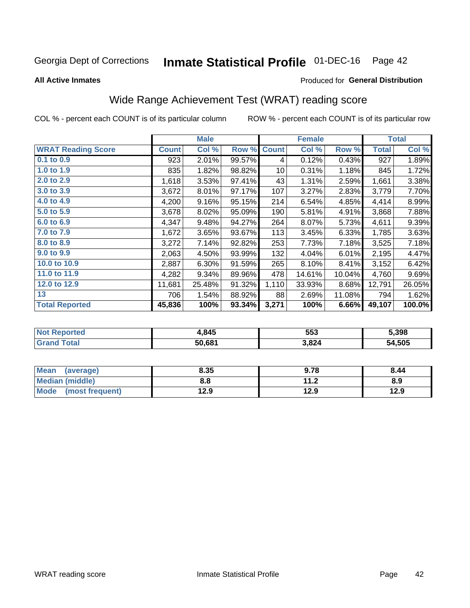#### **Inmate Statistical Profile 01-DEC-16** Page 42

**All Active Inmates** 

#### Produced for General Distribution

# Wide Range Achievement Test (WRAT) reading score

COL % - percent each COUNT is of its particular column

|                           |              | <b>Male</b> |        |              | <b>Female</b> |        |              | <b>Total</b> |
|---------------------------|--------------|-------------|--------|--------------|---------------|--------|--------------|--------------|
| <b>WRAT Reading Score</b> | <b>Count</b> | Col %       | Row %  | <b>Count</b> | Col %         | Row %  | <b>Total</b> | Col %        |
| 0.1 to 0.9                | 923          | 2.01%       | 99.57% | 4            | 0.12%         | 0.43%  | 927          | 1.89%        |
| 1.0 to 1.9                | 835          | 1.82%       | 98.82% | 10           | 0.31%         | 1.18%  | 845          | 1.72%        |
| 2.0 to 2.9                | 1,618        | 3.53%       | 97.41% | 43           | 1.31%         | 2.59%  | 1,661        | 3.38%        |
| 3.0 to 3.9                | 3,672        | 8.01%       | 97.17% | 107          | 3.27%         | 2.83%  | 3,779        | 7.70%        |
| 4.0 to 4.9                | 4,200        | 9.16%       | 95.15% | 214          | 6.54%         | 4.85%  | 4,414        | 8.99%        |
| 5.0 to 5.9                | 3,678        | 8.02%       | 95.09% | 190          | 5.81%         | 4.91%  | 3,868        | 7.88%        |
| 6.0 to 6.9                | 4,347        | 9.48%       | 94.27% | 264          | 8.07%         | 5.73%  | 4,611        | 9.39%        |
| 7.0 to 7.9                | 1,672        | 3.65%       | 93.67% | 113          | 3.45%         | 6.33%  | 1,785        | 3.63%        |
| 8.0 to 8.9                | 3,272        | 7.14%       | 92.82% | 253          | 7.73%         | 7.18%  | 3,525        | 7.18%        |
| 9.0 to 9.9                | 2,063        | 4.50%       | 93.99% | 132          | 4.04%         | 6.01%  | 2,195        | 4.47%        |
| 10.0 to 10.9              | 2,887        | 6.30%       | 91.59% | 265          | 8.10%         | 8.41%  | 3,152        | 6.42%        |
| 11.0 to 11.9              | 4,282        | 9.34%       | 89.96% | 478          | 14.61%        | 10.04% | 4,760        | 9.69%        |
| 12.0 to 12.9              | 11,681       | 25.48%      | 91.32% | 1,110        | 33.93%        | 8.68%  | 12,791       | 26.05%       |
| 13                        | 706          | 1.54%       | 88.92% | 88           | 2.69%         | 11.08% | 794          | 1.62%        |
| <b>Total Reported</b>     | 45,836       | 100%        | 93.34% | 3,271        | 100%          | 6.66%  | 49,107       | 100.0%       |

| 'rreu<br>NO | 1,845  | 553   | 5,398  |
|-------------|--------|-------|--------|
|             | 50,681 | 3,824 | 54.505 |

| <b>Mean</b><br>(average) | 8.35 | 9.78                     | 8.44 |
|--------------------------|------|--------------------------|------|
| <b>Median (middle)</b>   | 8.8  | 11 <sub>2</sub><br>. . Z | 8.9  |
| Mode (most frequent)     | 12.9 | 12.9                     | 12.9 |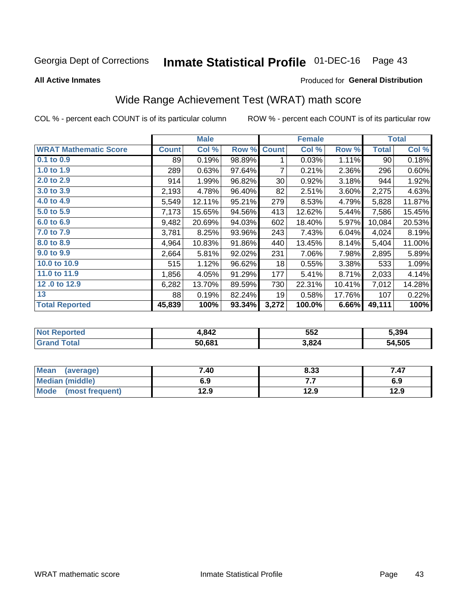#### **Inmate Statistical Profile 01-DEC-16** Page 43

**All Active Inmates** 

#### Produced for General Distribution

# Wide Range Achievement Test (WRAT) math score

COL % - percent each COUNT is of its particular column

|                              |              | <b>Male</b> |        |              | <b>Female</b> |        |              | <b>Total</b> |
|------------------------------|--------------|-------------|--------|--------------|---------------|--------|--------------|--------------|
| <b>WRAT Mathematic Score</b> | <b>Count</b> | Col %       | Row %  | <b>Count</b> | Col %         | Row %  | <b>Total</b> | Col %        |
| $0.1$ to $0.9$               | 89           | 0.19%       | 98.89% | 1            | 0.03%         | 1.11%  | 90           | 0.18%        |
| 1.0 to 1.9                   | 289          | 0.63%       | 97.64% | 7            | 0.21%         | 2.36%  | 296          | 0.60%        |
| 2.0 to 2.9                   | 914          | 1.99%       | 96.82% | 30           | 0.92%         | 3.18%  | 944          | 1.92%        |
| 3.0 to 3.9                   | 2,193        | 4.78%       | 96.40% | 82           | 2.51%         | 3.60%  | 2,275        | 4.63%        |
| 4.0 to 4.9                   | 5,549        | 12.11%      | 95.21% | 279          | 8.53%         | 4.79%  | 5,828        | 11.87%       |
| 5.0 to 5.9                   | 7,173        | 15.65%      | 94.56% | 413          | 12.62%        | 5.44%  | 7,586        | 15.45%       |
| 6.0 to 6.9                   | 9,482        | 20.69%      | 94.03% | 602          | 18.40%        | 5.97%  | 10,084       | 20.53%       |
| 7.0 to 7.9                   | 3,781        | 8.25%       | 93.96% | 243          | 7.43%         | 6.04%  | 4,024        | 8.19%        |
| 8.0 to 8.9                   | 4,964        | 10.83%      | 91.86% | 440          | 13.45%        | 8.14%  | 5,404        | 11.00%       |
| 9.0 to 9.9                   | 2,664        | 5.81%       | 92.02% | 231          | 7.06%         | 7.98%  | 2,895        | 5.89%        |
| 10.0 to 10.9                 | 515          | 1.12%       | 96.62% | 18           | 0.55%         | 3.38%  | 533          | 1.09%        |
| 11.0 to 11.9                 | 1,856        | 4.05%       | 91.29% | 177          | 5.41%         | 8.71%  | 2,033        | 4.14%        |
| 12.0 to 12.9                 | 6,282        | 13.70%      | 89.59% | 730          | 22.31%        | 10.41% | 7,012        | 14.28%       |
| 13                           | 88           | 0.19%       | 82.24% | 19           | 0.58%         | 17.76% | 107          | 0.22%        |
| <b>Total Reported</b>        | 45,839       | 100%        | 93.34% | 3,272        | 100.0%        | 6.66%  | 49,111       | 100%         |

| <b>Not Reported</b>          | 1,842  | 552   | 5.394  |
|------------------------------|--------|-------|--------|
| <b>Total</b><br><b>Grand</b> | 50,681 | 3,824 | 54,505 |

| <b>Mean</b><br>(average) | 7.40 | 8.33 | 7.47 |
|--------------------------|------|------|------|
| Median (middle)          | 6.9  |      | 6.9  |
| Mode<br>(most frequent)  | l2.9 | 12.9 | 12.9 |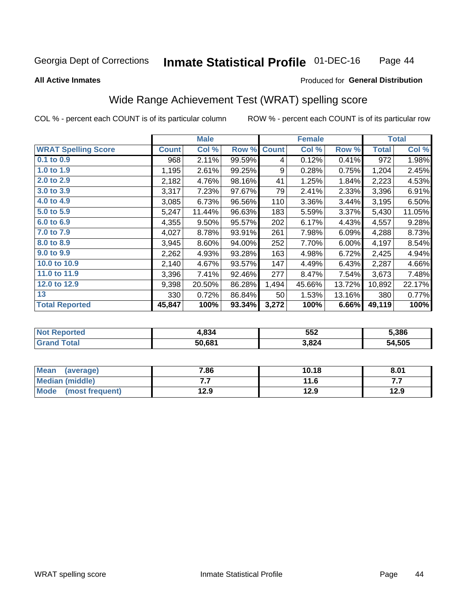#### **Inmate Statistical Profile 01-DEC-16** Page 44

**All Active Inmates** 

#### Produced for General Distribution

# Wide Range Achievement Test (WRAT) spelling score

COL % - percent each COUNT is of its particular column

|                            |              | <b>Male</b> |        |              | <b>Female</b> |        |              | <b>Total</b> |
|----------------------------|--------------|-------------|--------|--------------|---------------|--------|--------------|--------------|
| <b>WRAT Spelling Score</b> | <b>Count</b> | Col %       | Row %  | <b>Count</b> | Col %         | Row %  | <b>Total</b> | Col %        |
| $0.1$ to $0.9$             | 968          | 2.11%       | 99.59% | 4            | 0.12%         | 0.41%  | 972          | 1.98%        |
| 1.0 to 1.9                 | 1,195        | 2.61%       | 99.25% | 9            | 0.28%         | 0.75%  | 1,204        | 2.45%        |
| 2.0 to 2.9                 | 2,182        | 4.76%       | 98.16% | 41           | 1.25%         | 1.84%  | 2,223        | 4.53%        |
| 3.0 to 3.9                 | 3,317        | 7.23%       | 97.67% | 79           | 2.41%         | 2.33%  | 3,396        | 6.91%        |
| 4.0 to 4.9                 | 3,085        | 6.73%       | 96.56% | 110          | 3.36%         | 3.44%  | 3,195        | 6.50%        |
| 5.0 to 5.9                 | 5,247        | 11.44%      | 96.63% | 183          | 5.59%         | 3.37%  | 5,430        | 11.05%       |
| 6.0 to 6.9                 | 4,355        | 9.50%       | 95.57% | 202          | 6.17%         | 4.43%  | 4,557        | 9.28%        |
| 7.0 to 7.9                 | 4,027        | 8.78%       | 93.91% | 261          | 7.98%         | 6.09%  | 4,288        | 8.73%        |
| 8.0 to 8.9                 | 3,945        | 8.60%       | 94.00% | 252          | 7.70%         | 6.00%  | 4,197        | 8.54%        |
| 9.0 to 9.9                 | 2,262        | 4.93%       | 93.28% | 163          | 4.98%         | 6.72%  | 2,425        | 4.94%        |
| 10.0 to 10.9               | 2,140        | 4.67%       | 93.57% | 147          | 4.49%         | 6.43%  | 2,287        | 4.66%        |
| 11.0 to 11.9               | 3,396        | 7.41%       | 92.46% | 277          | 8.47%         | 7.54%  | 3,673        | 7.48%        |
| 12.0 to 12.9               | 9,398        | 20.50%      | 86.28% | 1,494        | 45.66%        | 13.72% | 10,892       | 22.17%       |
| 13                         | 330          | 0.72%       | 86.84% | 50           | 1.53%         | 13.16% | 380          | 0.77%        |
| <b>Total Reported</b>      | 45,847       | 100%        | 93.34% | 3,272        | 100%          | 6.66%  | 49,119       | 100%         |

| <b>rteo</b><br>NO | 4,834  | 552   | 5.386  |
|-------------------|--------|-------|--------|
|                   | 50,681 | 3,824 | 54,505 |

| Mean<br>(average)              | 7.86 | 10.18 | 8.01 |
|--------------------------------|------|-------|------|
| Median (middle)                | .    | 11.6  | .    |
| <b>Mode</b><br>(most frequent) | 12.9 | 12.9  | 12.9 |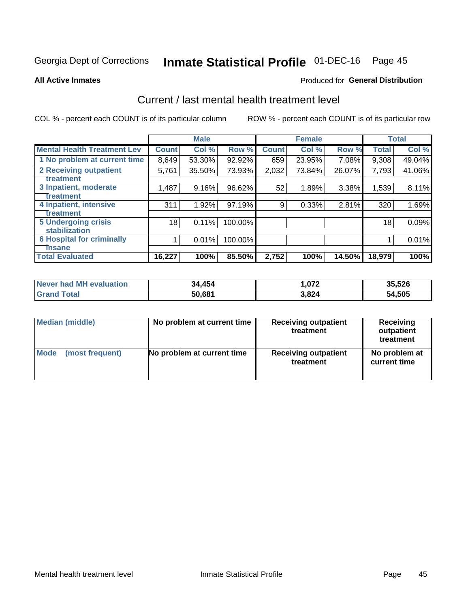# Inmate Statistical Profile 01-DEC-16 Page 45

#### **All Active Inmates**

### **Produced for General Distribution**

## Current / last mental health treatment level

COL % - percent each COUNT is of its particular column

|                                    |              | <b>Male</b> |         |              | <b>Female</b> |        |              | <b>Total</b> |
|------------------------------------|--------------|-------------|---------|--------------|---------------|--------|--------------|--------------|
| <b>Mental Health Treatment Lev</b> | <b>Count</b> | Col %       | Row %   | <b>Count</b> | Col %         | Row %  | <b>Total</b> | Col %        |
| 1 No problem at current time       | 8,649        | 53.30%      | 92.92%  | 659          | 23.95%        | 7.08%  | 9,308        | 49.04%       |
| 2 Receiving outpatient             | 5,761        | 35.50%      | 73.93%  | 2,032        | 73.84%        | 26.07% | 7,793        | 41.06%       |
| <b>Treatment</b>                   |              |             |         |              |               |        |              |              |
| 3 Inpatient, moderate              | 1,487        | 9.16%       | 96.62%  | 52           | 1.89%         | 3.38%  | 1,539        | 8.11%        |
| Treatment                          |              |             |         |              |               |        |              |              |
| 4 Inpatient, intensive             | 311          | 1.92%       | 97.19%  | 9            | 0.33%         | 2.81%  | 320          | 1.69%        |
| Treatment                          |              |             |         |              |               |        |              |              |
| <b>5 Undergoing crisis</b>         | 18           | 0.11%       | 100.00% |              |               |        | 18           | 0.09%        |
| <b>stabilization</b>               |              |             |         |              |               |        |              |              |
| <b>6 Hospital for criminally</b>   |              | 0.01%       | 100.00% |              |               |        |              | 0.01%        |
| <b>Tinsane</b>                     |              |             |         |              |               |        |              |              |
| <b>Total Evaluated</b>             | 16,227       | 100%        | 85.50%  | 2,752        | 100%          | 14.50% | 18,979       | 100%         |

| Never had MH evaluation | 34,454 | 072. ا | 35,526 |
|-------------------------|--------|--------|--------|
| <b>Grand Total</b>      | 50,681 | 3,824  | 54,505 |

| Median (middle) | No problem at current time | <b>Receiving outpatient</b><br>treatment | <b>Receiving</b><br>outpatient<br>treatment |
|-----------------|----------------------------|------------------------------------------|---------------------------------------------|
| <b>Mode</b>     | No problem at current time | <b>Receiving outpatient</b>              | No problem at                               |
| (most frequent) |                            | treatment                                | current time                                |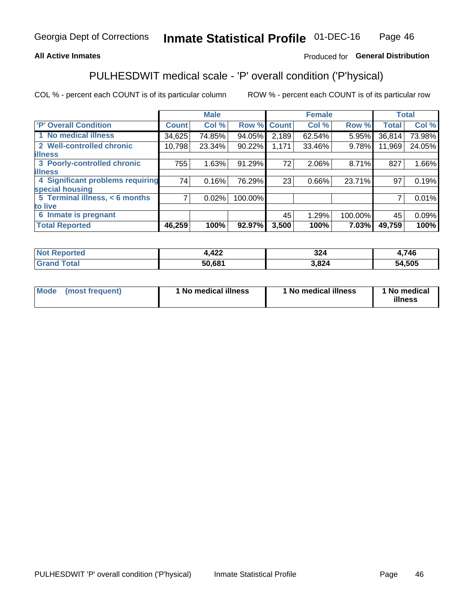### **All Active Inmates**

### Produced for General Distribution

# PULHESDWIT medical scale - 'P' overall condition ('P'hysical)

COL % - percent each COUNT is of its particular column

|                                  |              | <b>Male</b> |         |              | <b>Female</b> |         |              | <b>Total</b> |
|----------------------------------|--------------|-------------|---------|--------------|---------------|---------|--------------|--------------|
| 'P' Overall Condition            | <b>Count</b> | Col %       | Row %   | <b>Count</b> | Col %         | Row %   | <b>Total</b> | Col %        |
| 1 No medical illness             | 34,625       | 74.85%      | 94.05%  | 2,189        | 62.54%        | 5.95%   | 36,814       | 73.98%       |
| 2 Well-controlled chronic        | 10,798       | 23.34%      | 90.22%  | 1,171        | 33.46%        | 9.78%   | 11,969       | 24.05%       |
| <b>lillness</b>                  |              |             |         |              |               |         |              |              |
| 3 Poorly-controlled chronic      | 755          | 1.63%       | 91.29%  | 72           | 2.06%         | 8.71%   | 827          | 1.66%        |
| <b>illness</b>                   |              |             |         |              |               |         |              |              |
| 4 Significant problems requiring | 74           | 0.16%       | 76.29%  | 23           | 0.66%         | 23.71%  | 97           | 0.19%        |
| special housing                  |              |             |         |              |               |         |              |              |
| 5 Terminal illness, < 6 months   | 7            | 0.02%       | 100.00% |              |               |         | 7            | 0.01%        |
| to live                          |              |             |         |              |               |         |              |              |
| 6 Inmate is pregnant             |              |             |         | 45           | 1.29%         | 100.00% | 45           | 0.09%        |
| <b>Total Reported</b>            | 46,259       | 100%        | 92.97%  | 3,500        | 100%          | 7.03%   | 49,759       | 100%         |

| тео | 4,422  | 22'<br>JZ. | ,746   |
|-----|--------|------------|--------|
|     | EN CO1 | .824       | 54.505 |

| Mode | (most frequent) | 1 No medical illness | 1 No medical illness | 1 No medical<br>illness |
|------|-----------------|----------------------|----------------------|-------------------------|
|------|-----------------|----------------------|----------------------|-------------------------|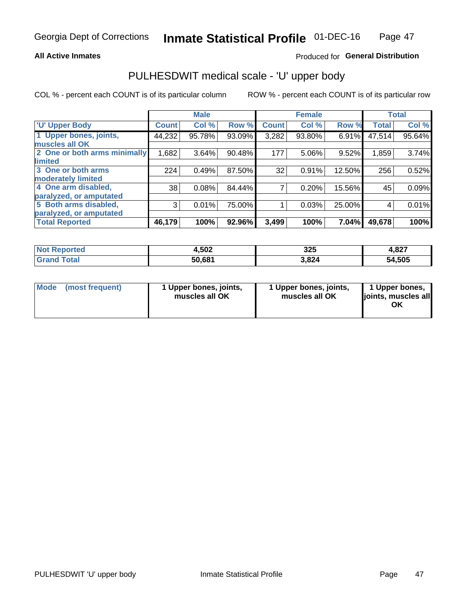#### **All Active Inmates**

### Produced for General Distribution

# PULHESDWIT medical scale - 'U' upper body

COL % - percent each COUNT is of its particular column

|                              |               | <b>Male</b> |        |              | <b>Female</b> |        |              | <b>Total</b> |
|------------------------------|---------------|-------------|--------|--------------|---------------|--------|--------------|--------------|
| <b>U' Upper Body</b>         | <b>Count!</b> | Col %       | Row %  | <b>Count</b> | Col %         | Row %  | <b>Total</b> | Col %        |
| 1 Upper bones, joints,       | 44,232        | 95.78%      | 93.09% | 3,282        | 93.80%        | 6.91%  | 47,514       | 95.64%       |
| muscles all OK               |               |             |        |              |               |        |              |              |
| 2 One or both arms minimally | 1,682         | 3.64%       | 90.48% | 177          | 5.06%         | 9.52%  | 1,859        | 3.74%        |
| limited                      |               |             |        |              |               |        |              |              |
| 3 One or both arms           | 224           | 0.49%       | 87.50% | 32           | 0.91%         | 12.50% | 256          | 0.52%        |
| <b>moderately limited</b>    |               |             |        |              |               |        |              |              |
| 4 One arm disabled,          | 38            | 0.08%       | 84.44% | 7            | 0.20%         | 15.56% | 45           | 0.09%        |
| paralyzed, or amputated      |               |             |        |              |               |        |              |              |
| 5 Both arms disabled,        | 3             | 0.01%       | 75.00% |              | 0.03%         | 25.00% | 4            | 0.01%        |
| paralyzed, or amputated      |               |             |        |              |               |        |              |              |
| <b>Total Reported</b>        | 46,179        | 100%        | 92.96% | 3,499        | 100%          | 7.04%  | 49,678       | 100%         |

| <b>Not Reported</b>   | 4,502  | 325   | 4,827  |
|-----------------------|--------|-------|--------|
| Total<br><b>Grand</b> | 50,681 | 3,824 | 54,505 |

| Mode<br>(most frequent) | 1 Upper bones, joints,<br>muscles all OK | 1 Upper bones, joints,<br>muscles all OK | 1 Upper bones,<br>joints, muscles all<br>ΟK |
|-------------------------|------------------------------------------|------------------------------------------|---------------------------------------------|
|-------------------------|------------------------------------------|------------------------------------------|---------------------------------------------|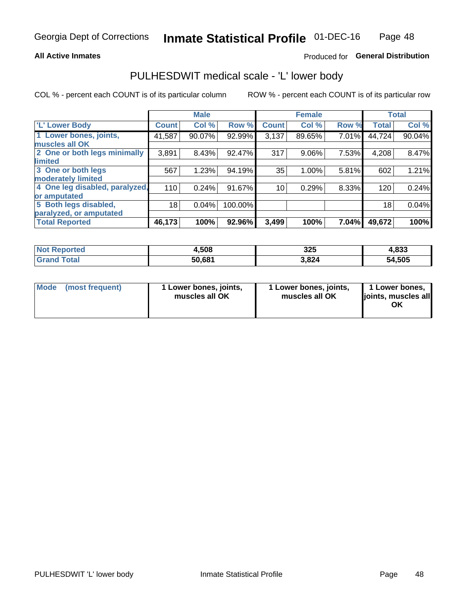#### **All Active Inmates**

### Produced for General Distribution

## PULHESDWIT medical scale - 'L' lower body

COL % - percent each COUNT is of its particular column

|                                |              | <b>Male</b> |         |              | <b>Female</b> |       |              | <b>Total</b> |
|--------------------------------|--------------|-------------|---------|--------------|---------------|-------|--------------|--------------|
| 'L' Lower Body                 | <b>Count</b> | Col %       | Row %   | <b>Count</b> | Col %         | Row % | <b>Total</b> | Col %        |
| 1 Lower bones, joints,         | 41,587       | 90.07%      | 92.99%  | 3,137        | 89.65%        | 7.01% | 44,724       | 90.04%       |
| muscles all OK                 |              |             |         |              |               |       |              |              |
| 2 One or both legs minimally   | 3,891        | 8.43%       | 92.47%  | 317          | 9.06%         | 7.53% | 4,208        | 8.47%        |
| limited                        |              |             |         |              |               |       |              |              |
| 3 One or both legs             | 567          | 1.23%       | 94.19%  | 35           | 1.00%         | 5.81% | 602          | 1.21%        |
| moderately limited             |              |             |         |              |               |       |              |              |
| 4 One leg disabled, paralyzed, | 110          | 0.24%       | 91.67%  | 10           | 0.29%         | 8.33% | 120          | 0.24%        |
| or amputated                   |              |             |         |              |               |       |              |              |
| 5 Both legs disabled,          | 18           | 0.04%       | 100.00% |              |               |       | 18           | 0.04%        |
| paralyzed, or amputated        |              |             |         |              |               |       |              |              |
| <b>Total Reported</b>          | 46,173       | 100%        | 92.96%  | 3,499        | 100%          | 7.04% | 49,672       | 100%         |

| <b>Not Reported</b>   | 1,508  | 325   | 4,833  |
|-----------------------|--------|-------|--------|
| <b>Total</b><br>Grand | 50,681 | 3,824 | 54,505 |

| Mode | (most frequent) | 1 Lower bones, joints,<br>muscles all OK | I Lower bones, joints,<br>muscles all OK | 1 Lower bones,<br>joints, muscles all<br>ΟK |
|------|-----------------|------------------------------------------|------------------------------------------|---------------------------------------------|
|------|-----------------|------------------------------------------|------------------------------------------|---------------------------------------------|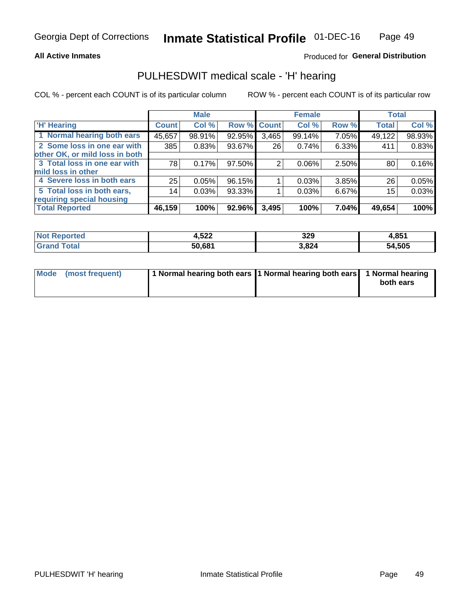#### **All Active Inmates**

### Produced for General Distribution

## PULHESDWIT medical scale - 'H' hearing

COL % - percent each COUNT is of its particular column

|                                |              | <b>Male</b> |                    |       | <b>Female</b> |       | <b>Total</b> |        |
|--------------------------------|--------------|-------------|--------------------|-------|---------------|-------|--------------|--------|
| <b>H' Hearing</b>              | <b>Count</b> | Col %       | <b>Row % Count</b> |       | Col %         | Row % | <b>Total</b> | Col %  |
| 1 Normal hearing both ears     | 45,657       | 98.91%      | 92.95%             | 3,465 | 99.14%        | 7.05% | 49,122       | 98.93% |
| 2 Some loss in one ear with    | 385          | 0.83%       | 93.67%             | 26    | 0.74%         | 6.33% | 411          | 0.83%  |
| other OK, or mild loss in both |              |             |                    |       |               |       |              |        |
| 3 Total loss in one ear with   | 78           | 0.17%       | $97.50\%$          | 2     | $0.06\%$      | 2.50% | 80           | 0.16%  |
| mild loss in other             |              |             |                    |       |               |       |              |        |
| 4 Severe loss in both ears     | 25           | 0.05%       | 96.15%             |       | 0.03%         | 3.85% | 26           | 0.05%  |
| 5 Total loss in both ears,     | 14           | 0.03%       | 93.33%             |       | 0.03%         | 6.67% | 15           | 0.03%  |
| requiring special housing      |              |             |                    |       |               |       |              |        |
| <b>Total Reported</b>          | 46,159       | 100%        | 92.96%             | 3,495 | 100%          | 7.04% | 49,654       | 100%   |

| <b>Not Reno</b> | E00           | 320   | 1,851  |
|-----------------|---------------|-------|--------|
| <b>ported</b>   | 1.J <i>ll</i> | JLJ   |        |
| Total           | 50,681        | 3,824 | 54,505 |

| Mode (most frequent) | 1 Normal hearing both ears 11 Normal hearing both ears 1 Normal hearing | both ears |
|----------------------|-------------------------------------------------------------------------|-----------|
|                      |                                                                         |           |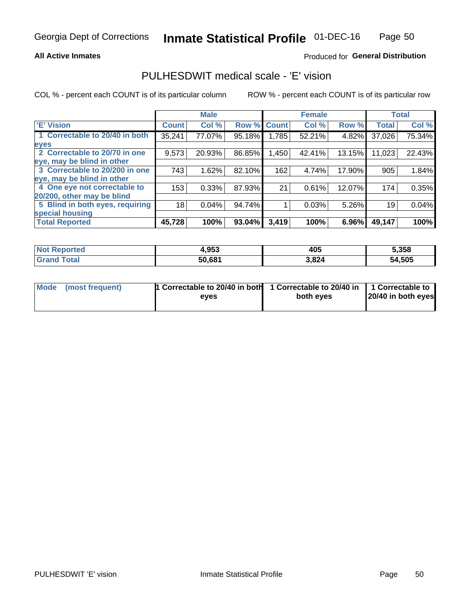### **All Active Inmates**

### Produced for General Distribution

## PULHESDWIT medical scale - 'E' vision

COL % - percent each COUNT is of its particular column

|                                 |              | <b>Male</b> |        |              | <b>Female</b> |        |              | <b>Total</b> |
|---------------------------------|--------------|-------------|--------|--------------|---------------|--------|--------------|--------------|
| <b>E' Vision</b>                | <b>Count</b> | Col %       | Row %  | <b>Count</b> | Col %         | Row %  | <b>Total</b> | Col %        |
| 1 Correctable to 20/40 in both  | 35,241       | 77.07%      | 95.18% | ا 785.ا      | 52.21%        | 4.82%  | 37,026       | 75.34%       |
| eyes                            |              |             |        |              |               |        |              |              |
| 2 Correctable to 20/70 in one   | 9,573        | 20.93%      | 86.85% | 1,450        | 42.41%        | 13.15% | 11,023       | 22.43%       |
| eye, may be blind in other      |              |             |        |              |               |        |              |              |
| 3 Correctable to 20/200 in one  | 743          | 1.62%       | 82.10% | 162          | 4.74%         | 17.90% | 905          | 1.84%        |
| eye, may be blind in other      |              |             |        |              |               |        |              |              |
| 4 One eye not correctable to    | 153          | 0.33%       | 87.93% | 21           | 0.61%         | 12.07% | 174          | 0.35%        |
| 20/200, other may be blind      |              |             |        |              |               |        |              |              |
| 5 Blind in both eyes, requiring | 18           | 0.04%       | 94.74% |              | 0.03%         | 5.26%  | 19           | 0.04%        |
| special housing                 |              |             |        |              |               |        |              |              |
| <b>Total Reported</b>           | 45,728       | 100%        | 93.04% | 3,419        | 100%          | 6.96%  | 49,147       | 100%         |

| <b>Not Reported</b> | 4,953  | 405   | 5,358  |
|---------------------|--------|-------|--------|
| <b>Total</b>        | 50.681 | 3,824 | 54,505 |

| Mode (most frequent) | 1 Correctable to 20/40 in both<br>eves | 1 Correctable to 20/40 in   1 Correctable to  <br>both eves | 20/40 in both eyes |
|----------------------|----------------------------------------|-------------------------------------------------------------|--------------------|
|                      |                                        |                                                             |                    |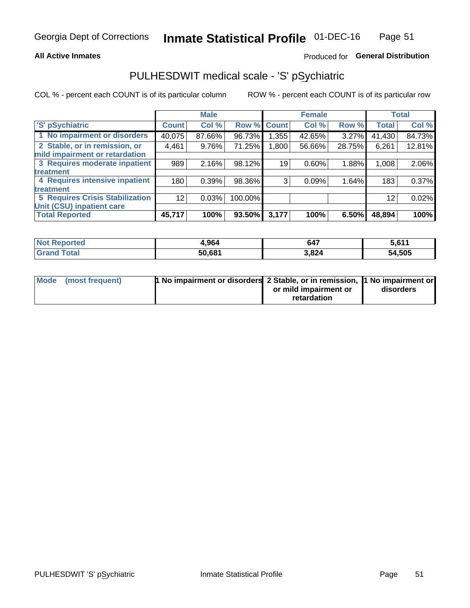#### **All Active Inmates**

### Produced for General Distribution

# PULHESDWIT medical scale - 'S' pSychiatric

COL % - percent each COUNT is of its particular column

|                                        |              | <b>Male</b> |         |             | <b>Female</b> |          |              | <b>Total</b> |
|----------------------------------------|--------------|-------------|---------|-------------|---------------|----------|--------------|--------------|
| 'S' pSychiatric                        | <b>Count</b> | Col %       |         | Row % Count | Col %         | Row %    | <b>Total</b> | Col %        |
| 1 No impairment or disorders           | 40,075       | 87.66%      | 96.73%  | 1,355       | 42.65%        | $3.27\%$ | 41,430       | 84.73%       |
| 2 Stable, or in remission, or          | 4,461        | 9.76%       | 71.25%  | 1,800       | 56.66%        | 28.75%   | 6,261        | 12.81%       |
| mild impairment or retardation         |              |             |         |             |               |          |              |              |
| 3 Requires moderate inpatient          | 989          | 2.16%       | 98.12%  | 19          | 0.60%         | 1.88%    | 1,008        | 2.06%        |
| treatment                              |              |             |         |             |               |          |              |              |
| 4 Requires intensive inpatient         | 180          | 0.39%       | 98.36%  | 3           | 0.09%         | 1.64%    | 183          | 0.37%        |
| treatment                              |              |             |         |             |               |          |              |              |
| <b>5 Requires Crisis Stabilization</b> | 12           | 0.03%       | 100.00% |             |               |          | 12           | 0.02%        |
| Unit (CSU) inpatient care              |              |             |         |             |               |          |              |              |
| <b>Total Reported</b>                  | 45,717       | 100%        | 93.50%  | 3,177       | 100%          | $6.50\%$ | 48,894       | 100%         |

| <b>Not Reported</b>   | 1,964  | 647   | 5,611  |
|-----------------------|--------|-------|--------|
| Total<br><b>Grand</b> | 50,681 | 3,824 | 54,505 |

| Mode (most frequent) | <b>t No impairment or disorders 2 Stable, or in remission, 1 No impairment or</b> |                       |           |
|----------------------|-----------------------------------------------------------------------------------|-----------------------|-----------|
|                      |                                                                                   | or mild impairment or | disorders |
|                      |                                                                                   | retardation           |           |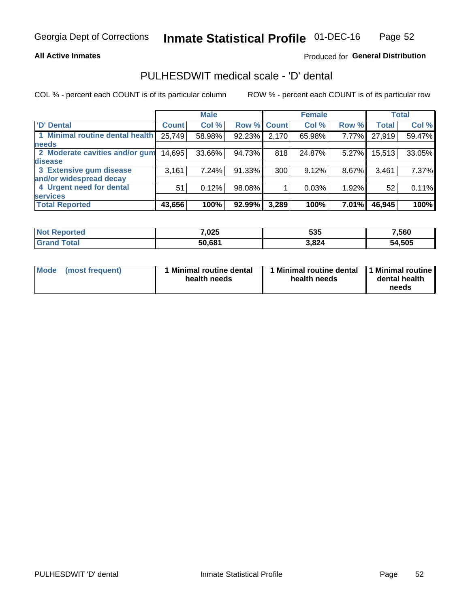#### **All Active Inmates**

### Produced for General Distribution

# PULHESDWIT medical scale - 'D' dental

COL % - percent each COUNT is of its particular column

|                                 |              | <b>Male</b> |        |              | <b>Female</b> |       |              | <b>Total</b> |
|---------------------------------|--------------|-------------|--------|--------------|---------------|-------|--------------|--------------|
| <b>D'</b> Dental                | <b>Count</b> | Col %       | Row %  | <b>Count</b> | Col %         | Row % | <b>Total</b> | Col %        |
| 1 Minimal routine dental health | 25,749       | 58.98%      | 92.23% | 2,170        | 65.98%        | 7.77% | 27,919       | 59.47%       |
| <b>needs</b>                    |              |             |        |              |               |       |              |              |
| 2 Moderate cavities and/or gum  | 14,695       | 33.66%      | 94.73% | 818          | 24.87%        | 5.27% | 15,513       | 33.05%       |
| disease                         |              |             |        |              |               |       |              |              |
| 3 Extensive gum disease         | 3,161        | 7.24%       | 91.33% | 300          | 9.12%         | 8.67% | 3,461        | 7.37%        |
| and/or widespread decay         |              |             |        |              |               |       |              |              |
| 4 Urgent need for dental        | 51           | 0.12%       | 98.08% |              | 0.03%         | 1.92% | 52           | 0.11%        |
| <b>services</b>                 |              |             |        |              |               |       |              |              |
| <b>Total Reported</b>           | 43,656       | 100%        | 92.99% | 3,289        | 100%          | 7.01% | 46,945       | 100%         |

| <b>Not Reported</b> | 7,025  | 535   | 560,   |
|---------------------|--------|-------|--------|
| Total<br>Grand      | 50,681 | 3,824 | 54,505 |

| <b>Mode</b> | (most frequent) | <b>Minimal routine dental</b><br>health needs | 1 Minimal routine dental   1 Minimal routine  <br>health needs | dental health<br>needs |
|-------------|-----------------|-----------------------------------------------|----------------------------------------------------------------|------------------------|
|-------------|-----------------|-----------------------------------------------|----------------------------------------------------------------|------------------------|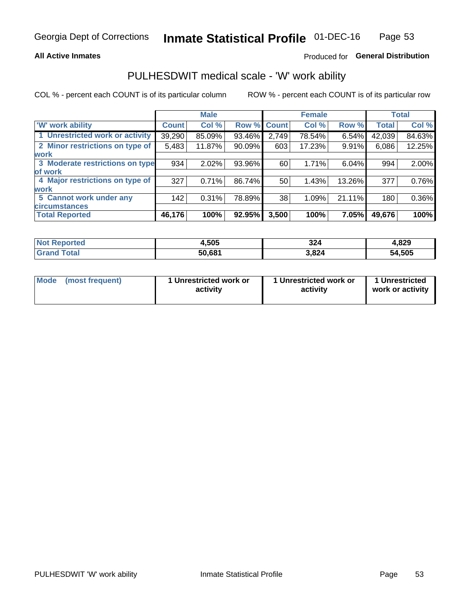#### **All Active Inmates**

### Produced for General Distribution

## PULHESDWIT medical scale - 'W' work ability

COL % - percent each COUNT is of its particular column

|                                 |              | <b>Male</b> |        |              | <b>Female</b> |        |              | <b>Total</b> |
|---------------------------------|--------------|-------------|--------|--------------|---------------|--------|--------------|--------------|
| <b>W' work ability</b>          | <b>Count</b> | Col %       | Row %  | <b>Count</b> | Col %         | Row %  | <b>Total</b> | Col %        |
| 1 Unrestricted work or activity | 39,290       | 85.09%      | 93.46% | 2,749        | 78.54%        | 6.54%  | 42,039       | 84.63%       |
| 2 Minor restrictions on type of | 5,483        | 11.87%      | 90.09% | 603          | 17.23%        | 9.91%  | 6,086        | 12.25%       |
| <b>work</b>                     |              |             |        |              |               |        |              |              |
| 3 Moderate restrictions on type | 934          | 2.02%       | 93.96% | 60           | 1.71%         | 6.04%  | 994          | 2.00%        |
| lof work                        |              |             |        |              |               |        |              |              |
| 4 Major restrictions on type of | 327          | 0.71%       | 86.74% | 50           | 1.43%         | 13.26% | 377          | 0.76%        |
| <b>work</b>                     |              |             |        |              |               |        |              |              |
| 5 Cannot work under any         | 142          | 0.31%       | 78.89% | 38           | 1.09%         | 21.11% | 180          | 0.36%        |
| <b>circumstances</b>            |              |             |        |              |               |        |              |              |
| <b>Total Reported</b>           | 46,176       | 100%        | 92.95% | 3,500        | 100%          | 7.05%  | 49,676       | 100%         |

| <b>Not Repo</b><br>anorted and | 1,505  | 324   | 829،،  |
|--------------------------------|--------|-------|--------|
| Total<br>oranu i               | 50,681 | 3,824 | 54,505 |

| Mode            | 1 Unrestricted work or | 1 Unrestricted work or | 1 Unrestricted   |
|-----------------|------------------------|------------------------|------------------|
| (most frequent) | activity               | activity               | work or activity |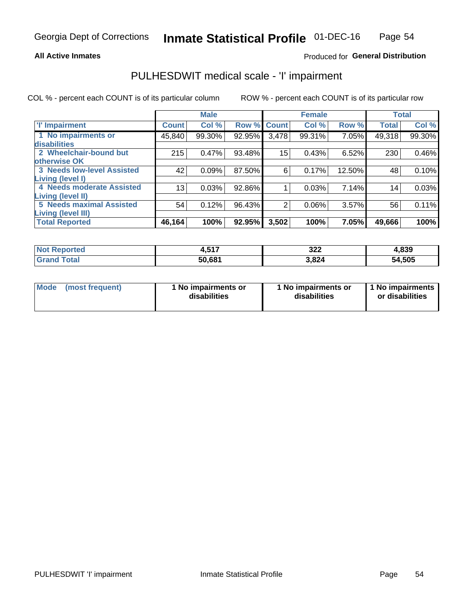#### **All Active Inmates**

### Produced for General Distribution

# PULHESDWIT medical scale - 'I' impairment

COL % - percent each COUNT is of its particular column ROW % - percent each COUNT is of its particular row

|                                   |                 | <b>Male</b> |                    |       | <b>Female</b> |        |              | <b>Total</b> |
|-----------------------------------|-----------------|-------------|--------------------|-------|---------------|--------|--------------|--------------|
| 'l' Impairment                    | <b>Count</b>    | Col %       | <b>Row % Count</b> |       | Col %         | Row %  | <b>Total</b> | Col %        |
| 1 No impairments or               | 45,840          | 99.30%      | 92.95%             | 3,478 | 99.31%        | 7.05%  | 49,318       | 99.30%       |
| disabilities                      |                 |             |                    |       |               |        |              |              |
| 2 Wheelchair-bound but            | 215             | 0.47%       | 93.48%             | 15    | 0.43%         | 6.52%  | 230          | 0.46%        |
| otherwise OK                      |                 |             |                    |       |               |        |              |              |
| <b>3 Needs low-level Assisted</b> | 42              | 0.09%       | 87.50%             | 6     | 0.17%         | 12.50% | 48           | 0.10%        |
| Living (level I)                  |                 |             |                    |       |               |        |              |              |
| 4 Needs moderate Assisted         | 13 <sub>1</sub> | 0.03%       | 92.86%             |       | 0.03%         | 7.14%  | 14           | 0.03%        |
| Living (level II)                 |                 |             |                    |       |               |        |              |              |
| 5 Needs maximal Assisted          | 54              | 0.12%       | 96.43%             | 2     | 0.06%         | 3.57%  | 56           | 0.11%        |
| Living (level III)                |                 |             |                    |       |               |        |              |              |
| <b>Total Reported</b>             | 46,164          | 100%        | 92.95%             | 3,502 | 100%          | 7.05%  | 49,666       | 100%         |

| <b>Not</b>      | <b>E47</b> | 322   | 4,839  |
|-----------------|------------|-------|--------|
| <b>Reported</b> | .          |       |        |
| <b>Total</b>    | 50,681     | 3,824 | 54,505 |

| <b>Mode</b> | (most frequent) | <b>No impairments or</b><br>disabilities | 1 No impairments or<br>disabilities | 1 No impairments<br>or disabilities |
|-------------|-----------------|------------------------------------------|-------------------------------------|-------------------------------------|
|-------------|-----------------|------------------------------------------|-------------------------------------|-------------------------------------|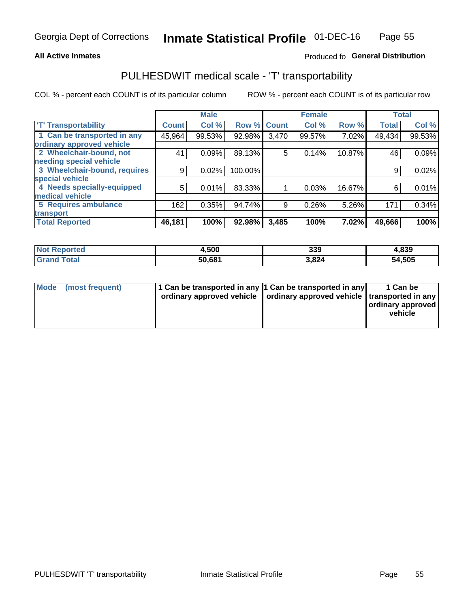#### **All Active Inmates**

### Produced fo General Distribution

## PULHESDWIT medical scale - 'T' transportability

COL % - percent each COUNT is of its particular column

|                              |              | <b>Male</b> |         |              | <b>Female</b> |        | <b>Total</b> |        |
|------------------------------|--------------|-------------|---------|--------------|---------------|--------|--------------|--------|
| <b>T' Transportability</b>   | <b>Count</b> | Col %       | Row %   | <b>Count</b> | Col %         | Row %  | <b>Total</b> | Col %  |
| 1 Can be transported in any  | 45,964       | 99.53%      | 92.98%  | 3,470        | 99.57%        | 7.02%  | 49,434       | 99.53% |
| ordinary approved vehicle    |              |             |         |              |               |        |              |        |
| 2 Wheelchair-bound, not      | 41           | 0.09%       | 89.13%  | 5            | 0.14%         | 10.87% | 46           | 0.09%  |
| needing special vehicle      |              |             |         |              |               |        |              |        |
| 3 Wheelchair-bound, requires | 9            | 0.02%       | 100.00% |              |               |        | 9            | 0.02%  |
| special vehicle              |              |             |         |              |               |        |              |        |
| 4 Needs specially-equipped   | 5            | 0.01%       | 83.33%  |              | 0.03%         | 16.67% | 6            | 0.01%  |
| medical vehicle              |              |             |         |              |               |        |              |        |
| <b>5 Requires ambulance</b>  | 162          | 0.35%       | 94.74%  | 9            | 0.26%         | 5.26%  | 171          | 0.34%  |
| transport                    |              |             |         |              |               |        |              |        |
| <b>Total Reported</b>        | 46,181       | 100%        | 92.98%  | 3,485        | 100%          | 7.02%  | 49,666       | 100%   |

| <b>eported</b> | 1,500  | 339   | 4,839  |
|----------------|--------|-------|--------|
| <b>ota</b>     | 50,681 | 3,824 | 54,505 |

|  | Mode (most frequent) | 1 Can be transported in any 1 Can be transported in any<br>ordinary approved vehicle   ordinary approved vehicle   transported in any |  | 1 Can be<br>  ordinary approved  <br>vehicle |
|--|----------------------|---------------------------------------------------------------------------------------------------------------------------------------|--|----------------------------------------------|
|--|----------------------|---------------------------------------------------------------------------------------------------------------------------------------|--|----------------------------------------------|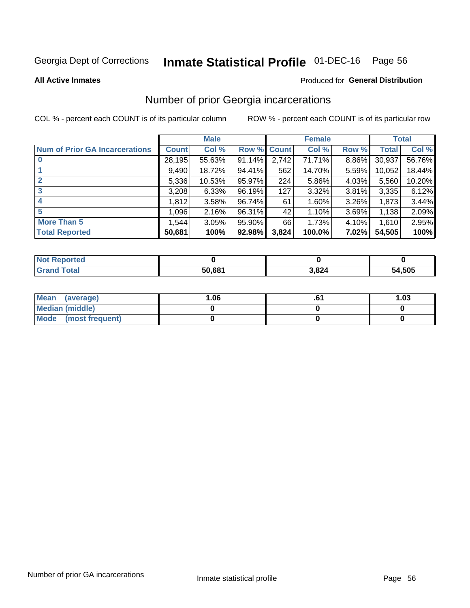# Inmate Statistical Profile 01-DEC-16 Page 56

**All Active Inmates** 

#### Produced for General Distribution

## Number of prior Georgia incarcerations

COL % - percent each COUNT is of its particular column

|                                       |              | <b>Male</b> |             |       | <b>Female</b> |       |        | <b>Total</b> |
|---------------------------------------|--------------|-------------|-------------|-------|---------------|-------|--------|--------------|
| <b>Num of Prior GA Incarcerations</b> | <b>Count</b> | Col %       | Row % Count |       | Col %         | Row % | Total  | Col %        |
|                                       | 28,195       | 55.63%      | 91.14%      | 2,742 | 71.71%        | 8.86% | 30,937 | 56.76%       |
|                                       | 9,490        | 18.72%      | 94.41%      | 562   | 14.70%        | 5.59% | 10,052 | 18.44%       |
| $\overline{2}$                        | 5,336        | 10.53%      | 95.97%      | 224   | 5.86%         | 4.03% | 5,560  | 10.20%       |
| 3                                     | 3,208        | 6.33%       | 96.19%      | 127   | 3.32%         | 3.81% | 3,335  | 6.12%        |
| 4                                     | 1,812        | 3.58%       | 96.74%      | 61    | 1.60%         | 3.26% | 1,873  | 3.44%        |
| 5                                     | 1,096        | 2.16%       | 96.31%      | 42    | 1.10%         | 3.69% | 1,138  | 2.09%        |
| <b>More Than 5</b>                    | 1.544        | 3.05%       | $95.90\%$   | 66    | 1.73%         | 4.10% | 1,610  | 2.95%        |
| <b>Total Reported</b>                 | 50,681       | 100%        | 92.98%      | 3,824 | 100.0%        | 7.02% | 54,505 | 100%         |

| <b>Not</b><br>Reported |        |       |        |
|------------------------|--------|-------|--------|
| Total<br>'Grand        | 50,681 | 3,824 | 54,505 |

| Mean (average)       | 06.، | 1.03 |
|----------------------|------|------|
| Median (middle)      |      |      |
| Mode (most frequent) |      |      |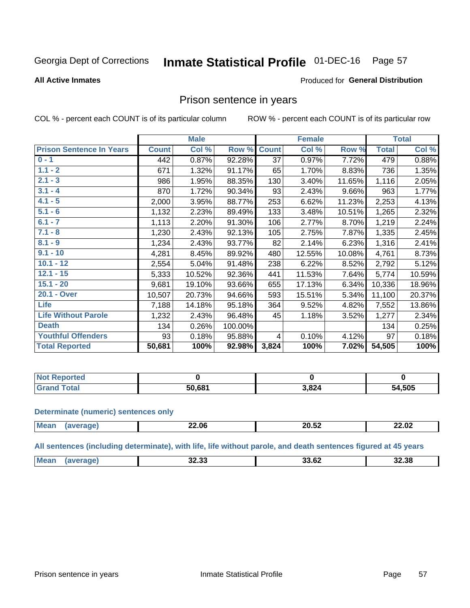#### Inmate Statistical Profile 01-DEC-16 Page 57

#### **All Active Inmates**

### **Produced for General Distribution**

### Prison sentence in years

COL % - percent each COUNT is of its particular column

ROW % - percent each COUNT is of its particular row

|                                 |              | <b>Male</b> |         |                 | <b>Female</b> |        |              | <b>Total</b> |
|---------------------------------|--------------|-------------|---------|-----------------|---------------|--------|--------------|--------------|
| <b>Prison Sentence In Years</b> | <b>Count</b> | Col %       | Row %   | <b>Count</b>    | Col %         | Row %  | <b>Total</b> | Col %        |
| $0 - 1$                         | 442          | 0.87%       | 92.28%  | $\overline{37}$ | 0.97%         | 7.72%  | 479          | 0.88%        |
| $1.1 - 2$                       | 671          | 1.32%       | 91.17%  | 65              | 1.70%         | 8.83%  | 736          | 1.35%        |
| $2.1 - 3$                       | 986          | 1.95%       | 88.35%  | 130             | 3.40%         | 11.65% | 1,116        | 2.05%        |
| $3.1 - 4$                       | 870          | 1.72%       | 90.34%  | 93              | 2.43%         | 9.66%  | 963          | 1.77%        |
| $4.1 - 5$                       | 2,000        | 3.95%       | 88.77%  | 253             | 6.62%         | 11.23% | 2,253        | 4.13%        |
| $5.1 - 6$                       | 1,132        | 2.23%       | 89.49%  | 133             | 3.48%         | 10.51% | 1,265        | 2.32%        |
| $6.1 - 7$                       | 1,113        | 2.20%       | 91.30%  | 106             | 2.77%         | 8.70%  | 1,219        | 2.24%        |
| $7.1 - 8$                       | 1,230        | 2.43%       | 92.13%  | 105             | 2.75%         | 7.87%  | 1,335        | 2.45%        |
| $8.1 - 9$                       | 1,234        | 2.43%       | 93.77%  | 82              | 2.14%         | 6.23%  | 1,316        | 2.41%        |
| $9.1 - 10$                      | 4,281        | 8.45%       | 89.92%  | 480             | 12.55%        | 10.08% | 4,761        | 8.73%        |
| $10.1 - 12$                     | 2,554        | 5.04%       | 91.48%  | 238             | 6.22%         | 8.52%  | 2,792        | 5.12%        |
| $12.1 - 15$                     | 5,333        | 10.52%      | 92.36%  | 441             | 11.53%        | 7.64%  | 5,774        | 10.59%       |
| $15.1 - 20$                     | 9,681        | 19.10%      | 93.66%  | 655             | 17.13%        | 6.34%  | 10,336       | 18.96%       |
| 20.1 - Over                     | 10,507       | 20.73%      | 94.66%  | 593             | 15.51%        | 5.34%  | 11,100       | 20.37%       |
| <b>Life</b>                     | 7,188        | 14.18%      | 95.18%  | 364             | 9.52%         | 4.82%  | 7,552        | 13.86%       |
| <b>Life Without Parole</b>      | 1,232        | 2.43%       | 96.48%  | 45              | 1.18%         | 3.52%  | 1,277        | 2.34%        |
| <b>Death</b>                    | 134          | 0.26%       | 100.00% |                 |               |        | 134          | 0.25%        |
| <b>Youthful Offenders</b>       | 93           | 0.18%       | 95.88%  | 4               | 0.10%         | 4.12%  | 97           | 0.18%        |
| <b>Total Reported</b>           | 50,681       | 100%        | 92.98%  | 3,824           | 100%          | 7.02%  | 54,505       | 100%         |

| <b>Not Reported</b> |        |       |        |
|---------------------|--------|-------|--------|
| <b>Total</b>        | 50.681 | 1,824 | 54,505 |

#### **Determinate (numeric) sentences only**

| <b>Mear</b> | 22.06 | 88 FA<br>20.JZ | 22.02 |
|-------------|-------|----------------|-------|
|             |       |                |       |

All sentences (including determinate), with life, life without parole, and death sentences figured at 45 years

| Me: | 00.00<br>32.JJ | <br>JJ.VL | 32.38 |
|-----|----------------|-----------|-------|
|     |                |           |       |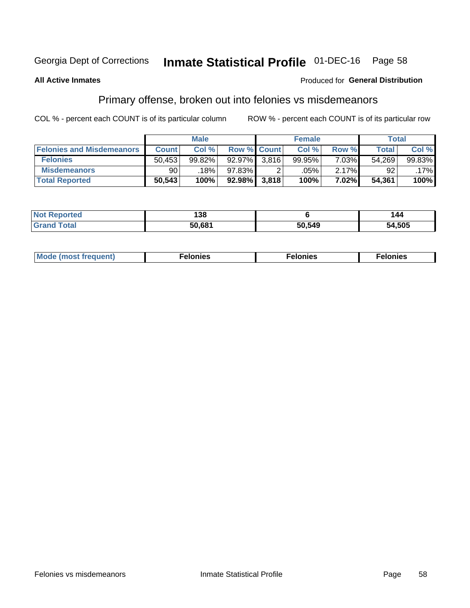# Inmate Statistical Profile 01-DEC-16 Page 58

#### **All Active Inmates**

#### Produced for General Distribution

## Primary offense, broken out into felonies vs misdemeanors

COL % - percent each COUNT is of its particular column

|                                  |              | <b>Male</b> |             |       | <b>Female</b> |          | Total        |        |
|----------------------------------|--------------|-------------|-------------|-------|---------------|----------|--------------|--------|
| <b>Felonies and Misdemeanors</b> | <b>Count</b> | Col %       | Row % Count |       | Col %         | Row %    | <b>Total</b> | Col %  |
| <b>Felonies</b>                  | 50,453       | 99.82%      | 92.97%      | 3.816 | 99.95%        | $7.03\%$ | 54,269       | 99.83% |
| <b>Misdemeanors</b>              | 90           | 18%         | 97.83%      |       | .05%          | 2.17%    | 92           | .17%   |
| <b>Total Reported</b>            | 50,543       | 100%        | $92.98\%$   | 3,818 | 100%          | 7.02%    | 54,361       | 100%   |

| <b>Not</b><br>'ted | 100<br>، 30 |        | 44     |
|--------------------|-------------|--------|--------|
| ⊺otaı              | 50.681      | 50,549 | 54,505 |

| Mo | ____ | 11 C.S<br>. | onies<br>. |
|----|------|-------------|------------|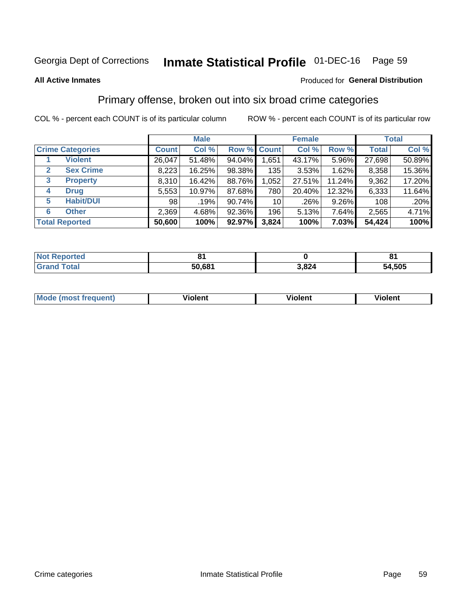#### **Inmate Statistical Profile 01-DEC-16** Page 59

#### **All Active Inmates**

### Produced for General Distribution

## Primary offense, broken out into six broad crime categories

COL % - percent each COUNT is of its particular column

|                                  |              | <b>Male</b> |        |                 | <b>Female</b> |          | <b>Total</b> |        |  |
|----------------------------------|--------------|-------------|--------|-----------------|---------------|----------|--------------|--------|--|
| <b>Crime Categories</b>          | <b>Count</b> | Col %       |        | Row % Count     | Col %         | Row %    | <b>Total</b> | Col %  |  |
| <b>Violent</b>                   | 26,047       | 51.48%      | 94.04% | 1,651           | 43.17%        | 5.96%    | 27,698       | 50.89% |  |
| <b>Sex Crime</b><br>$\mathbf{2}$ | 8,223        | 16.25%      | 98.38% | 135             | 3.53%         | $1.62\%$ | 8,358        | 15.36% |  |
| 3<br><b>Property</b>             | 8,310        | 16.42%      | 88.76% | 1,052           | 27.51%        | 11.24%   | 9,362        | 17.20% |  |
| <b>Drug</b><br>4                 | 5,553        | 10.97%      | 87.68% | 780             | 20.40%        | 12.32%   | 6,333        | 11.64% |  |
| <b>Habit/DUI</b><br>5            | 98           | .19%        | 90.74% | 10 <sup>1</sup> | .26%          | 9.26%    | 108          | .20%   |  |
| <b>Other</b><br>6                | 2,369        | 4.68%       | 92.36% | 196             | 5.13%         | 7.64%    | 2,565        | 4.71%  |  |
| <b>Total Reported</b>            | 50,600       | 100%        | 92.97% | 3,824           | 100%          | $7.03\%$ | 54,424       | 100%   |  |

| <b>Not</b><br><b>Reported</b> |        |       |        |
|-------------------------------|--------|-------|--------|
| <b>Total</b>                  | 50,681 | 3,824 | 54,505 |

| M | - --<br>100011 | .<br><b>VIOIGIIL</b> | 1.91311 |
|---|----------------|----------------------|---------|
|   |                |                      |         |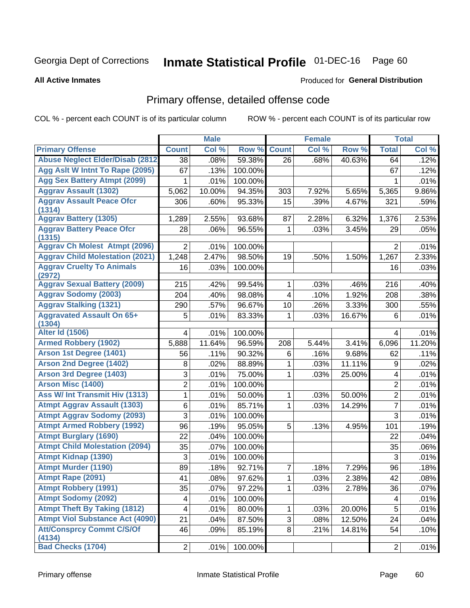# Inmate Statistical Profile 01-DEC-16 Page 60

Produced for General Distribution

#### **All Active Inmates**

# Primary offense, detailed offense code

COL % - percent each COUNT is of its particular column

|                                            |                         | <b>Male</b> |         |              | <b>Female</b> |        |                | <b>Total</b> |
|--------------------------------------------|-------------------------|-------------|---------|--------------|---------------|--------|----------------|--------------|
| <b>Primary Offense</b>                     | <b>Count</b>            | Col %       | Row %   | <b>Count</b> | Col %         | Row %  | <b>Total</b>   | Col %        |
| <b>Abuse Neglect Elder/Disab (2812)</b>    | $\overline{38}$         | .08%        | 59.38%  | 26           | .68%          | 40.63% | 64             | .12%         |
| Agg Aslt W Intnt To Rape (2095)            | 67                      | .13%        | 100.00% |              |               |        | 67             | .12%         |
| <b>Agg Sex Battery Atmpt (2099)</b>        | 1                       | .01%        | 100.00% |              |               |        |                | .01%         |
| <b>Aggrav Assault (1302)</b>               | 5,062                   | 10.00%      | 94.35%  | 303          | 7.92%         | 5.65%  | 5,365          | 9.86%        |
| <b>Aggrav Assault Peace Ofcr</b><br>(1314) | 306                     | .60%        | 95.33%  | 15           | .39%          | 4.67%  | 321            | .59%         |
| <b>Aggrav Battery (1305)</b>               | 1,289                   | 2.55%       | 93.68%  | 87           | 2.28%         | 6.32%  | 1,376          | 2.53%        |
| <b>Aggrav Battery Peace Ofcr</b><br>(1315) | 28                      | .06%        | 96.55%  | 1            | .03%          | 3.45%  | 29             | .05%         |
| <b>Aggrav Ch Molest Atmpt (2096)</b>       | 2                       | .01%        | 100.00% |              |               |        | 2              | .01%         |
| <b>Aggrav Child Molestation (2021)</b>     | 1,248                   | 2.47%       | 98.50%  | 19           | .50%          | 1.50%  | 1,267          | 2.33%        |
| <b>Aggrav Cruelty To Animals</b><br>(2972) | 16                      | .03%        | 100.00% |              |               |        | 16             | .03%         |
| <b>Aggrav Sexual Battery (2009)</b>        | 215                     | .42%        | 99.54%  | 1            | .03%          | .46%   | 216            | .40%         |
| <b>Aggrav Sodomy (2003)</b>                | 204                     | .40%        | 98.08%  | 4            | .10%          | 1.92%  | 208            | .38%         |
| <b>Aggrav Stalking (1321)</b>              | 290                     | .57%        | 96.67%  | 10           | .26%          | 3.33%  | 300            | .55%         |
| <b>Aggravated Assault On 65+</b><br>(1304) | 5                       | .01%        | 83.33%  | 1            | .03%          | 16.67% | 6              | .01%         |
| <b>Alter Id (1506)</b>                     | 4                       | .01%        | 100.00% |              |               |        | 4              | .01%         |
| <b>Armed Robbery (1902)</b>                | 5,888                   | 11.64%      | 96.59%  | 208          | 5.44%         | 3.41%  | 6,096          | 11.20%       |
| Arson 1st Degree (1401)                    | 56                      | .11%        | 90.32%  | 6            | .16%          | 9.68%  | 62             | .11%         |
| <b>Arson 2nd Degree (1402)</b>             | 8                       | .02%        | 88.89%  | 1            | .03%          | 11.11% | 9              | .02%         |
| <b>Arson 3rd Degree (1403)</b>             | 3                       | .01%        | 75.00%  | 1            | .03%          | 25.00% | 4              | .01%         |
| <b>Arson Misc (1400)</b>                   | $\overline{2}$          | .01%        | 100.00% |              |               |        | $\overline{2}$ | .01%         |
| <b>Ass W/ Int Transmit Hiv (1313)</b>      | 1                       | .01%        | 50.00%  | 1            | .03%          | 50.00% | $\overline{c}$ | .01%         |
| <b>Atmpt Aggrav Assault (1303)</b>         | $\,6$                   | .01%        | 85.71%  | 1            | .03%          | 14.29% | $\overline{7}$ | .01%         |
| <b>Atmpt Aggrav Sodomy (2093)</b>          | 3                       | .01%        | 100.00% |              |               |        | $\overline{3}$ | .01%         |
| <b>Atmpt Armed Robbery (1992)</b>          | 96                      | .19%        | 95.05%  | 5            | .13%          | 4.95%  | 101            | .19%         |
| <b>Atmpt Burglary (1690)</b>               | 22                      | .04%        | 100.00% |              |               |        | 22             | .04%         |
| <b>Atmpt Child Molestation (2094)</b>      | 35                      | .07%        | 100.00% |              |               |        | 35             | .06%         |
| <b>Atmpt Kidnap (1390)</b>                 | 3                       | .01%        | 100.00% |              |               |        | 3              | .01%         |
| <b>Atmpt Murder (1190)</b>                 | 89                      | .18%        | 92.71%  | 7            | .18%          | 7.29%  | 96             | .18%         |
| Atmpt Rape (2091)                          | 41                      | .08%        | 97.62%  | $\mathbf 1$  | .03%          | 2.38%  | 42             | .08%         |
| <b>Atmpt Robbery (1991)</b>                | 35                      | .07%        | 97.22%  | 1            | .03%          | 2.78%  | 36             | .07%         |
| <b>Atmpt Sodomy (2092)</b>                 | $\overline{\mathbf{4}}$ | .01%        | 100.00% |              |               |        | 4              | .01%         |
| <b>Atmpt Theft By Taking (1812)</b>        | 4                       | .01%        | 80.00%  | 1            | .03%          | 20.00% | 5              | .01%         |
| <b>Atmpt Viol Substance Act (4090)</b>     | 21                      | .04%        | 87.50%  | 3            | .08%          | 12.50% | 24             | .04%         |
| <b>Att/Consprcy Commt C/S/Of</b><br>(4134) | 46                      | .09%        | 85.19%  | 8            | .21%          | 14.81% | 54             | .10%         |
| <b>Bad Checks (1704)</b>                   | $\overline{2}$          | .01%        | 100.00% |              |               |        | $\overline{2}$ | .01%         |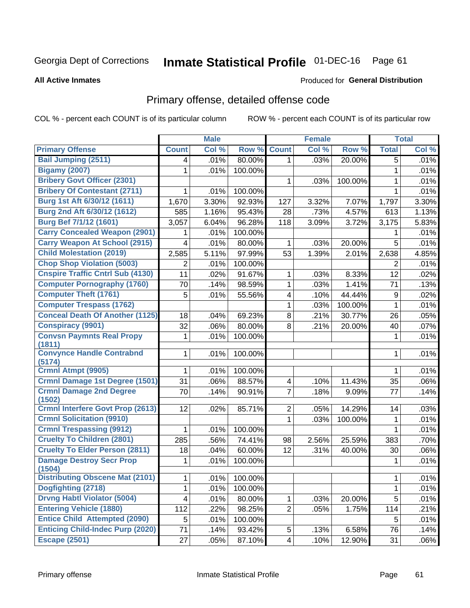#### **Inmate Statistical Profile 01-DEC-16** Page 61

#### **All Active Inmates**

#### Produced for General Distribution

## Primary offense, detailed offense code

COL % - percent each COUNT is of its particular column

|                                                  |                         | <b>Male</b> |                 |                | Female |         |              | <b>Total</b> |
|--------------------------------------------------|-------------------------|-------------|-----------------|----------------|--------|---------|--------------|--------------|
| <b>Primary Offense</b>                           | <b>Count</b>            | Col %       | Row %           | <b>Count</b>   | Col %  | Row %   | <b>Total</b> | Col %        |
| <b>Bail Jumping (2511)</b>                       | 4                       | .01%        | 80.00%          | $\mathbf{1}$   | .03%   | 20.00%  | 5            | .01%         |
| <b>Bigamy (2007)</b>                             |                         | .01%        | 100.00%         |                |        |         | 1            | .01%         |
| <b>Bribery Govt Officer (2301)</b>               |                         |             |                 | 1              | .03%   | 100.00% | 1            | .01%         |
| <b>Bribery Of Contestant (2711)</b>              | 1                       | .01%        | 100.00%         |                |        |         | 1            | .01%         |
| Burg 1st Aft 6/30/12 (1611)                      | 1,670                   | 3.30%       | 92.93%          | 127            | 3.32%  | 7.07%   | 1,797        | 3.30%        |
| Burg 2nd Aft 6/30/12 (1612)                      | 585                     | 1.16%       | 95.43%          | 28             | .73%   | 4.57%   | 613          | 1.13%        |
| Burg Bef 7/1/12 (1601)                           | 3,057                   | 6.04%       | 96.28%          | 118            | 3.09%  | 3.72%   | 3,175        | 5.83%        |
| <b>Carry Concealed Weapon (2901)</b>             |                         | .01%        | 100.00%         |                |        |         | 1            | .01%         |
| <b>Carry Weapon At School (2915)</b>             | 4                       | .01%        | 80.00%          | 1              | .03%   | 20.00%  | 5            | .01%         |
| <b>Child Molestation (2019)</b>                  | 2,585                   | 5.11%       | 97.99%          | 53             | 1.39%  | 2.01%   | 2,638        | 4.85%        |
| <b>Chop Shop Violation (5003)</b>                | 2                       | .01%        | 100.00%         |                |        |         | 2            | .01%         |
| <b>Cnspire Traffic Cntrl Sub (4130)</b>          | 11                      | .02%        | 91.67%          | $\mathbf{1}$   | .03%   | 8.33%   | 12           | .02%         |
| <b>Computer Pornography (1760)</b>               | 70                      | .14%        | 98.59%          | 1              | .03%   | 1.41%   | 71           | .13%         |
| <b>Computer Theft (1761)</b>                     | 5                       | .01%        | 55.56%          | 4              | .10%   | 44.44%  | $9\,$        | .02%         |
| <b>Computer Trespass (1762)</b>                  |                         |             |                 | 1              | .03%   | 100.00% | 1            | .01%         |
| <b>Conceal Death Of Another (1125)</b>           | 18                      | .04%        | 69.23%          | 8              | .21%   | 30.77%  | 26           | .05%         |
| <b>Conspiracy (9901)</b>                         | 32                      | .06%        | 80.00%          | 8              | .21%   | 20.00%  | 40           | .07%         |
| <b>Convsn Paymnts Real Propy</b>                 | 1                       | .01%        | 100.00%         |                |        |         | 1            | .01%         |
| (1811)<br><b>Convynce Handle Contrabnd</b>       |                         |             |                 |                |        |         |              |              |
| (5174)                                           | 1                       | .01%        | 100.00%         |                |        |         | 1            | .01%         |
| Crmnl Atmpt (9905)                               | 1                       | .01%        | 100.00%         |                |        |         | 1            | .01%         |
| <b>Crmnl Damage 1st Degree (1501)</b>            | 31                      | .06%        | 88.57%          | 4              | .10%   | 11.43%  | 35           | .06%         |
| <b>Crmnl Damage 2nd Degree</b>                   | 70                      | .14%        | 90.91%          | $\overline{7}$ | .18%   | 9.09%   | 77           | .14%         |
| (1502)                                           |                         |             |                 |                |        |         |              |              |
| <b>Crmnl Interfere Govt Prop (2613)</b>          | 12                      | .02%        | 85.71%          | $\overline{2}$ | .05%   | 14.29%  | 14           | .03%         |
| <b>Crmnl Solicitation (9910)</b>                 |                         |             |                 | 1              | .03%   | 100.00% | 1            | .01%         |
| <b>Crmnl Trespassing (9912)</b>                  | 1                       | .01%        | 100.00%         |                |        |         | 1            | .01%         |
| <b>Cruelty To Children (2801)</b>                | 285                     | .56%        | 74.41%          | 98             | 2.56%  | 25.59%  | 383          | .70%         |
| <b>Cruelty To Elder Person (2811)</b>            | 18                      | .04%        | 60.00%          | 12             | .31%   | 40.00%  | 30           | .06%         |
| <b>Damage Destroy Secr Prop</b>                  | 1                       | .01%        | 100.00%         |                |        |         | 1            | .01%         |
| (1504)<br><b>Distributing Obscene Mat (2101)</b> | 1                       |             | $.01\%$ 100.00% |                |        |         | 1            | .01%         |
| Dogfighting (2718)                               | 1                       | .01%        | 100.00%         |                |        |         | 1            | .01%         |
| <b>Drvng Habtl Violator (5004)</b>               | $\overline{\mathbf{4}}$ | .01%        | 80.00%          | $\mathbf 1$    | .03%   | 20.00%  | 5            | .01%         |
| <b>Entering Vehicle (1880)</b>                   | 112                     | .22%        |                 | $\overline{2}$ | .05%   | 1.75%   |              | .21%         |
| <b>Entice Child Attempted (2090)</b>             | 5                       |             | 98.25%          |                |        |         | 114<br>5     |              |
| <b>Enticing Child-Indec Purp (2020)</b>          | 71                      | .01%        | 100.00%         |                |        | 6.58%   | 76           | .01%         |
| <b>Escape (2501)</b>                             |                         | .14%        | 93.42%          | 5              | .13%   |         |              | .14%         |
|                                                  | 27                      | .05%        | 87.10%          | 4 <sup>1</sup> | .10%   | 12.90%  | 31           | .06%         |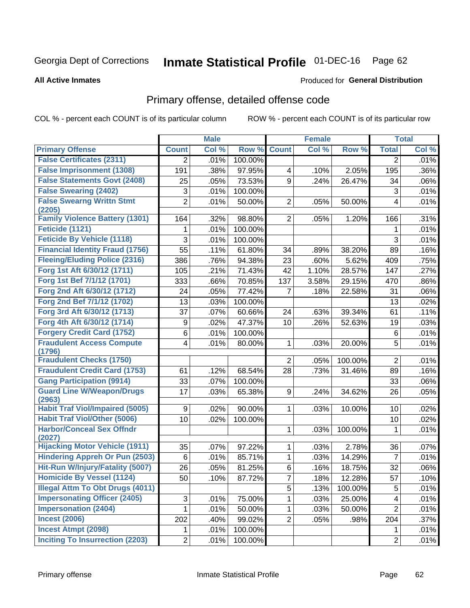#### **Inmate Statistical Profile 01-DEC-16** Page 62

#### **All Active Inmates**

### **Produced for General Distribution**

## Primary offense, detailed offense code

COL % - percent each COUNT is of its particular column

|                                            |                 | <b>Male</b> |         |                         | <b>Female</b> |         |                 | <b>Total</b> |
|--------------------------------------------|-----------------|-------------|---------|-------------------------|---------------|---------|-----------------|--------------|
| <b>Primary Offense</b>                     | <b>Count</b>    | Col %       | Row %   | <b>Count</b>            | Col %         | Row %   | <b>Total</b>    | Col %        |
| <b>False Certificates (2311)</b>           | $\overline{2}$  | .01%        | 100.00% |                         |               |         | 2               | .01%         |
| <b>False Imprisonment (1308)</b>           | 191             | .38%        | 97.95%  | $\overline{\mathbf{4}}$ | .10%          | 2.05%   | 195             | .36%         |
| <b>False Statements Govt (2408)</b>        | 25              | .05%        | 73.53%  | 9                       | .24%          | 26.47%  | 34              | .06%         |
| <b>False Swearing (2402)</b>               | 3               | .01%        | 100.00% |                         |               |         | $\mathfrak{S}$  | .01%         |
| <b>False Swearng Writtn Stmt</b>           | $\overline{2}$  | .01%        | 50.00%  | $\overline{2}$          | .05%          | 50.00%  | 4               | .01%         |
| (2205)                                     |                 |             |         |                         |               |         |                 |              |
| <b>Family Violence Battery (1301)</b>      | 164             | .32%        | 98.80%  | $\overline{2}$          | .05%          | 1.20%   | 166             | .31%         |
| Feticide (1121)                            | 1               | .01%        | 100.00% |                         |               |         | 1               | .01%         |
| <b>Feticide By Vehicle (1118)</b>          | 3               | .01%        | 100.00% |                         |               |         | 3               | .01%         |
| <b>Financial Identity Fraud (1756)</b>     | 55              | .11%        | 61.80%  | 34                      | .89%          | 38.20%  | 89              | .16%         |
| <b>Fleeing/Eluding Police (2316)</b>       | 386             | .76%        | 94.38%  | 23                      | .60%          | 5.62%   | 409             | .75%         |
| Forg 1st Aft 6/30/12 (1711)                | 105             | .21%        | 71.43%  | 42                      | 1.10%         | 28.57%  | 147             | .27%         |
| Forg 1st Bef 7/1/12 (1701)                 | 333             | .66%        | 70.85%  | 137                     | 3.58%         | 29.15%  | 470             | .86%         |
| Forg 2nd Aft 6/30/12 (1712)                | 24              | .05%        | 77.42%  | 7                       | .18%          | 22.58%  | 31              | .06%         |
| Forg 2nd Bef 7/1/12 (1702)                 | 13              | .03%        | 100.00% |                         |               |         | 13              | .02%         |
| Forg 3rd Aft 6/30/12 (1713)                | 37              | .07%        | 60.66%  | 24                      | .63%          | 39.34%  | 61              | .11%         |
| Forg 4th Aft 6/30/12 (1714)                | 9               | .02%        | 47.37%  | 10                      | .26%          | 52.63%  | 19              | .03%         |
| <b>Forgery Credit Card (1752)</b>          | 6               | .01%        | 100.00% |                         |               |         | 6               | .01%         |
| <b>Fraudulent Access Compute</b><br>(1796) | 4               | .01%        | 80.00%  | $\mathbf{1}$            | .03%          | 20.00%  | 5               | .01%         |
| <b>Fraudulent Checks (1750)</b>            |                 |             |         | $\overline{2}$          | .05%          | 100.00% | $\overline{2}$  | .01%         |
| <b>Fraudulent Credit Card (1753)</b>       | 61              | .12%        | 68.54%  | 28                      | .73%          | 31.46%  | 89              | .16%         |
| <b>Gang Participation (9914)</b>           | 33              | .07%        | 100.00% |                         |               |         | 33              | .06%         |
| <b>Guard Line W/Weapon/Drugs</b>           | 17              | .03%        | 65.38%  | 9                       | .24%          | 34.62%  | 26              | .05%         |
| (2963)                                     |                 |             |         |                         |               |         |                 |              |
| <b>Habit Traf Viol/Impaired (5005)</b>     | 9               | .02%        | 90.00%  | 1                       | .03%          | 10.00%  | 10              | .02%         |
| <b>Habit Traf Viol/Other (5006)</b>        | 10              | .02%        | 100.00% |                         |               |         | 10              | .02%         |
| <b>Harbor/Conceal Sex Offndr</b><br>(2027) |                 |             |         | 1                       | .03%          | 100.00% | 1               | .01%         |
| <b>Hijacking Motor Vehicle (1911)</b>      | 35              | .07%        | 97.22%  | 1                       | .03%          | 2.78%   | 36              | .07%         |
| <b>Hindering Appreh Or Pun (2503)</b>      | 6               | .01%        | 85.71%  | $\mathbf{1}$            | .03%          | 14.29%  | 7               | .01%         |
| Hit-Run W/Injury/Fatality (5007)           | 26              | .05%        | 81.25%  | 6                       | .16%          | 18.75%  | 32              | .06%         |
| <b>Homicide By Vessel (1124)</b>           | $\overline{50}$ | .10%        | 87.72%  | $\overline{7}$          | .18%          | 12.28%  | $\overline{57}$ | .10%         |
| <b>Illegal Attm To Obt Drugs (4011)</b>    |                 |             |         | 5                       | .13%          | 100.00% | 5               | .01%         |
| <b>Impersonating Officer (2405)</b>        | 3               | .01%        | 75.00%  | 1                       | .03%          | 25.00%  | 4               | .01%         |
| <b>Impersonation (2404)</b>                | 1               | .01%        | 50.00%  | $\mathbf{1}$            | .03%          | 50.00%  | $\overline{2}$  | .01%         |
| <b>Incest (2006)</b>                       | 202             | .40%        | 99.02%  | $\overline{2}$          | .05%          | .98%    | 204             | .37%         |
| <b>Incest Atmpt (2098)</b>                 | 1               | .01%        | 100.00% |                         |               |         |                 | .01%         |
| <b>Inciting To Insurrection (2203)</b>     | $\overline{2}$  | .01%        | 100.00% |                         |               |         | $\overline{2}$  | .01%         |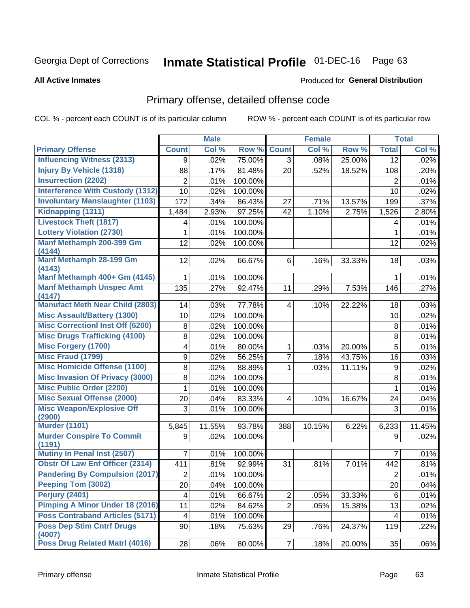# Inmate Statistical Profile 01-DEC-16 Page 63

#### **All Active Inmates**

#### Produced for General Distribution

# Primary offense, detailed offense code

COL % - percent each COUNT is of its particular column

|                                            |                | <b>Male</b> |         |                         | <b>Female</b> |        |                  | <b>Total</b> |
|--------------------------------------------|----------------|-------------|---------|-------------------------|---------------|--------|------------------|--------------|
| <b>Primary Offense</b>                     | <b>Count</b>   | Col %       | Row %   | <b>Count</b>            | Col %         | Row %  | <b>Total</b>     | Col %        |
| <b>Influencing Witness (2313)</b>          | 9              | .02%        | 75.00%  | 3 <sup>1</sup>          | .08%          | 25.00% | 12               | .02%         |
| <b>Injury By Vehicle (1318)</b>            | 88             | .17%        | 81.48%  | 20                      | .52%          | 18.52% | 108              | .20%         |
| <b>Insurrection (2202)</b>                 | $\overline{2}$ | .01%        | 100.00% |                         |               |        | 2                | .01%         |
| <b>Interference With Custody (1312)</b>    | 10             | .02%        | 100.00% |                         |               |        | 10               | .02%         |
| <b>Involuntary Manslaughter (1103)</b>     | 172            | .34%        | 86.43%  | 27                      | .71%          | 13.57% | 199              | .37%         |
| Kidnapping (1311)                          | 1,484          | 2.93%       | 97.25%  | 42                      | 1.10%         | 2.75%  | 1,526            | 2.80%        |
| <b>Livestock Theft (1817)</b>              | 4              | .01%        | 100.00% |                         |               |        | 4                | .01%         |
| <b>Lottery Violation (2730)</b>            | 1              | .01%        | 100.00% |                         |               |        | $\mathbf{1}$     | .01%         |
| Manf Methamph 200-399 Gm<br>(4144)         | 12             | .02%        | 100.00% |                         |               |        | 12               | .02%         |
| Manf Methamph 28-199 Gm<br>(4143)          | 12             | .02%        | 66.67%  | 6                       | .16%          | 33.33% | 18               | .03%         |
| Manf Methamph 400+ Gm (4145)               | 1              | .01%        | 100.00% |                         |               |        | 1                | .01%         |
| <b>Manf Methamph Unspec Amt</b>            | 135            | .27%        | 92.47%  | 11                      | .29%          | 7.53%  | 146              | .27%         |
| (4147)                                     |                |             |         |                         |               |        |                  |              |
| <b>Manufact Meth Near Child (2803)</b>     | 14             | .03%        | 77.78%  | 4                       | .10%          | 22.22% | 18               | .03%         |
| <b>Misc Assault/Battery (1300)</b>         | 10             | .02%        | 100.00% |                         |               |        | 10               | .02%         |
| <b>Misc Correctionl Inst Off (6200)</b>    | 8              | .02%        | 100.00% |                         |               |        | 8                | .01%         |
| <b>Misc Drugs Trafficking (4100)</b>       | 8              | .02%        | 100.00% |                         |               |        | 8                | .01%         |
| <b>Misc Forgery (1700)</b>                 | 4              | .01%        | 80.00%  | 1                       | .03%          | 20.00% | 5                | .01%         |
| <b>Misc Fraud (1799)</b>                   | 9              | .02%        | 56.25%  | $\overline{7}$          | .18%          | 43.75% | 16               | .03%         |
| <b>Misc Homicide Offense (1100)</b>        | 8              | .02%        | 88.89%  | $\mathbf 1$             | .03%          | 11.11% | $\boldsymbol{9}$ | .02%         |
| <b>Misc Invasion Of Privacy (3000)</b>     | 8              | .02%        | 100.00% |                         |               |        | 8                | .01%         |
| <b>Misc Public Order (2200)</b>            | 1              | .01%        | 100.00% |                         |               |        | 1                | .01%         |
| <b>Misc Sexual Offense (2000)</b>          | 20             | .04%        | 83.33%  | $\overline{\mathbf{4}}$ | .10%          | 16.67% | 24               | .04%         |
| <b>Misc Weapon/Explosive Off</b><br>(2900) | 3              | .01%        | 100.00% |                         |               |        | 3                | .01%         |
| <b>Murder (1101)</b>                       | 5,845          | 11.55%      | 93.78%  | 388                     | 10.15%        | 6.22%  | 6,233            | 11.45%       |
| <b>Murder Conspire To Commit</b><br>(1191) | 9              | .02%        | 100.00% |                         |               |        | 9                | .02%         |
| Mutiny In Penal Inst (2507)                | 7              | .01%        | 100.00% |                         |               |        | $\overline{7}$   | .01%         |
| <b>Obstr Of Law Enf Officer (2314)</b>     | 411            | .81%        | 92.99%  | 31                      | .81%          | 7.01%  | 442              | .81%         |
| <b>Pandering By Compulsion (2017)</b>      | $\overline{2}$ | .01%        | 100.00% |                         |               |        | $\overline{2}$   | .01%         |
| Peeping Tom (3002)                         | 20             | .04%        | 100.00% |                         |               |        | 20               | .04%         |
| <b>Perjury (2401)</b>                      | 4              | .01%        | 66.67%  | $\overline{2}$          | .05%          | 33.33% | 6                | .01%         |
| <b>Pimping A Minor Under 18 (2016)</b>     | 11             | .02%        | 84.62%  | $\overline{2}$          | .05%          | 15.38% | 13               | .02%         |
| <b>Poss Contraband Articles (5171)</b>     | 4              | .01%        | 100.00% |                         |               |        | 4                | .01%         |
| <b>Poss Dep Stim Cntrf Drugs</b><br>(4007) | 90             | .18%        | 75.63%  | 29                      | .76%          | 24.37% | 119              | .22%         |
| Poss Drug Related Matrl (4016)             | 28             | .06%        | 80.00%  | 7                       | .18%          | 20.00% | 35               | .06%         |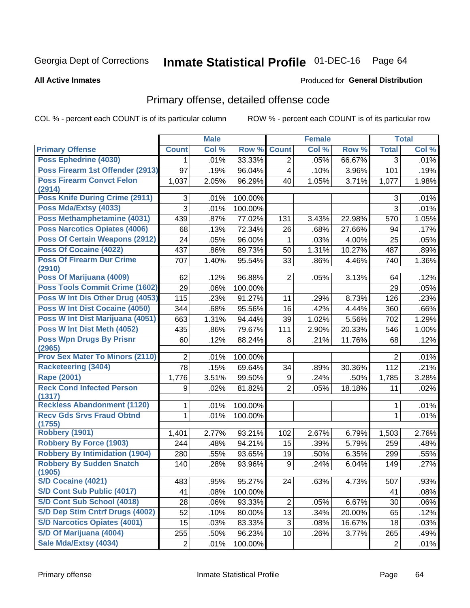# Inmate Statistical Profile 01-DEC-16 Page 64

#### **All Active Inmates**

#### Produced for General Distribution

# Primary offense, detailed offense code

COL % - percent each COUNT is of its particular column

|                                            |                 | <b>Male</b> |         |                         | <b>Female</b> |        |                | <b>Total</b> |
|--------------------------------------------|-----------------|-------------|---------|-------------------------|---------------|--------|----------------|--------------|
| <b>Primary Offense</b>                     | <b>Count</b>    | Col %       | Row %   | <b>Count</b>            | Col %         | Row %  | <b>Total</b>   | Col %        |
| Poss Ephedrine (4030)                      | 1.              | .01%        | 33.33%  | $\overline{2}$          | .05%          | 66.67% | 3              | .01%         |
| Poss Firearm 1st Offender (2913)           | 97              | .19%        | 96.04%  | $\overline{\mathbf{4}}$ | .10%          | 3.96%  | 101            | .19%         |
| <b>Poss Firearm Convct Felon</b>           | 1,037           | 2.05%       | 96.29%  | 40                      | 1.05%         | 3.71%  | 1,077          | 1.98%        |
| (2914)                                     |                 |             |         |                         |               |        |                |              |
| <b>Poss Knife During Crime (2911)</b>      | 3               | .01%        | 100.00% |                         |               |        | 3              | .01%         |
| Poss Mda/Extsy (4033)                      | $\overline{3}$  | .01%        | 100.00% |                         |               |        | 3              | .01%         |
| Poss Methamphetamine (4031)                | 439             | .87%        | 77.02%  | 131                     | 3.43%         | 22.98% | 570            | 1.05%        |
| Poss Narcotics Opiates (4006)              | 68              | .13%        | 72.34%  | 26                      | .68%          | 27.66% | 94             | .17%         |
| <b>Poss Of Certain Weapons (2912)</b>      | 24              | .05%        | 96.00%  | $\mathbf{1}$            | .03%          | 4.00%  | 25             | .05%         |
| <b>Poss Of Cocaine (4022)</b>              | 437             | .86%        | 89.73%  | 50                      | 1.31%         | 10.27% | 487            | .89%         |
| <b>Poss Of Firearm Dur Crime</b><br>(2910) | 707             | 1.40%       | 95.54%  | 33                      | .86%          | 4.46%  | 740            | 1.36%        |
| Poss Of Marijuana (4009)                   | 62              | .12%        | 96.88%  | $\overline{2}$          | .05%          | 3.13%  | 64             | .12%         |
| Poss Tools Commit Crime (1602)             | 29              | .06%        | 100.00% |                         |               |        | 29             | .05%         |
| Poss W Int Dis Other Drug (4053)           | 115             | .23%        | 91.27%  | 11                      | .29%          | 8.73%  | 126            | .23%         |
| <b>Poss W Int Dist Cocaine (4050)</b>      | 344             | .68%        | 95.56%  | 16                      | .42%          | 4.44%  | 360            | .66%         |
| Poss W Int Dist Marijuana (4051)           | 663             | 1.31%       | 94.44%  | 39                      | 1.02%         | 5.56%  | 702            | 1.29%        |
| Poss W Int Dist Meth (4052)                | 435             | .86%        | 79.67%  | 111                     | 2.90%         | 20.33% | 546            | 1.00%        |
| <b>Poss Wpn Drugs By Prisnr</b>            | 60              | .12%        | 88.24%  | 8                       | .21%          | 11.76% | 68             | .12%         |
| (2965)                                     |                 |             |         |                         |               |        |                |              |
| Prov Sex Mater To Minors (2110)            | $\overline{2}$  | .01%        | 100.00% |                         |               |        | 2              | .01%         |
| Racketeering (3404)                        | $\overline{78}$ | .15%        | 69.64%  | 34                      | .89%          | 30.36% | 112            | .21%         |
| <b>Rape (2001)</b>                         | 1,776           | 3.51%       | 99.50%  | 9                       | .24%          | .50%   | 1,785          | 3.28%        |
| <b>Reck Cond Infected Person</b><br>(1317) | 9               | .02%        | 81.82%  | $\overline{2}$          | .05%          | 18.18% | 11             | .02%         |
| <b>Reckless Abandonment (1120)</b>         | 1               | .01%        | 100.00% |                         |               |        | 1              | .01%         |
| <b>Recv Gds Srvs Fraud Obtnd</b><br>(1755) | 1               | .01%        | 100.00% |                         |               |        | 1              | .01%         |
| <b>Robbery (1901)</b>                      | 1,401           | 2.77%       | 93.21%  | 102                     | 2.67%         | 6.79%  | 1,503          | 2.76%        |
| <b>Robbery By Force (1903)</b>             | 244             | .48%        | 94.21%  | 15                      | .39%          | 5.79%  | 259            | .48%         |
| <b>Robbery By Intimidation (1904)</b>      | 280             | .55%        | 93.65%  | 19                      | .50%          | 6.35%  | 299            | .55%         |
| <b>Robbery By Sudden Snatch</b><br>(1905)  | 140             | .28%        | 93.96%  | 9                       | .24%          | 6.04%  | 149            | .27%         |
| S/D Cocaine (4021)                         | 483             | .95%        | 95.27%  | 24                      | .63%          | 4.73%  | 507            | .93%         |
| S/D Cont Sub Public (4017)                 | 41              | .08%        | 100.00% |                         |               |        | 41             | .08%         |
| S/D Cont Sub School (4018)                 | 28              | .06%        | 93.33%  | $\overline{c}$          | .05%          | 6.67%  | 30             | .06%         |
| S/D Dep Stim Cntrf Drugs (4002)            | 52              | .10%        | 80.00%  | 13                      | .34%          | 20.00% | 65             | .12%         |
| <b>S/D Narcotics Opiates (4001)</b>        | 15              | .03%        | 83.33%  | 3                       | .08%          | 16.67% | 18             | .03%         |
| S/D Of Marijuana (4004)                    | 255             | .50%        | 96.23%  | 10                      | .26%          | 3.77%  | 265            | .49%         |
| Sale Mda/Extsy (4034)                      | $\overline{2}$  | .01%        | 100.00% |                         |               |        | $\overline{2}$ | .01%         |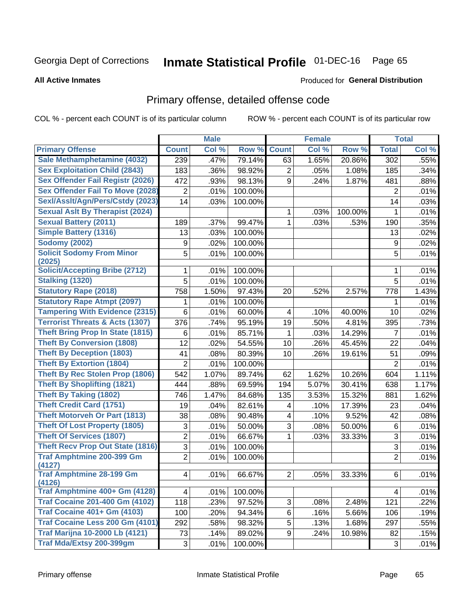# Inmate Statistical Profile 01-DEC-16 Page 65

#### **All Active Inmates**

#### Produced for General Distribution

# Primary offense, detailed offense code

COL % - percent each COUNT is of its particular column

|                                            |                | <b>Male</b> |         |                | <b>Female</b> |         |                  | <b>Total</b> |
|--------------------------------------------|----------------|-------------|---------|----------------|---------------|---------|------------------|--------------|
| <b>Primary Offense</b>                     | <b>Count</b>   | Col %       | Row %   | <b>Count</b>   | Col %         | Row %   | <b>Total</b>     | Col %        |
| Sale Methamphetamine (4032)                | 239            | .47%        | 79.14%  | 63             | 1.65%         | 20.86%  | $\overline{302}$ | .55%         |
| <b>Sex Exploitation Child (2843)</b>       | 183            | .36%        | 98.92%  | 2              | .05%          | 1.08%   | 185              | .34%         |
| <b>Sex Offender Fail Registr (2026)</b>    | 472            | .93%        | 98.13%  | 9              | .24%          | 1.87%   | 481              | .88%         |
| <b>Sex Offender Fail To Move (2028)</b>    | $\overline{2}$ | .01%        | 100.00% |                |               |         | $\overline{2}$   | .01%         |
| Sexl/Asslt/Agn/Pers/Cstdy (2023)           | 14             | .03%        | 100.00% |                |               |         | 14               | .03%         |
| <b>Sexual Aslt By Therapist (2024)</b>     |                |             |         | 1              | .03%          | 100.00% | 1                | .01%         |
| <b>Sexual Battery (2011)</b>               | 189            | .37%        | 99.47%  | $\mathbf 1$    | .03%          | .53%    | 190              | .35%         |
| <b>Simple Battery (1316)</b>               | 13             | .03%        | 100.00% |                |               |         | 13               | .02%         |
| <b>Sodomy (2002)</b>                       | 9              | .02%        | 100.00% |                |               |         | 9                | .02%         |
| <b>Solicit Sodomy From Minor</b>           | 5              | .01%        | 100.00% |                |               |         | $\overline{5}$   | .01%         |
| (2025)                                     |                |             |         |                |               |         |                  |              |
| <b>Solicit/Accepting Bribe (2712)</b>      | 1              | .01%        | 100.00% |                |               |         | 1                | .01%         |
| <b>Stalking (1320)</b>                     | 5              | .01%        | 100.00% |                |               |         | $\overline{5}$   | .01%         |
| <b>Statutory Rape (2018)</b>               | 758            | 1.50%       | 97.43%  | 20             | .52%          | 2.57%   | 778              | 1.43%        |
| <b>Statutory Rape Atmpt (2097)</b>         | 1              | .01%        | 100.00% |                |               |         | 1                | .01%         |
| <b>Tampering With Evidence (2315)</b>      | 6              | .01%        | 60.00%  | 4              | .10%          | 40.00%  | 10               | .02%         |
| <b>Terrorist Threats &amp; Acts (1307)</b> | 376            | .74%        | 95.19%  | 19             | .50%          | 4.81%   | 395              | .73%         |
| <b>Theft Bring Prop In State (1815)</b>    | 6              | .01%        | 85.71%  | 1              | .03%          | 14.29%  | $\overline{7}$   | .01%         |
| <b>Theft By Conversion (1808)</b>          | 12             | .02%        | 54.55%  | 10             | .26%          | 45.45%  | 22               | .04%         |
| <b>Theft By Deception (1803)</b>           | 41             | .08%        | 80.39%  | 10             | .26%          | 19.61%  | 51               | .09%         |
| <b>Theft By Extortion (1804)</b>           | $\overline{2}$ | .01%        | 100.00% |                |               |         | $\overline{2}$   | .01%         |
| <b>Theft By Rec Stolen Prop (1806)</b>     | 542            | 1.07%       | 89.74%  | 62             | 1.62%         | 10.26%  | 604              | 1.11%        |
| <b>Theft By Shoplifting (1821)</b>         | 444            | .88%        | 69.59%  | 194            | 5.07%         | 30.41%  | 638              | 1.17%        |
| <b>Theft By Taking (1802)</b>              | 746            | 1.47%       | 84.68%  | 135            | 3.53%         | 15.32%  | 881              | 1.62%        |
| <b>Theft Credit Card (1751)</b>            | 19             | .04%        | 82.61%  | 4              | .10%          | 17.39%  | 23               | .04%         |
| <b>Theft Motorveh Or Part (1813)</b>       | 38             | .08%        | 90.48%  | 4              | .10%          | 9.52%   | 42               | .08%         |
| <b>Theft Of Lost Property (1805)</b>       | 3              | .01%        | 50.00%  | 3              | .08%          | 50.00%  | $\,6$            | .01%         |
| <b>Theft Of Services (1807)</b>            | $\overline{2}$ | .01%        | 66.67%  | $\mathbf{1}$   | .03%          | 33.33%  | 3                | .01%         |
| <b>Theft Recv Prop Out State (1816)</b>    | 3              | .01%        | 100.00% |                |               |         | $\overline{3}$   | .01%         |
| <b>Traf Amphtmine 200-399 Gm</b><br>(4127) | $\overline{2}$ | .01%        | 100.00% |                |               |         | $\overline{2}$   | .01%         |
| <b>Traf Amphtmine 28-199 Gm</b><br>(4126)  | $\overline{4}$ | .01%        | 66.67%  | $\overline{2}$ | .05%          | 33.33%  | 6                | .01%         |
| Traf Amphtmine 400+ Gm (4128)              | 4              | .01%        | 100.00% |                |               |         | 4                | .01%         |
| <b>Traf Cocaine 201-400 Gm (4102)</b>      | 118            | .23%        | 97.52%  | 3              | .08%          | 2.48%   | 121              | .22%         |
| <b>Traf Cocaine 401+ Gm (4103)</b>         | 100            | .20%        | 94.34%  | 6              | .16%          | 5.66%   | 106              | .19%         |
| Traf Cocaine Less 200 Gm (4101)            | 292            | .58%        | 98.32%  | 5              | .13%          | 1.68%   | 297              | .55%         |
| <b>Traf Marijna 10-2000 Lb (4121)</b>      | 73             | .14%        | 89.02%  | 9              | .24%          | 10.98%  | 82               | .15%         |
| Traf Mda/Extsy 200-399gm                   | 3              | .01%        | 100.00% |                |               |         | 3                | .01%         |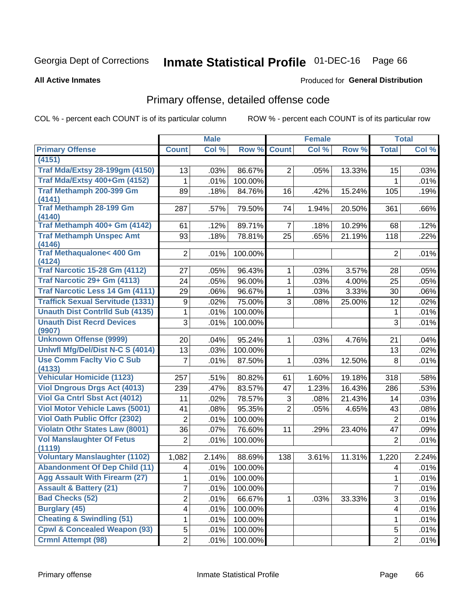# Inmate Statistical Profile 01-DEC-16 Page 66

#### **All Active Inmates**

#### Produced for General Distribution

# Primary offense, detailed offense code

COL % - percent each COUNT is of its particular column

|                                            |                | <b>Male</b> |         |                | <b>Female</b> |        |                | <b>Total</b> |
|--------------------------------------------|----------------|-------------|---------|----------------|---------------|--------|----------------|--------------|
| <b>Primary Offense</b>                     | <b>Count</b>   | Col %       | Row %   | <b>Count</b>   | Col %         | Row %  | <b>Total</b>   | Col %        |
| (4151)                                     |                |             |         |                |               |        |                |              |
| <b>Traf Mda/Extsy 28-199gm (4150)</b>      | 13             | .03%        | 86.67%  | $\overline{2}$ | .05%          | 13.33% | 15             | .03%         |
| Traf Mda/Extsy 400+Gm (4152)               | 1              | .01%        | 100.00% |                |               |        | 1              | .01%         |
| Traf Methamph 200-399 Gm                   | 89             | .18%        | 84.76%  | 16             | .42%          | 15.24% | 105            | .19%         |
| (4141)                                     |                |             |         |                |               |        |                |              |
| <b>Traf Methamph 28-199 Gm</b>             | 287            | .57%        | 79.50%  | 74             | 1.94%         | 20.50% | 361            | .66%         |
| (4140)<br>Traf Methamph 400+ Gm (4142)     | 61             | .12%        | 89.71%  | $\overline{7}$ | .18%          | 10.29% | 68             | .12%         |
| <b>Traf Methamph Unspec Amt</b>            | 93             | .18%        | 78.81%  | 25             | .65%          | 21.19% | 118            | .22%         |
| (4146)                                     |                |             |         |                |               |        |                |              |
| <b>Traf Methaqualone&lt; 400 Gm</b>        | $\overline{2}$ | .01%        | 100.00% |                |               |        | 2              | .01%         |
| (4124)                                     |                |             |         |                |               |        |                |              |
| <b>Traf Narcotic 15-28 Gm (4112)</b>       | 27             | .05%        | 96.43%  | 1              | .03%          | 3.57%  | 28             | .05%         |
| Traf Narcotic 29+ Gm (4113)                | 24             | .05%        | 96.00%  | 1              | .03%          | 4.00%  | 25             | .05%         |
| <b>Traf Narcotic Less 14 Gm (4111)</b>     | 29             | .06%        | 96.67%  | 1              | .03%          | 3.33%  | 30             | .06%         |
| <b>Traffick Sexual Servitude (1331)</b>    | 9              | .02%        | 75.00%  | 3              | .08%          | 25.00% | 12             | .02%         |
| <b>Unauth Dist Contrild Sub (4135)</b>     | 1              | .01%        | 100.00% |                |               |        | 1              | .01%         |
| <b>Unauth Dist Recrd Devices</b>           | 3              | .01%        | 100.00% |                |               |        | 3              | .01%         |
| (9907)                                     |                |             |         |                |               |        |                |              |
| <b>Unknown Offense (9999)</b>              | 20             | .04%        | 95.24%  | $\mathbf{1}$   | .03%          | 4.76%  | 21             | .04%         |
| Uniwfl Mfg/Del/Dist N-C S (4014)           | 13             | .03%        | 100.00% |                |               |        | 13             | .02%         |
| <b>Use Comm Facity Vio C Sub</b><br>(4133) | 7              | .01%        | 87.50%  | $\mathbf 1$    | .03%          | 12.50% | 8              | .01%         |
| <b>Vehicular Homicide (1123)</b>           | 257            | .51%        | 80.82%  | 61             | 1.60%         | 19.18% | 318            | .58%         |
| <b>Viol Dngrous Drgs Act (4013)</b>        | 239            | .47%        | 83.57%  | 47             | 1.23%         | 16.43% | 286            | .53%         |
| Viol Ga Cntrl Sbst Act (4012)              | 11             | .02%        | 78.57%  | 3              | .08%          | 21.43% | 14             | .03%         |
| <b>Viol Motor Vehicle Laws (5001)</b>      | 41             | .08%        | 95.35%  | $\overline{2}$ | .05%          | 4.65%  | 43             | .08%         |
| <b>Viol Oath Public Offer (2302)</b>       | $\overline{2}$ | .01%        | 100.00% |                |               |        | $\overline{2}$ | .01%         |
| <b>Violatn Othr States Law (8001)</b>      | 36             | .07%        | 76.60%  | 11             | .29%          | 23.40% | 47             | .09%         |
| <b>Vol Manslaughter Of Fetus</b>           | $\overline{2}$ | .01%        | 100.00% |                |               |        | $\overline{2}$ | .01%         |
| (1119)                                     |                |             |         |                |               |        |                |              |
| <b>Voluntary Manslaughter (1102)</b>       | 1,082          | 2.14%       | 88.69%  | 138            | 3.61%         | 11.31% | 1,220          | 2.24%        |
| <b>Abandonment Of Dep Child (11)</b>       | 4              | .01%        | 100.00% |                |               |        | 4              | .01%         |
| <b>Agg Assault With Firearm (27)</b>       | $\mathbf{1}$   | .01%        | 100.00% |                |               |        | $\mathbf 1$    | .01%         |
| <b>Assault &amp; Battery (21)</b>          | 7              | .01%        | 100.00% |                |               |        | $\overline{7}$ | .01%         |
| <b>Bad Checks (52)</b>                     | $\overline{2}$ | .01%        | 66.67%  | 1.             | .03%          | 33.33% | 3              | .01%         |
| <b>Burglary (45)</b>                       | 4              | .01%        | 100.00% |                |               |        | 4              | .01%         |
| <b>Cheating &amp; Swindling (51)</b>       | 1              | .01%        | 100.00% |                |               |        | 1              | .01%         |
| <b>Cpwl &amp; Concealed Weapon (93)</b>    | 5              | .01%        | 100.00% |                |               |        | 5              | .01%         |
| <b>Crmnl Attempt (98)</b>                  | $\overline{2}$ | .01%        | 100.00% |                |               |        | $\overline{2}$ | .01%         |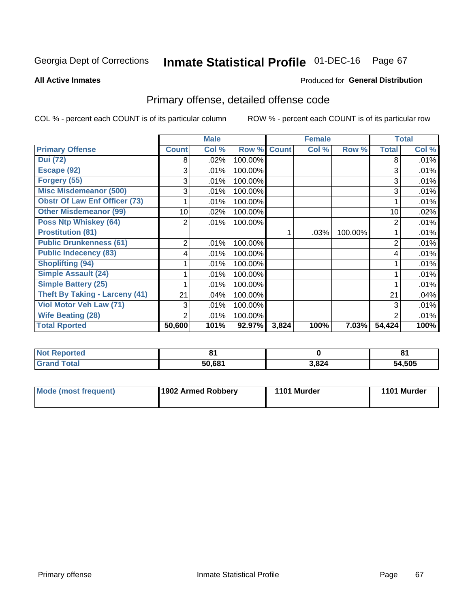# Inmate Statistical Profile 01-DEC-16 Page 67

**All Active Inmates** 

#### Produced for General Distribution

# Primary offense, detailed offense code

COL % - percent each COUNT is of its particular column

|                                       |              | <b>Male</b> |         |              | <b>Female</b> |         |                | <b>Total</b> |
|---------------------------------------|--------------|-------------|---------|--------------|---------------|---------|----------------|--------------|
| <b>Primary Offense</b>                | <b>Count</b> | Col %       | Row %   | <b>Count</b> | Col %         | Row %   | <b>Total</b>   | Col %        |
| <b>Dui (72)</b>                       | 8            | .02%        | 100.00% |              |               |         | 8              | .01%         |
| Escape (92)                           | 3            | .01%        | 100.00% |              |               |         | 3              | .01%         |
| Forgery (55)                          | 3            | .01%        | 100.00% |              |               |         | 3              | .01%         |
| <b>Misc Misdemeanor (500)</b>         | 3            | .01%        | 100.00% |              |               |         | 3              | .01%         |
| <b>Obstr Of Law Enf Officer (73)</b>  |              | .01%        | 100.00% |              |               |         |                | .01%         |
| <b>Other Misdemeanor (99)</b>         | 10           | .02%        | 100.00% |              |               |         | 10             | .02%         |
| <b>Poss Ntp Whiskey (64)</b>          | 2            | .01%        | 100.00% |              |               |         | $\overline{2}$ | .01%         |
| <b>Prostitution (81)</b>              |              |             |         | 1            | .03%          | 100.00% |                | .01%         |
| <b>Public Drunkenness (61)</b>        | 2            | .01%        | 100.00% |              |               |         | $\overline{2}$ | .01%         |
| <b>Public Indecency (83)</b>          | 4            | .01%        | 100.00% |              |               |         | 4              | .01%         |
| <b>Shoplifting (94)</b>               |              | .01%        | 100.00% |              |               |         |                | .01%         |
| Simple Assault (24)                   |              | .01%        | 100.00% |              |               |         |                | .01%         |
| <b>Simple Battery (25)</b>            |              | .01%        | 100.00% |              |               |         |                | .01%         |
| <b>Theft By Taking - Larceny (41)</b> | 21           | .04%        | 100.00% |              |               |         | 21             | .04%         |
| Viol Motor Veh Law (71)               | 3            | .01%        | 100.00% |              |               |         | 3              | .01%         |
| <b>Wife Beating (28)</b>              | 2            | .01%        | 100.00% |              |               |         | $\overline{2}$ | .01%         |
| <b>Total Rported</b>                  | 50,600       | 101%        | 92.97%  | 3,824        | 100%          | 7.03%   | 54,424         | 100%         |

| Reported |        |       | п.<br>$\mathbf{o}$ . |
|----------|--------|-------|----------------------|
| `ota.    | 50.681 | 3,824 | 54,505               |

| Mode (most frequent) | 1902 Armed Robbery | 1101 Murder | 1101 Murder |
|----------------------|--------------------|-------------|-------------|
|----------------------|--------------------|-------------|-------------|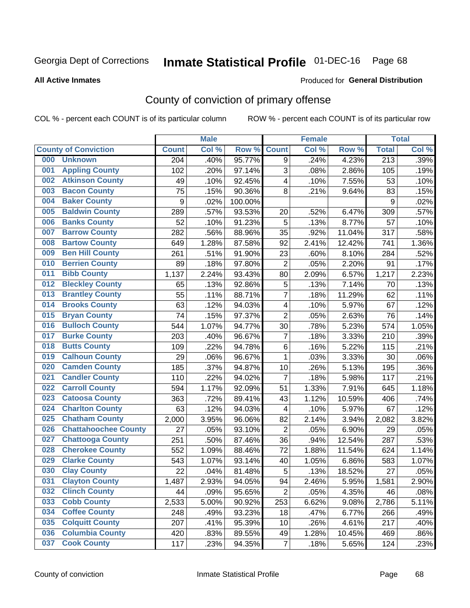# Inmate Statistical Profile 01-DEC-16 Page 68

#### **All Active Inmates**

#### Produced for General Distribution

# County of conviction of primary offense

COL % - percent each COUNT is of its particular column

|     |                             |              | <b>Male</b> |         |                          | <b>Female</b> |        |                  | <b>Total</b> |
|-----|-----------------------------|--------------|-------------|---------|--------------------------|---------------|--------|------------------|--------------|
|     | <b>County of Conviction</b> | <b>Count</b> | Col %       | Row %   | <b>Count</b>             | Col %         | Row %  | <b>Total</b>     | Col %        |
| 000 | <b>Unknown</b>              | 204          | .40%        | 95.77%  | 9                        | .24%          | 4.23%  | $\overline{213}$ | .39%         |
| 001 | <b>Appling County</b>       | 102          | .20%        | 97.14%  | 3                        | .08%          | 2.86%  | 105              | .19%         |
| 002 | <b>Atkinson County</b>      | 49           | .10%        | 92.45%  | 4                        | .10%          | 7.55%  | 53               | .10%         |
| 003 | <b>Bacon County</b>         | 75           | .15%        | 90.36%  | 8                        | .21%          | 9.64%  | 83               | .15%         |
| 004 | <b>Baker County</b>         | $\mathsf g$  | .02%        | 100.00% |                          |               |        | 9                | .02%         |
| 005 | <b>Baldwin County</b>       | 289          | .57%        | 93.53%  | 20                       | .52%          | 6.47%  | 309              | .57%         |
| 006 | <b>Banks County</b>         | 52           | .10%        | 91.23%  | 5                        | .13%          | 8.77%  | 57               | .10%         |
| 007 | <b>Barrow County</b>        | 282          | .56%        | 88.96%  | 35                       | .92%          | 11.04% | 317              | .58%         |
| 008 | <b>Bartow County</b>        | 649          | 1.28%       | 87.58%  | 92                       | 2.41%         | 12.42% | 741              | 1.36%        |
| 009 | <b>Ben Hill County</b>      | 261          | .51%        | 91.90%  | 23                       | .60%          | 8.10%  | 284              | .52%         |
| 010 | <b>Berrien County</b>       | 89           | .18%        | 97.80%  | $\overline{2}$           | .05%          | 2.20%  | 91               | .17%         |
| 011 | <b>Bibb County</b>          | 1,137        | 2.24%       | 93.43%  | 80                       | 2.09%         | 6.57%  | 1,217            | 2.23%        |
| 012 | <b>Bleckley County</b>      | 65           | .13%        | 92.86%  | 5                        | .13%          | 7.14%  | 70               | .13%         |
| 013 | <b>Brantley County</b>      | 55           | .11%        | 88.71%  | 7                        | .18%          | 11.29% | 62               | .11%         |
| 014 | <b>Brooks County</b>        | 63           | .12%        | 94.03%  | $\overline{\mathcal{A}}$ | .10%          | 5.97%  | 67               | .12%         |
| 015 | <b>Bryan County</b>         | 74           | .15%        | 97.37%  | $\overline{2}$           | .05%          | 2.63%  | 76               | .14%         |
| 016 | <b>Bulloch County</b>       | 544          | 1.07%       | 94.77%  | 30                       | .78%          | 5.23%  | 574              | 1.05%        |
| 017 | <b>Burke County</b>         | 203          | .40%        | 96.67%  | $\overline{7}$           | .18%          | 3.33%  | 210              | .39%         |
| 018 | <b>Butts County</b>         | 109          | .22%        | 94.78%  | 6                        | .16%          | 5.22%  | 115              | .21%         |
| 019 | <b>Calhoun County</b>       | 29           | .06%        | 96.67%  | 1                        | .03%          | 3.33%  | 30               | .06%         |
| 020 | <b>Camden County</b>        | 185          | .37%        | 94.87%  | 10                       | .26%          | 5.13%  | 195              | .36%         |
| 021 | <b>Candler County</b>       | 110          | .22%        | 94.02%  | $\overline{7}$           | .18%          | 5.98%  | 117              | .21%         |
| 022 | <b>Carroll County</b>       | 594          | 1.17%       | 92.09%  | 51                       | 1.33%         | 7.91%  | 645              | 1.18%        |
| 023 | <b>Catoosa County</b>       | 363          | .72%        | 89.41%  | 43                       | 1.12%         | 10.59% | 406              | .74%         |
| 024 | <b>Charlton County</b>      | 63           | .12%        | 94.03%  | $\overline{\mathcal{A}}$ | .10%          | 5.97%  | 67               | .12%         |
| 025 | <b>Chatham County</b>       | 2,000        | 3.95%       | 96.06%  | 82                       | 2.14%         | 3.94%  | 2,082            | 3.82%        |
| 026 | <b>Chattahoochee County</b> | 27           | .05%        | 93.10%  | $\overline{2}$           | .05%          | 6.90%  | 29               | .05%         |
| 027 | <b>Chattooga County</b>     | 251          | .50%        | 87.46%  | 36                       | .94%          | 12.54% | 287              | .53%         |
| 028 | <b>Cherokee County</b>      | 552          | 1.09%       | 88.46%  | 72                       | 1.88%         | 11.54% | 624              | 1.14%        |
| 029 | <b>Clarke County</b>        | 543          | 1.07%       | 93.14%  | 40                       | 1.05%         | 6.86%  | 583              | 1.07%        |
| 030 | <b>Clay County</b>          | 22           | .04%        | 81.48%  | 5                        | .13%          | 18.52% | 27               | .05%         |
| 031 | <b>Clayton County</b>       | 1,487        | 2.93%       | 94.05%  | 94                       | 2.46%         | 5.95%  | 1,581            | 2.90%        |
| 032 | <b>Clinch County</b>        | 44           | .09%        | 95.65%  | $\overline{2}$           | .05%          | 4.35%  | 46               | .08%         |
| 033 | <b>Cobb County</b>          | 2,533        | 5.00%       | 90.92%  | 253                      | 6.62%         | 9.08%  | 2,786            | 5.11%        |
| 034 | <b>Coffee County</b>        | 248          | .49%        | 93.23%  | 18                       | .47%          | 6.77%  | 266              | .49%         |
| 035 | <b>Colquitt County</b>      | 207          | .41%        | 95.39%  | 10                       | .26%          | 4.61%  | 217              | .40%         |
| 036 | <b>Columbia County</b>      | 420          | .83%        | 89.55%  | 49                       | 1.28%         | 10.45% | 469              | .86%         |
| 037 | <b>Cook County</b>          | 117          | .23%        | 94.35%  | $\overline{7}$           | .18%          | 5.65%  | 124              | .23%         |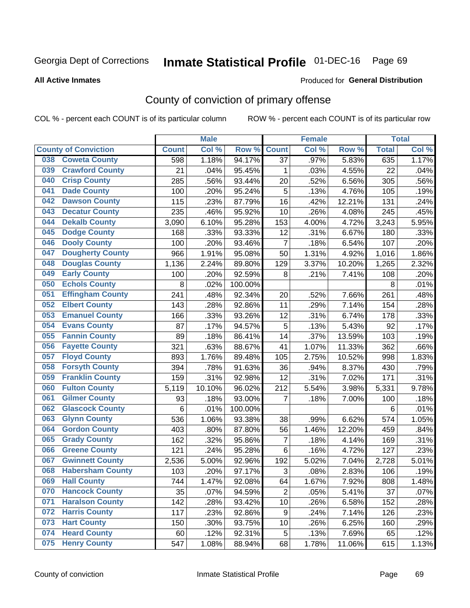# Inmate Statistical Profile 01-DEC-16 Page 69

#### **All Active Inmates**

#### Produced for General Distribution

# County of conviction of primary offense

COL % - percent each COUNT is of its particular column

|                                |              | <b>Male</b> |         |                | <b>Female</b> |        |              | <b>Total</b> |
|--------------------------------|--------------|-------------|---------|----------------|---------------|--------|--------------|--------------|
| <b>County of Conviction</b>    | <b>Count</b> | Col %       | Row %   | <b>Count</b>   | Col %         | Row %  | <b>Total</b> | Col %        |
| <b>Coweta County</b><br>038    | 598          | 1.18%       | 94.17%  | 37             | .97%          | 5.83%  | 635          | 1.17%        |
| <b>Crawford County</b><br>039  | 21           | .04%        | 95.45%  | 1              | .03%          | 4.55%  | 22           | .04%         |
| <b>Crisp County</b><br>040     | 285          | .56%        | 93.44%  | 20             | .52%          | 6.56%  | 305          | .56%         |
| <b>Dade County</b><br>041      | 100          | .20%        | 95.24%  | 5              | .13%          | 4.76%  | 105          | .19%         |
| 042<br><b>Dawson County</b>    | 115          | .23%        | 87.79%  | 16             | .42%          | 12.21% | 131          | .24%         |
| <b>Decatur County</b><br>043   | 235          | .46%        | 95.92%  | 10             | .26%          | 4.08%  | 245          | .45%         |
| <b>Dekalb County</b><br>044    | 3,090        | 6.10%       | 95.28%  | 153            | 4.00%         | 4.72%  | 3,243        | 5.95%        |
| <b>Dodge County</b><br>045     | 168          | .33%        | 93.33%  | 12             | .31%          | 6.67%  | 180          | .33%         |
| <b>Dooly County</b><br>046     | 100          | .20%        | 93.46%  | $\overline{7}$ | .18%          | 6.54%  | 107          | .20%         |
| <b>Dougherty County</b><br>047 | 966          | 1.91%       | 95.08%  | 50             | 1.31%         | 4.92%  | 1,016        | 1.86%        |
| <b>Douglas County</b><br>048   | 1,136        | 2.24%       | 89.80%  | 129            | 3.37%         | 10.20% | 1,265        | 2.32%        |
| <b>Early County</b><br>049     | 100          | .20%        | 92.59%  | 8              | .21%          | 7.41%  | 108          | .20%         |
| <b>Echols County</b><br>050    | 8            | .02%        | 100.00% |                |               |        | 8            | .01%         |
| 051<br><b>Effingham County</b> | 241          | .48%        | 92.34%  | 20             | .52%          | 7.66%  | 261          | .48%         |
| 052<br><b>Elbert County</b>    | 143          | .28%        | 92.86%  | 11             | .29%          | 7.14%  | 154          | .28%         |
| <b>Emanuel County</b><br>053   | 166          | .33%        | 93.26%  | 12             | .31%          | 6.74%  | 178          | .33%         |
| 054<br><b>Evans County</b>     | 87           | .17%        | 94.57%  | 5              | .13%          | 5.43%  | 92           | .17%         |
| <b>Fannin County</b><br>055    | 89           | .18%        | 86.41%  | 14             | .37%          | 13.59% | 103          | .19%         |
| <b>Fayette County</b><br>056   | 321          | .63%        | 88.67%  | 41             | 1.07%         | 11.33% | 362          | .66%         |
| <b>Floyd County</b><br>057     | 893          | 1.76%       | 89.48%  | 105            | 2.75%         | 10.52% | 998          | 1.83%        |
| <b>Forsyth County</b><br>058   | 394          | .78%        | 91.63%  | 36             | .94%          | 8.37%  | 430          | .79%         |
| <b>Franklin County</b><br>059  | 159          | .31%        | 92.98%  | 12             | .31%          | 7.02%  | 171          | .31%         |
| <b>Fulton County</b><br>060    | 5,119        | 10.10%      | 96.02%  | 212            | 5.54%         | 3.98%  | 5,331        | 9.78%        |
| <b>Gilmer County</b><br>061    | 93           | .18%        | 93.00%  | 7              | .18%          | 7.00%  | 100          | .18%         |
| 062<br><b>Glascock County</b>  | 6            | .01%        | 100.00% |                |               |        | 6            | .01%         |
| <b>Glynn County</b><br>063     | 536          | 1.06%       | 93.38%  | 38             | .99%          | 6.62%  | 574          | 1.05%        |
| <b>Gordon County</b><br>064    | 403          | .80%        | 87.80%  | 56             | 1.46%         | 12.20% | 459          | .84%         |
| <b>Grady County</b><br>065     | 162          | .32%        | 95.86%  | 7              | .18%          | 4.14%  | 169          | .31%         |
| <b>Greene County</b><br>066    | 121          | .24%        | 95.28%  | 6              | .16%          | 4.72%  | 127          | .23%         |
| <b>Gwinnett County</b><br>067  | 2,536        | 5.00%       | 92.96%  | 192            | 5.02%         | 7.04%  | 2,728        | 5.01%        |
| <b>Habersham County</b><br>068 | 103          | .20%        | 97.17%  | 3              | .08%          | 2.83%  | 106          | .19%         |
| 069<br><b>Hall County</b>      | 744          | 1.47%       | 92.08%  | 64             | 1.67%         | 7.92%  | 808          | 1.48%        |
| <b>Hancock County</b><br>070   | 35           | .07%        | 94.59%  | $\overline{2}$ | .05%          | 5.41%  | 37           | .07%         |
| <b>Haralson County</b><br>071  | 142          | .28%        | 93.42%  | 10             | .26%          | 6.58%  | 152          | .28%         |
| 072<br><b>Harris County</b>    | 117          | .23%        | 92.86%  | 9              | .24%          | 7.14%  | 126          | .23%         |
| <b>Hart County</b><br>073      | 150          | .30%        | 93.75%  | 10             | .26%          | 6.25%  | 160          | .29%         |
| <b>Heard County</b><br>074     | 60           | .12%        | 92.31%  | 5              | .13%          | 7.69%  | 65           | .12%         |
| <b>Henry County</b><br>075     | 547          | 1.08%       | 88.94%  | 68             | 1.78%         | 11.06% | 615          | 1.13%        |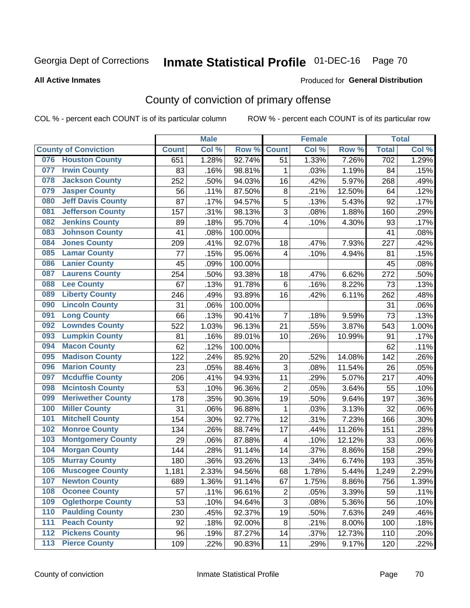# Inmate Statistical Profile 01-DEC-16 Page 70

#### **All Active Inmates**

#### Produced for General Distribution

# County of conviction of primary offense

COL % - percent each COUNT is of its particular column

|       |                             |              | <b>Male</b> |         |                         | <b>Female</b> |        |              | <b>Total</b> |
|-------|-----------------------------|--------------|-------------|---------|-------------------------|---------------|--------|--------------|--------------|
|       | <b>County of Conviction</b> | <b>Count</b> | Col %       | Row %   | <b>Count</b>            | Col%          | Row %  | <b>Total</b> | Col %        |
| 076   | <b>Houston County</b>       | 651          | 1.28%       | 92.74%  | 51                      | 1.33%         | 7.26%  | 702          | 1.29%        |
| 077   | <b>Irwin County</b>         | 83           | .16%        | 98.81%  | 1                       | .03%          | 1.19%  | 84           | .15%         |
| 078   | <b>Jackson County</b>       | 252          | .50%        | 94.03%  | 16                      | .42%          | 5.97%  | 268          | .49%         |
| 079   | <b>Jasper County</b>        | 56           | .11%        | 87.50%  | 8                       | .21%          | 12.50% | 64           | .12%         |
| 080   | <b>Jeff Davis County</b>    | 87           | .17%        | 94.57%  | 5                       | .13%          | 5.43%  | 92           | .17%         |
| 081   | <b>Jefferson County</b>     | 157          | .31%        | 98.13%  | 3                       | .08%          | 1.88%  | 160          | .29%         |
| 082   | <b>Jenkins County</b>       | 89           | .18%        | 95.70%  | 4                       | .10%          | 4.30%  | 93           | .17%         |
| 083   | <b>Johnson County</b>       | 41           | .08%        | 100.00% |                         |               |        | 41           | .08%         |
| 084   | <b>Jones County</b>         | 209          | .41%        | 92.07%  | 18                      | .47%          | 7.93%  | 227          | .42%         |
| 085   | <b>Lamar County</b>         | 77           | .15%        | 95.06%  | 4                       | .10%          | 4.94%  | 81           | .15%         |
| 086   | <b>Lanier County</b>        | 45           | .09%        | 100.00% |                         |               |        | 45           | .08%         |
| 087   | <b>Laurens County</b>       | 254          | .50%        | 93.38%  | 18                      | .47%          | 6.62%  | 272          | .50%         |
| 088   | <b>Lee County</b>           | 67           | .13%        | 91.78%  | 6                       | .16%          | 8.22%  | 73           | .13%         |
| 089   | <b>Liberty County</b>       | 246          | .49%        | 93.89%  | 16                      | .42%          | 6.11%  | 262          | .48%         |
| 090   | <b>Lincoln County</b>       | 31           | .06%        | 100.00% |                         |               |        | 31           | .06%         |
| 091   | <b>Long County</b>          | 66           | .13%        | 90.41%  | $\overline{7}$          | .18%          | 9.59%  | 73           | .13%         |
| 092   | <b>Lowndes County</b>       | 522          | 1.03%       | 96.13%  | 21                      | .55%          | 3.87%  | 543          | 1.00%        |
| 093   | <b>Lumpkin County</b>       | 81           | .16%        | 89.01%  | 10                      | .26%          | 10.99% | 91           | .17%         |
| 094   | <b>Macon County</b>         | 62           | .12%        | 100.00% |                         |               |        | 62           | .11%         |
| 095   | <b>Madison County</b>       | 122          | .24%        | 85.92%  | 20                      | .52%          | 14.08% | 142          | .26%         |
| 096   | <b>Marion County</b>        | 23           | .05%        | 88.46%  | $\sqrt{3}$              | .08%          | 11.54% | 26           | .05%         |
| 097   | <b>Mcduffie County</b>      | 206          | .41%        | 94.93%  | 11                      | .29%          | 5.07%  | 217          | .40%         |
| 098   | <b>Mcintosh County</b>      | 53           | .10%        | 96.36%  | $\overline{2}$          | .05%          | 3.64%  | 55           | .10%         |
| 099   | <b>Meriwether County</b>    | 178          | .35%        | 90.36%  | 19                      | .50%          | 9.64%  | 197          | .36%         |
| 100   | <b>Miller County</b>        | 31           | .06%        | 96.88%  | $\mathbf 1$             | .03%          | 3.13%  | 32           | .06%         |
| 101   | <b>Mitchell County</b>      | 154          | .30%        | 92.77%  | 12                      | .31%          | 7.23%  | 166          | .30%         |
| 102   | <b>Monroe County</b>        | 134          | .26%        | 88.74%  | 17                      | .44%          | 11.26% | 151          | .28%         |
| 103   | <b>Montgomery County</b>    | 29           | .06%        | 87.88%  | $\overline{\mathbf{4}}$ | .10%          | 12.12% | 33           | .06%         |
| 104   | <b>Morgan County</b>        | 144          | .28%        | 91.14%  | 14                      | .37%          | 8.86%  | 158          | .29%         |
| 105   | <b>Murray County</b>        | 180          | .36%        | 93.26%  | 13                      | .34%          | 6.74%  | 193          | .35%         |
| 106   | <b>Muscogee County</b>      | 1,181        | 2.33%       | 94.56%  | 68                      | 1.78%         | 5.44%  | 1,249        | 2.29%        |
| 107   | <b>Newton County</b>        | 689          | 1.36%       | 91.14%  | 67                      | 1.75%         | 8.86%  | 756          | 1.39%        |
| 108   | <b>Oconee County</b>        | 57           | .11%        | 96.61%  | $\overline{2}$          | .05%          | 3.39%  | 59           | .11%         |
| 109   | <b>Oglethorpe County</b>    | 53           | .10%        | 94.64%  | 3                       | .08%          | 5.36%  | 56           | .10%         |
| 110   | <b>Paulding County</b>      | 230          | .45%        | 92.37%  | 19                      | .50%          | 7.63%  | 249          | .46%         |
| 111   | <b>Peach County</b>         | 92           | .18%        | 92.00%  | 8                       | .21%          | 8.00%  | 100          | .18%         |
| 112   | <b>Pickens County</b>       | 96           | .19%        | 87.27%  | 14                      | .37%          | 12.73% | 110          | .20%         |
| $113$ | <b>Pierce County</b>        | 109          | .22%        | 90.83%  | 11                      | .29%          | 9.17%  | 120          | .22%         |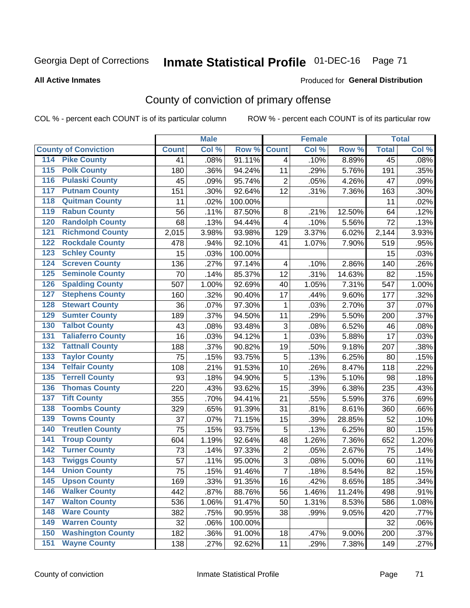#### **Inmate Statistical Profile 01-DEC-16** Page 71

#### **All Active Inmates**

#### Produced for General Distribution

## County of conviction of primary offense

COL % - percent each COUNT is of its particular column

|                                          |              | <b>Male</b> |         |                | <b>Female</b> |        |                 | <b>Total</b> |
|------------------------------------------|--------------|-------------|---------|----------------|---------------|--------|-----------------|--------------|
| <b>County of Conviction</b>              | <b>Count</b> | Col %       | Row %   | <b>Count</b>   | Col %         | Row %  | <b>Total</b>    | Col %        |
| <b>Pike County</b><br>114                | 41           | .08%        | 91.11%  | $\overline{4}$ | .10%          | 8.89%  | $\overline{45}$ | .08%         |
| <b>Polk County</b><br>$\overline{115}$   | 180          | .36%        | 94.24%  | 11             | .29%          | 5.76%  | 191             | .35%         |
| <b>Pulaski County</b><br>116             | 45           | .09%        | 95.74%  | $\overline{2}$ | .05%          | 4.26%  | 47              | .09%         |
| <b>Putnam County</b><br>117              | 151          | .30%        | 92.64%  | 12             | .31%          | 7.36%  | 163             | .30%         |
| <b>Quitman County</b><br>118             | 11           | .02%        | 100.00% |                |               |        | 11              | .02%         |
| <b>Rabun County</b><br>119               | 56           | .11%        | 87.50%  | 8              | .21%          | 12.50% | 64              | .12%         |
| <b>Randolph County</b><br>120            | 68           | .13%        | 94.44%  | 4              | .10%          | 5.56%  | 72              | .13%         |
| <b>Richmond County</b><br>121            | 2,015        | 3.98%       | 93.98%  | 129            | 3.37%         | 6.02%  | 2,144           | 3.93%        |
| <b>Rockdale County</b><br>122            | 478          | .94%        | 92.10%  | 41             | 1.07%         | 7.90%  | 519             | .95%         |
| <b>Schley County</b><br>123              | 15           | .03%        | 100.00% |                |               |        | 15              | .03%         |
| <b>Screven County</b><br>124             | 136          | .27%        | 97.14%  | 4              | .10%          | 2.86%  | 140             | .26%         |
| <b>Seminole County</b><br>125            | 70           | .14%        | 85.37%  | 12             | .31%          | 14.63% | 82              | .15%         |
| <b>Spalding County</b><br>126            | 507          | 1.00%       | 92.69%  | 40             | 1.05%         | 7.31%  | 547             | 1.00%        |
| <b>Stephens County</b><br>127            | 160          | .32%        | 90.40%  | 17             | .44%          | 9.60%  | 177             | .32%         |
| <b>Stewart County</b><br>128             | 36           | .07%        | 97.30%  | 1              | .03%          | 2.70%  | 37              | .07%         |
| <b>Sumter County</b><br>129              | 189          | .37%        | 94.50%  | 11             | .29%          | 5.50%  | 200             | .37%         |
| <b>Talbot County</b><br>130              | 43           | .08%        | 93.48%  | 3              | .08%          | 6.52%  | 46              | .08%         |
| <b>Taliaferro County</b><br>131          | 16           | .03%        | 94.12%  | 1              | .03%          | 5.88%  | 17              | .03%         |
| <b>Tattnall County</b><br>132            | 188          | .37%        | 90.82%  | 19             | .50%          | 9.18%  | 207             | .38%         |
| <b>Taylor County</b><br>133              | 75           | .15%        | 93.75%  | 5              | .13%          | 6.25%  | 80              | .15%         |
| <b>Telfair County</b><br>134             | 108          | .21%        | 91.53%  | 10             | .26%          | 8.47%  | 118             | .22%         |
| <b>Terrell County</b><br>135             | 93           | .18%        | 94.90%  | 5              | .13%          | 5.10%  | 98              | .18%         |
| <b>Thomas County</b><br>136              | 220          | .43%        | 93.62%  | 15             | .39%          | 6.38%  | 235             | .43%         |
| <b>Tift County</b><br>137                | 355          | .70%        | 94.41%  | 21             | .55%          | 5.59%  | 376             | .69%         |
| <b>Toombs County</b><br>138              | 329          | .65%        | 91.39%  | 31             | .81%          | 8.61%  | 360             | .66%         |
| <b>Towns County</b><br>139               | 37           | .07%        | 71.15%  | 15             | .39%          | 28.85% | 52              | .10%         |
| <b>Treutlen County</b><br>140            | 75           | .15%        | 93.75%  | 5              | .13%          | 6.25%  | 80              | .15%         |
| <b>Troup County</b><br>141               | 604          | 1.19%       | 92.64%  | 48             | 1.26%         | 7.36%  | 652             | 1.20%        |
| <b>Turner County</b><br>142              | 73           | .14%        | 97.33%  | $\overline{2}$ | .05%          | 2.67%  | 75              | .14%         |
| <b>Twiggs County</b><br>$\overline{143}$ | 57           | .11%        | 95.00%  | $\overline{3}$ | .08%          | 5.00%  | 60              | .11%         |
| <b>Union County</b><br>144               | 75           | .15%        | 91.46%  | $\overline{7}$ | .18%          | 8.54%  | 82              | .15%         |
| 145<br><b>Upson County</b>               | 169          | .33%        | 91.35%  | 16             | .42%          | 8.65%  | 185             | .34%         |
| <b>Walker County</b><br>146              | 442          | .87%        | 88.76%  | 56             | 1.46%         | 11.24% | 498             | .91%         |
| $\overline{147}$<br><b>Walton County</b> | 536          | 1.06%       | 91.47%  | 50             | 1.31%         | 8.53%  | 586             | 1.08%        |
| <b>Ware County</b><br>148                | 382          | .75%        | 90.95%  | 38             | .99%          | 9.05%  | 420             | .77%         |
| <b>Warren County</b><br>149              | 32           | .06%        | 100.00% |                |               |        | 32              | .06%         |
| <b>Washington County</b><br>150          | 182          | .36%        | 91.00%  | 18             | .47%          | 9.00%  | 200             | .37%         |
| <b>Wayne County</b><br>151               | 138          | .27%        | 92.62%  | 11             | .29%          | 7.38%  | 149             | .27%         |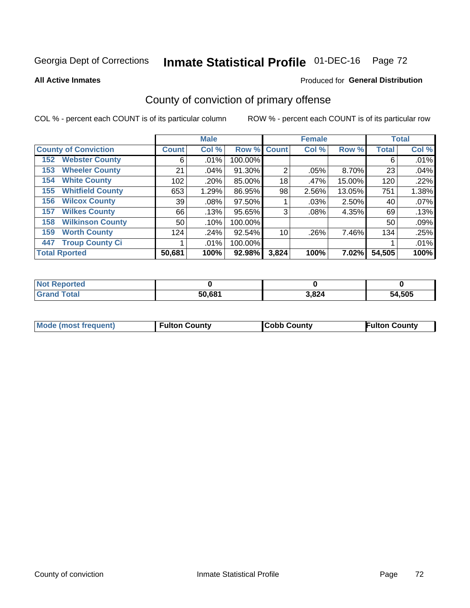# Inmate Statistical Profile 01-DEC-16 Page 72

**All Active Inmates** 

#### Produced for General Distribution

# County of conviction of primary offense

COL % - percent each COUNT is of its particular column

|                                |              | <b>Male</b> |         |                | <b>Female</b> |        |              | <b>Total</b> |
|--------------------------------|--------------|-------------|---------|----------------|---------------|--------|--------------|--------------|
| <b>County of Conviction</b>    | <b>Count</b> | Col %       |         | Row % Count    | Col %         | Row %  | <b>Total</b> | Col %        |
| <b>Webster County</b><br>152   | 6            | $.01\%$     | 100.00% |                |               |        | 6            | .01%         |
| <b>Wheeler County</b><br>153   | 21           | $.04\%$     | 91.30%  | $\overline{2}$ | $.05\%$       | 8.70%  | 23           | .04%         |
| <b>White County</b><br>154     | 102          | .20%        | 85.00%  | 18             | .47%          | 15.00% | 120          | .22%         |
| <b>Whitfield County</b><br>155 | 653          | 1.29%       | 86.95%  | 98             | 2.56%         | 13.05% | 751          | 1.38%        |
| <b>Wilcox County</b><br>156    | 39           | .08%        | 97.50%  |                | $.03\%$       | 2.50%  | 40           | .07%         |
| <b>Wilkes County</b><br>157    | 66           | .13%        | 95.65%  | 3              | .08%          | 4.35%  | 69           | .13%         |
| <b>Wilkinson County</b><br>158 | 50           | .10%        | 100.00% |                |               |        | 50           | .09%         |
| <b>Worth County</b><br>159     | 124          | $.24\%$     | 92.54%  | 10             | .26%          | 7.46%  | 134          | .25%         |
| <b>Troup County Ci</b><br>447  |              | $.01\%$     | 100.00% |                |               |        |              | .01%         |
| <b>Total Rported</b>           | 50,681       | 100%        | 92.98%  | 3,824          | 100%          | 7.02%I | 54,505       | 100%         |

| <b>Not Reported</b> |        |       |        |
|---------------------|--------|-------|--------|
| <b>Grand Total</b>  | 50,681 | 3,824 | 54,505 |

|  | <b>Mode (most frequent)</b> | <b>Fulton County</b> | <b>Cobb County</b> | <b>Fulton County</b> |
|--|-----------------------------|----------------------|--------------------|----------------------|
|--|-----------------------------|----------------------|--------------------|----------------------|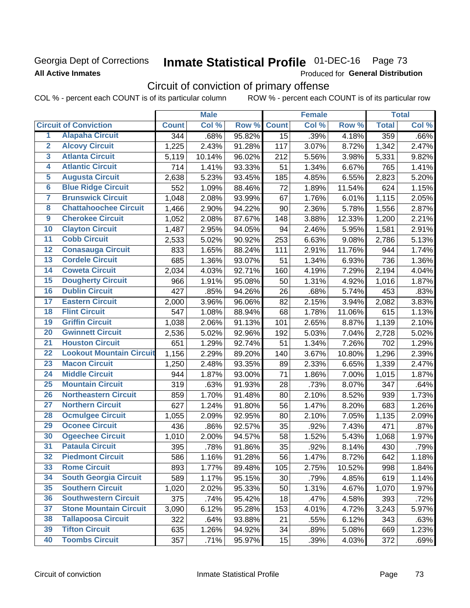## Georgia Dept of Corrections **All Active Inmates**

# Inmate Statistical Profile 01-DEC-16 Page 73

Produced for General Distribution

# Circuit of conviction of primary offense

COL % - percent each COUNT is of its particular column ROW % - percent each COUNT is of its particular row

|                         |                                 |              | <b>Male</b> |        |              | <b>Female</b> |        |              | <b>Total</b> |
|-------------------------|---------------------------------|--------------|-------------|--------|--------------|---------------|--------|--------------|--------------|
|                         | <b>Circuit of Conviction</b>    | <b>Count</b> | Col %       | Row %  | <b>Count</b> | Col %         | Row %  | <b>Total</b> | Col %        |
| 1                       | <b>Alapaha Circuit</b>          | 344          | .68%        | 95.82% | 15           | .39%          | 4.18%  | 359          | .66%         |
| $\overline{2}$          | <b>Alcovy Circuit</b>           | 1,225        | 2.43%       | 91.28% | 117          | 3.07%         | 8.72%  | 1,342        | 2.47%        |
| $\overline{\mathbf{3}}$ | <b>Atlanta Circuit</b>          | 5,119        | 10.14%      | 96.02% | 212          | 5.56%         | 3.98%  | 5,331        | 9.82%        |
| 4                       | <b>Atlantic Circuit</b>         | 714          | 1.41%       | 93.33% | 51           | 1.34%         | 6.67%  | 765          | 1.41%        |
| 5                       | <b>Augusta Circuit</b>          | 2,638        | 5.23%       | 93.45% | 185          | 4.85%         | 6.55%  | 2,823        | 5.20%        |
| $\overline{\bf{6}}$     | <b>Blue Ridge Circuit</b>       | 552          | 1.09%       | 88.46% | 72           | 1.89%         | 11.54% | 624          | 1.15%        |
| 7                       | <b>Brunswick Circuit</b>        | 1,048        | 2.08%       | 93.99% | 67           | 1.76%         | 6.01%  | 1,115        | 2.05%        |
| $\overline{\mathbf{8}}$ | <b>Chattahoochee Circuit</b>    | 1,466        | 2.90%       | 94.22% | 90           | 2.36%         | 5.78%  | 1,556        | 2.87%        |
| $\overline{9}$          | <b>Cherokee Circuit</b>         | 1,052        | 2.08%       | 87.67% | 148          | 3.88%         | 12.33% | 1,200        | 2.21%        |
| 10                      | <b>Clayton Circuit</b>          | 1,487        | 2.95%       | 94.05% | 94           | 2.46%         | 5.95%  | 1,581        | 2.91%        |
| $\overline{11}$         | <b>Cobb Circuit</b>             | 2,533        | 5.02%       | 90.92% | 253          | 6.63%         | 9.08%  | 2,786        | 5.13%        |
| $\overline{12}$         | <b>Conasauga Circuit</b>        | 833          | 1.65%       | 88.24% | 111          | 2.91%         | 11.76% | 944          | 1.74%        |
| 13                      | <b>Cordele Circuit</b>          | 685          | 1.36%       | 93.07% | 51           | 1.34%         | 6.93%  | 736          | 1.36%        |
| $\overline{14}$         | <b>Coweta Circuit</b>           | 2,034        | 4.03%       | 92.71% | 160          | 4.19%         | 7.29%  | 2,194        | 4.04%        |
| 15                      | <b>Dougherty Circuit</b>        | 966          | 1.91%       | 95.08% | 50           | 1.31%         | 4.92%  | 1,016        | 1.87%        |
| 16                      | <b>Dublin Circuit</b>           | 427          | .85%        | 94.26% | 26           | .68%          | 5.74%  | 453          | .83%         |
| 17                      | <b>Eastern Circuit</b>          | 2,000        | 3.96%       | 96.06% | 82           | 2.15%         | 3.94%  | 2,082        | 3.83%        |
| $\overline{18}$         | <b>Flint Circuit</b>            | 547          | 1.08%       | 88.94% | 68           | 1.78%         | 11.06% | 615          | 1.13%        |
| 19                      | <b>Griffin Circuit</b>          | 1,038        | 2.06%       | 91.13% | 101          | 2.65%         | 8.87%  | 1,139        | 2.10%        |
| 20                      | <b>Gwinnett Circuit</b>         | 2,536        | 5.02%       | 92.96% | 192          | 5.03%         | 7.04%  | 2,728        | 5.02%        |
| $\overline{21}$         | <b>Houston Circuit</b>          | 651          | 1.29%       | 92.74% | 51           | 1.34%         | 7.26%  | 702          | 1.29%        |
| $\overline{22}$         | <b>Lookout Mountain Circuit</b> | 1,156        | 2.29%       | 89.20% | 140          | 3.67%         | 10.80% | 1,296        | 2.39%        |
| 23                      | <b>Macon Circuit</b>            | 1,250        | 2.48%       | 93.35% | 89           | 2.33%         | 6.65%  | 1,339        | 2.47%        |
| $\overline{24}$         | <b>Middle Circuit</b>           | 944          | 1.87%       | 93.00% | 71           | 1.86%         | 7.00%  | 1,015        | 1.87%        |
| $\overline{25}$         | <b>Mountain Circuit</b>         | 319          | .63%        | 91.93% | 28           | .73%          | 8.07%  | 347          | .64%         |
| 26                      | <b>Northeastern Circuit</b>     | 859          | 1.70%       | 91.48% | 80           | 2.10%         | 8.52%  | 939          | 1.73%        |
| $\overline{27}$         | <b>Northern Circuit</b>         | 627          | 1.24%       | 91.80% | 56           | 1.47%         | 8.20%  | 683          | 1.26%        |
| 28                      | <b>Ocmulgee Circuit</b>         | 1,055        | 2.09%       | 92.95% | 80           | 2.10%         | 7.05%  | 1,135        | 2.09%        |
| 29                      | <b>Oconee Circuit</b>           | 436          | .86%        | 92.57% | 35           | .92%          | 7.43%  | 471          | .87%         |
| 30                      | <b>Ogeechee Circuit</b>         | 1,010        | 2.00%       | 94.57% | 58           | 1.52%         | 5.43%  | 1,068        | 1.97%        |
| $\overline{31}$         | <b>Pataula Circuit</b>          | 395          | .78%        | 91.86% | 35           | .92%          | 8.14%  | 430          | .79%         |
| 32                      | <b>Piedmont Circuit</b>         | 586          | 1.16%       | 91.28% | 56           | 1.47%         | 8.72%  | 642          | 1.18%        |
| 33                      | <b>Rome Circuit</b>             | 893          | 1.77%       | 89.48% | 105          | 2.75%         | 10.52% | 998          | 1.84%        |
| 34                      | <b>South Georgia Circuit</b>    | 589          | 1.17%       | 95.15% | 30           | .79%          | 4.85%  | 619          | 1.14%        |
| 35                      | <b>Southern Circuit</b>         | 1,020        | 2.02%       | 95.33% | 50           | 1.31%         | 4.67%  | 1,070        | 1.97%        |
| 36                      | <b>Southwestern Circuit</b>     | 375          | .74%        | 95.42% | 18           | .47%          | 4.58%  | 393          | .72%         |
| 37                      | <b>Stone Mountain Circuit</b>   | 3,090        | 6.12%       | 95.28% | 153          | 4.01%         | 4.72%  | 3,243        | 5.97%        |
| 38                      | <b>Tallapoosa Circuit</b>       | 322          | .64%        | 93.88% | 21           | .55%          | 6.12%  | 343          | .63%         |
| 39                      | <b>Tifton Circuit</b>           | 635          | 1.26%       | 94.92% | 34           | .89%          | 5.08%  | 669          | 1.23%        |
| 40                      | <b>Toombs Circuit</b>           | 357          | .71%        | 95.97% | 15           | .39%          | 4.03%  | 372          | .69%         |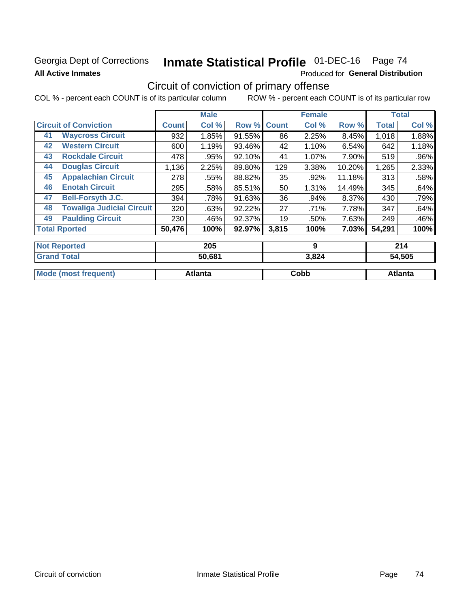## Georgia Dept of Corrections **All Active Inmates**

# Inmate Statistical Profile 01-DEC-16 Page 74

Produced for General Distribution

# Circuit of conviction of primary offense

COL % - percent each COUNT is of its particular column ROW % - percent each COUNT is of its particular row

|                      |                                  |              | <b>Male</b> |        |                 | <b>Female</b> |        |              | <b>Total</b> |
|----------------------|----------------------------------|--------------|-------------|--------|-----------------|---------------|--------|--------------|--------------|
|                      | <b>Circuit of Conviction</b>     | <b>Count</b> | Col %       | Row %  | <b>Count</b>    | Col %         | Row %  | <b>Total</b> | Col %        |
| 41                   | <b>Waycross Circuit</b>          | 932          | 1.85%       | 91.55% | 86              | 2.25%         | 8.45%  | 1,018        | 1.88%        |
| 42                   | <b>Western Circuit</b>           | 600          | 1.19%       | 93.46% | 42              | 1.10%         | 6.54%  | 642          | 1.18%        |
| 43                   | <b>Rockdale Circuit</b>          | 478          | .95%        | 92.10% | 41              | 1.07%         | 7.90%  | 519          | .96%         |
| 44                   | <b>Douglas Circuit</b>           | 1,136        | 2.25%       | 89.80% | 129             | 3.38%         | 10.20% | 1,265        | 2.33%        |
| 45                   | <b>Appalachian Circuit</b>       | 278          | .55%        | 88.82% | 35              | .92%          | 11.18% | 313          | .58%         |
| 46                   | <b>Enotah Circuit</b>            | 295          | .58%        | 85.51% | 50 <sub>1</sub> | 1.31%         | 14.49% | 345          | .64%         |
| 47                   | <b>Bell-Forsyth J.C.</b>         | 394          | .78%        | 91.63% | 36              | .94%          | 8.37%  | 430          | .79%         |
| 48                   | <b>Towaliga Judicial Circuit</b> | 320          | .63%        | 92.22% | 27              | .71%          | 7.78%  | 347          | .64%         |
| 49                   | <b>Paulding Circuit</b>          | 230          | .46%        | 92.37% | 19              | .50%          | 7.63%  | 249          | .46%         |
| <b>Total Rported</b> |                                  | 50,476       | 100%        | 92.97% | 3,815           | 100%          | 7.03%  | 54,291       | 100%         |
|                      | <b>Not Reported</b>              | 205          |             | 9      |                 |               | 214    |              |              |

| <b>Grand Total</b>          | 50,681  | 3,824 | 54,505  |
|-----------------------------|---------|-------|---------|
| <b>Mode (most frequent)</b> | Atlanta | Cobb  | Atlanta |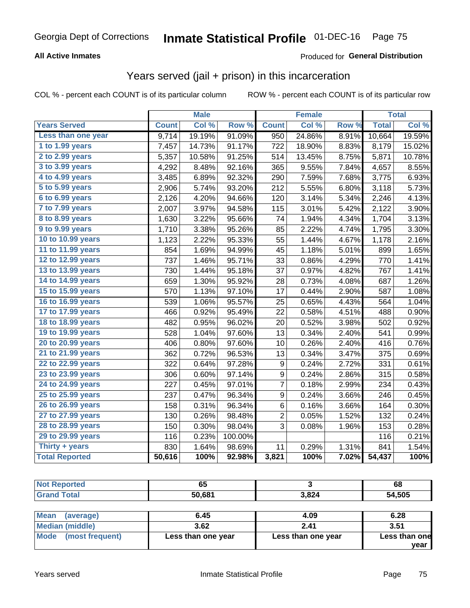### **All Active Inmates**

#### Produced for **General Distribution**

## Years served (jail + prison) in this incarceration

COL % - percent each COUNT is of its particular column ROW % - percent each COUNT is of its particular row

|                              |              | <b>Male</b> |         |                  | <b>Female</b> |       |              | <b>Total</b> |
|------------------------------|--------------|-------------|---------|------------------|---------------|-------|--------------|--------------|
| <b>Years Served</b>          | <b>Count</b> | Col %       | Row %   | <b>Count</b>     | Col %         | Row % | <b>Total</b> | Col %        |
| Less than one year           | 9,714        | 19.19%      | 91.09%  | 950              | 24.86%        | 8.91% | 10,664       | 19.59%       |
| 1 to 1.99 years              | 7,457        | 14.73%      | 91.17%  | 722              | 18.90%        | 8.83% | 8,179        | 15.02%       |
| 2 to 2.99 years              | 5,357        | 10.58%      | 91.25%  | 514              | 13.45%        | 8.75% | 5,871        | 10.78%       |
| 3 to 3.99 years              | 4,292        | 8.48%       | 92.16%  | 365              | 9.55%         | 7.84% | 4,657        | 8.55%        |
| 4 to 4.99 years              | 3,485        | 6.89%       | 92.32%  | 290              | 7.59%         | 7.68% | 3,775        | 6.93%        |
| $\overline{5}$ to 5.99 years | 2,906        | 5.74%       | 93.20%  | 212              | 5.55%         | 6.80% | 3,118        | 5.73%        |
| 6 to 6.99 years              | 2,126        | 4.20%       | 94.66%  | 120              | 3.14%         | 5.34% | 2,246        | 4.13%        |
| 7 to 7.99 years              | 2,007        | 3.97%       | 94.58%  | 115              | 3.01%         | 5.42% | 2,122        | 3.90%        |
| 8 to 8.99 years              | 1,630        | 3.22%       | 95.66%  | 74               | 1.94%         | 4.34% | 1,704        | 3.13%        |
| 9 to 9.99 years              | 1,710        | 3.38%       | 95.26%  | 85               | 2.22%         | 4.74% | 1,795        | 3.30%        |
| 10 to 10.99 years            | 1,123        | 2.22%       | 95.33%  | 55               | 1.44%         | 4.67% | 1,178        | 2.16%        |
| 11 to 11.99 years            | 854          | 1.69%       | 94.99%  | 45               | 1.18%         | 5.01% | 899          | 1.65%        |
| 12 to 12.99 years            | 737          | 1.46%       | 95.71%  | 33               | 0.86%         | 4.29% | 770          | 1.41%        |
| 13 to 13.99 years            | 730          | 1.44%       | 95.18%  | 37               | 0.97%         | 4.82% | 767          | 1.41%        |
| 14 to 14.99 years            | 659          | 1.30%       | 95.92%  | 28               | 0.73%         | 4.08% | 687          | 1.26%        |
| 15 to 15.99 years            | 570          | 1.13%       | 97.10%  | 17               | 0.44%         | 2.90% | 587          | 1.08%        |
| 16 to 16.99 years            | 539          | 1.06%       | 95.57%  | 25               | 0.65%         | 4.43% | 564          | 1.04%        |
| 17 to 17.99 years            | 466          | 0.92%       | 95.49%  | 22               | 0.58%         | 4.51% | 488          | 0.90%        |
| 18 to 18.99 years            | 482          | 0.95%       | 96.02%  | 20               | 0.52%         | 3.98% | 502          | 0.92%        |
| 19 to 19.99 years            | 528          | 1.04%       | 97.60%  | 13               | 0.34%         | 2.40% | 541          | 0.99%        |
| 20 to 20.99 years            | 406          | 0.80%       | 97.60%  | 10               | 0.26%         | 2.40% | 416          | 0.76%        |
| 21 to 21.99 years            | 362          | 0.72%       | 96.53%  | 13               | 0.34%         | 3.47% | 375          | 0.69%        |
| 22 to 22.99 years            | 322          | 0.64%       | 97.28%  | $\boldsymbol{9}$ | 0.24%         | 2.72% | 331          | 0.61%        |
| 23 to 23.99 years            | 306          | 0.60%       | 97.14%  | 9                | 0.24%         | 2.86% | 315          | 0.58%        |
| 24 to 24.99 years            | 227          | 0.45%       | 97.01%  | 7                | 0.18%         | 2.99% | 234          | 0.43%        |
| 25 to 25.99 years            | 237          | 0.47%       | 96.34%  | 9                | 0.24%         | 3.66% | 246          | 0.45%        |
| 26 to 26.99 years            | 158          | 0.31%       | 96.34%  | 6                | 0.16%         | 3.66% | 164          | 0.30%        |
| 27 to 27.99 years            | 130          | 0.26%       | 98.48%  | $\overline{c}$   | 0.05%         | 1.52% | 132          | 0.24%        |
| 28 to 28.99 years            | 150          | 0.30%       | 98.04%  | 3                | 0.08%         | 1.96% | 153          | 0.28%        |
| 29 to 29.99 years            | 116          | 0.23%       | 100.00% |                  |               |       | 116          | 0.21%        |
| Thirty + years               | 830          | 1.64%       | 98.69%  | 11               | 0.29%         | 1.31% | 841          | 1.54%        |
| <b>Total Reported</b>        | 50,616       | 100%        | 92.98%  | 3,821            | 100%          | 7.02% | 54,437       | 100%         |

| <b>Not Reported</b>      | 65     |       | 68     |
|--------------------------|--------|-------|--------|
| <b>Grand Total</b>       | 50,681 | 3,824 | 54,505 |
|                          |        |       |        |
| <b>Mean</b><br>(average) | 6.45   | 4.09  | 6.28   |
| <b>Median (middle)</b>   | 3.62   | 2.41  | 3.51   |

| Mode (most frequent) | Less than one year | Less than one year |  |  |
|----------------------|--------------------|--------------------|--|--|
|                      |                    |                    |  |  |

**Less than one**

**year**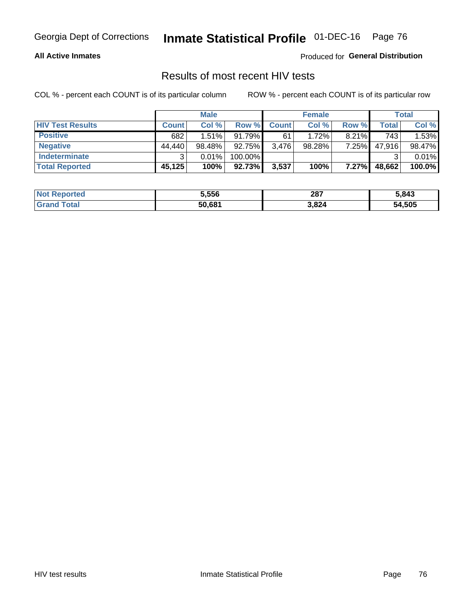#### **All Active Inmates**

Produced for **General Distribution**

## Results of most recent HIV tests

|                         |              | <b>Male</b> |           |              | <b>Female</b> |          |        | <b>Total</b> |
|-------------------------|--------------|-------------|-----------|--------------|---------------|----------|--------|--------------|
| <b>HIV Test Results</b> | <b>Count</b> | Col %       | Row %I    | <b>Count</b> | Col %         | Row %    | Total  | Col %        |
| <b>Positive</b>         | 682          | 1.51%       | 91.79%    | 61           | 1.72%         | $8.21\%$ | 743    | 1.53%        |
| <b>Negative</b>         | 44.440       | 98.48%      | $92.75\%$ | 3,476        | 98.28%        | 7.25%    | 47,916 | 98.47%       |
| <b>Indeterminate</b>    | ີ            | 0.01%       | 100.00%   |              |               |          |        | 0.01%        |
| <b>Total Reported</b>   | 45,125       | 100%        | 92.73%    | 3,537        | 100%          | $7.27\%$ | 48,662 | 100.0%       |

| <b>Not Reported</b> | 5,556  | 287   | 5,843  |
|---------------------|--------|-------|--------|
| Total               | 50,681 | 3,824 | 54,505 |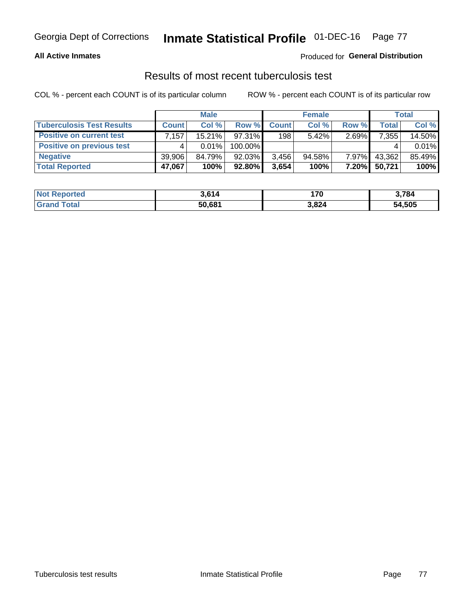#### **All Active Inmates**

### Produced for **General Distribution**

### Results of most recent tuberculosis test

|                                  | <b>Male</b>  |           |           | <b>Female</b> |           |          | Total        |        |
|----------------------------------|--------------|-----------|-----------|---------------|-----------|----------|--------------|--------|
| <b>Tuberculosis Test Results</b> | <b>Count</b> | Col%      | Row %     | <b>Count</b>  | Col %     | Row %    | <b>Total</b> | Col %  |
| <b>Positive on current test</b>  | .157'        | $15.21\%$ | 97.31%    | 198           | $5.42\%$  | $2.69\%$ | 7,355        | 14.50% |
| <b>Positive on previous test</b> |              | $0.01\%$  | 100.00%   |               |           |          |              | 0.01%  |
| <b>Negative</b>                  | 39,906       | 84.79%    | 92.03%    | 3,456         | $94.58\%$ | $7.97\%$ | 43,362       | 85.49% |
| <b>Total Reported</b>            | 47,067       | 100%      | $92.80\%$ | 3,654         | 100%      | $7.20\%$ | 50,721       | 100%   |

| <b>Not Reported</b>          | 3,614  | 170   | 3,784  |
|------------------------------|--------|-------|--------|
| <b>Total</b><br><b>Grand</b> | 50,681 | 3,824 | 54,505 |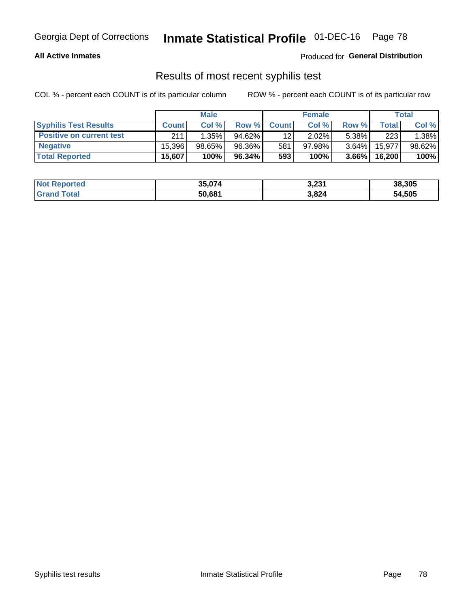#### **All Active Inmates**

Produced for **General Distribution**

### Results of most recent syphilis test

|                                 | <b>Male</b>  |        |        | <b>Female</b> |           |          | Total   |        |
|---------------------------------|--------------|--------|--------|---------------|-----------|----------|---------|--------|
| <b>Syphilis Test Results</b>    | <b>Count</b> | Col%   | Row %I | <b>Count</b>  | Col %     | Row %    | Total I | Col %  |
| <b>Positive on current test</b> | 211          | 1.35%  | 94.62% | 12            | $2.02\%$  | $5.38\%$ | 223     | 1.38%  |
| <b>Negative</b>                 | 15.396       | 98.65% | 96.36% | 581           | $97.98\%$ | 3.64%    | 15,977  | 98.62% |
| <b>Total Reported</b>           | 15,607       | 100%   | 96.34% | 593           | 100%      | $3.66\%$ | 16,200  | 100%   |

| <b>Not Reported</b> | 35,074 | 3,231 | 38,305 |
|---------------------|--------|-------|--------|
| <b>Grand Total</b>  | 50,681 | 3,824 | 54,505 |